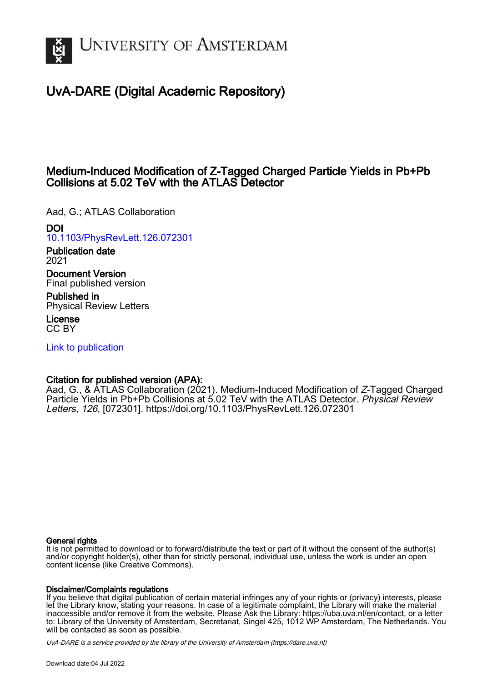

# UvA-DARE (Digital Academic Repository)

# Medium-Induced Modification of Z-Tagged Charged Particle Yields in Pb+Pb Collisions at 5.02 TeV with the ATLAS Detector

Aad, G.; ATLAS Collaboration

DOI

[10.1103/PhysRevLett.126.072301](https://doi.org/10.1103/PhysRevLett.126.072301)

Publication date 2021

Document Version Final published version

Published in Physical Review Letters

License CC BY

[Link to publication](https://dare.uva.nl/personal/pure/en/publications/mediuminduced-modification-of-ztagged-charged-particle-yields-in-pbpb-collisions-at-502-tev-with-the-atlas-detector(da2a9022-dc74-4318-bc63-c784e0934e73).html)

## Citation for published version (APA):

Aad, G., & ATLAS Collaboration (2021). Medium-Induced Modification of Z-Tagged Charged Particle Yields in Pb+Pb Collisions at 5.02 TeV with the ATLAS Detector. Physical Review Letters, 126, [072301].<https://doi.org/10.1103/PhysRevLett.126.072301>

#### General rights

It is not permitted to download or to forward/distribute the text or part of it without the consent of the author(s) and/or copyright holder(s), other than for strictly personal, individual use, unless the work is under an open content license (like Creative Commons).

#### Disclaimer/Complaints regulations

If you believe that digital publication of certain material infringes any of your rights or (privacy) interests, please let the Library know, stating your reasons. In case of a legitimate complaint, the Library will make the material inaccessible and/or remove it from the website. Please Ask the Library: https://uba.uva.nl/en/contact, or a letter to: Library of the University of Amsterdam, Secretariat, Singel 425, 1012 WP Amsterdam, The Netherlands. You will be contacted as soon as possible.

UvA-DARE is a service provided by the library of the University of Amsterdam (http*s*://dare.uva.nl)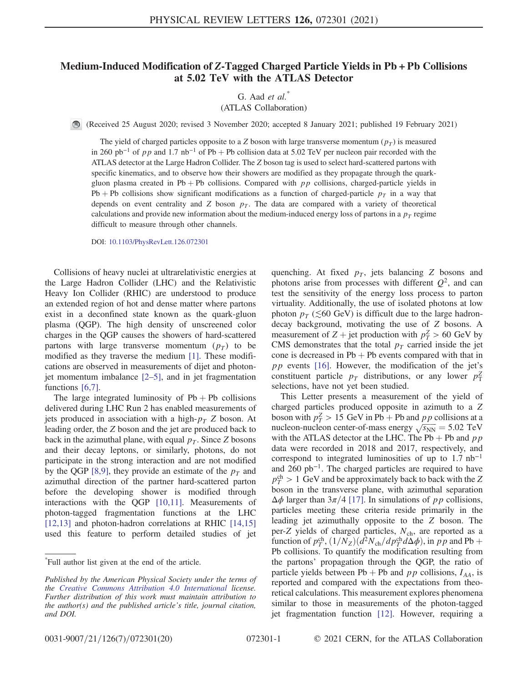### Medium-Induced Modification of Z-Tagged Charged Particle Yields in Pb + Pb Collisions at 5.02 TeV with the ATLAS Detector

G. Aad  $et \ al.^*$ 

(ATLAS Collaboration)

(Received 25 August 2020; revised 3 November 2020; accepted 8 January 2021; published 19 February 2021)

The yield of charged particles opposite to a Z boson with large transverse momentum  $(p_T)$  is measured in 260 pb<sup>-1</sup> of pp and 1.7 nb<sup>-1</sup> of Pb + Pb collision data at 5.02 TeV per nucleon pair recorded with the ATLAS detector at the Large Hadron Collider. The Z boson tag is used to select hard-scattered partons with specific kinematics, and to observe how their showers are modified as they propagate through the quarkgluon plasma created in Pb + Pb collisions. Compared with  $pp$  collisions, charged-particle yields in Pb + Pb collisions show significant modifications as a function of charged-particle  $p<sub>T</sub>$  in a way that depends on event centrality and Z boson  $p<sub>T</sub>$ . The data are compared with a variety of theoretical calculations and provide new information about the medium-induced energy loss of partons in a  $p_T$  regime difficult to measure through other channels.

DOI: [10.1103/PhysRevLett.126.072301](https://doi.org/10.1103/PhysRevLett.126.072301)

Collisions of heavy nuclei at ultrarelativistic energies at the Large Hadron Collider (LHC) and the Relativistic Heavy Ion Collider (RHIC) are understood to produce an extended region of hot and dense matter where partons exist in a deconfined state known as the quark-gluon plasma (QGP). The high density of unscreened color charges in the QGP causes the showers of hard-scattered partons with large transverse momentum  $(p_T)$  to be modified as they traverse the medium [\[1\].](#page-5-0) These modifications are observed in measurements of dijet and photonjet momentum imbalance  $[2-5]$ , and in jet fragmentation functions [\[6,7\]](#page-5-2).

The large integrated luminosity of  $Pb + Pb$  collisions delivered during LHC Run 2 has enabled measurements of jets produced in association with a high- $p<sub>T</sub>$  Z boson. At leading order, the Z boson and the jet are produced back to back in the azimuthal plane, with equal  $p<sub>T</sub>$ . Since Z bosons and their decay leptons, or similarly, photons, do not participate in the strong interaction and are not modified by the QGP [\[8,9\],](#page-5-3) they provide an estimate of the  $p<sub>T</sub>$  and azimuthal direction of the partner hard-scattered parton before the developing shower is modified through interactions with the QGP [\[10,11\]](#page-5-4). Measurements of photon-tagged fragmentation functions at the LHC [\[12,13\]](#page-5-5) and photon-hadron correlations at RHIC [\[14,15\]](#page-6-0) used this feature to perform detailed studies of jet quenching. At fixed  $p<sub>T</sub>$ , jets balancing Z bosons and photons arise from processes with different  $Q^2$ , and can test the sensitivity of the energy loss process to parton virtuality. Additionally, the use of isolated photons at low photon  $p_T$  ( $\leq 60$  GeV) is difficult due to the large hadrondecay background, motivating the use of Z bosons. A measurement of  $Z + \text{jet}$  production with  $p_T^Z > 60 \text{ GeV}$  by CMS demonstrates that the total  $p_T$  carried inside the jet cone is decreased in  $Pb + Pb$  events compared with that in  $pp$  events [\[16\]](#page-6-1). However, the modification of the jet's constituent particle  $p_T$  distributions, or any lower  $p_T^2$ selections, have not yet been studied.

This Letter presents a measurement of the yield of charged particles produced opposite in azimuth to a Z boson with  $p_T^Z > 15 \text{ GeV}$  in Pb + Pb and pp collisions at a boson with  $p_T^2 > 15$  GeV in Pb + Pb and pp collisions at a<br>nucleon-nucleon center-of-mass energy  $\sqrt{s_{NN}} = 5.02$  TeV with the ATLAS detector at the LHC. The Pb + Pb and  $p p$ data were recorded in 2018 and 2017, respectively, and correspond to integrated luminosities of up to 1.7 nb<sup>−</sup><sup>1</sup> and 260 pb<sup>−</sup><sup>1</sup>. The charged particles are required to have  $p_T^{\text{ch}} > 1 \text{ GeV}$  and be approximately back to back with the Z boson in the transverse plane, with azimuthal separation  $\Delta \phi$  larger than  $3\pi/4$  [\[17\].](#page-6-2) In simulations of pp collisions, particles meeting these criteria reside primarily in the leading jet azimuthally opposite to the Z boson. The per-Z yields of charged particles,  $N_{ch}$ , are reported as a function of  $p_T^{\text{ch}}$ ,  $(1/N_Z)(d^2N_{\text{ch}}/dp_T^{\text{ch}}d\Delta\phi)$ , in pp and Pb + Pb collisions. To quantify the modification resulting from the partons' propagation through the QGP, the ratio of particle yields between Pb + Pb and  $pp$  collisions,  $I_{AA}$ , is reported and compared with the expectations from theoretical calculations. This measurement explores phenomena similar to those in measurements of the photon-tagged jet fragmentation function [\[12\]](#page-5-5). However, requiring a

<sup>\*</sup> Full author list given at the end of the article.

Published by the American Physical Society under the terms of the [Creative Commons Attribution 4.0 International](https://creativecommons.org/licenses/by/4.0/) license. Further distribution of this work must maintain attribution to the author(s) and the published article's title, journal citation, and DOI.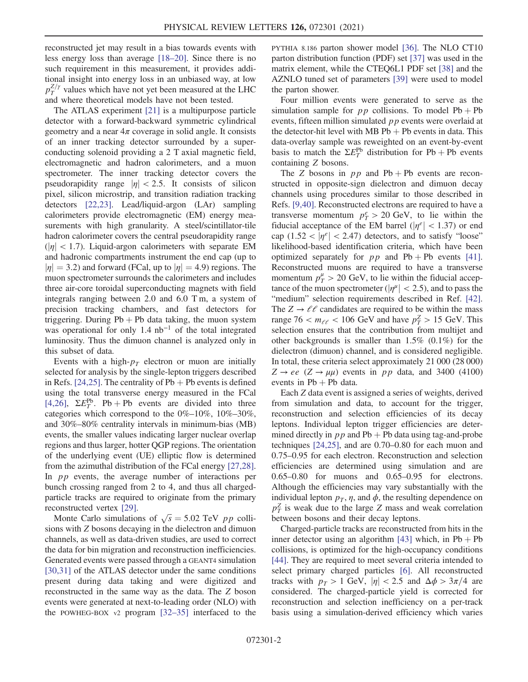reconstructed jet may result in a bias towards events with less energy loss than average [\[18](#page-6-3)–20]. Since there is no such requirement in this measurement, it provides additional insight into energy loss in an unbiased way, at low  $p_T^{Z/\gamma}$  values which have not yet been measured at the LHC and where theoretical models have not been tested.

The ATLAS experiment [\[21\]](#page-6-4) is a multipurpose particle detector with a forward-backward symmetric cylindrical geometry and a near  $4\pi$  coverage in solid angle. It consists of an inner tracking detector surrounded by a superconducting solenoid providing a 2 T axial magnetic field, electromagnetic and hadron calorimeters, and a muon spectrometer. The inner tracking detector covers the pseudorapidity range  $|\eta| < 2.5$ . It consists of silicon pixel, silicon microstrip, and transition radiation tracking detectors [\[22,23\]](#page-6-5). Lead/liquid-argon (LAr) sampling calorimeters provide electromagnetic (EM) energy measurements with high granularity. A steel/scintillator-tile hadron calorimeter covers the central pseudorapidity range  $(|\eta| < 1.7)$ . Liquid-argon calorimeters with separate EM and hadronic compartments instrument the end cap (up to  $|\eta| = 3.2$ ) and forward (FCal, up to  $|\eta| = 4.9$ ) regions. The muon spectrometer surrounds the calorimeters and includes three air-core toroidal superconducting magnets with field integrals ranging between 2.0 and 6.0 T m, a system of precision tracking chambers, and fast detectors for triggering. During  $Pb + Pb$  data taking, the muon system was operational for only 1.4  $nb^{-1}$  of the total integrated luminosity. Thus the dimuon channel is analyzed only in this subset of data.

Events with a high- $p_T$  electron or muon are initially selected for analysis by the single-lepton triggers described in Refs. [\[24,25\]](#page-6-6). The centrality of  $Pb + Pb$  events is defined using the total transverse energy measured in the FCal [\[4,26\]](#page-5-6),  $\Sigma E_T^{\text{Pb}}$ . Pb + Pb events are divided into three categories which correspond to the 0%–10%, 10%–30%, and 30%–80% centrality intervals in minimum-bias (MB) events, the smaller values indicating larger nuclear overlap regions and thus larger, hotter QGP regions. The orientation of the underlying event (UE) elliptic flow is determined from the azimuthal distribution of the FCal energy [\[27,28\]](#page-6-7). In *pp* events, the average number of interactions per bunch crossing ranged from 2 to 4, and thus all chargedparticle tracks are required to originate from the primary reconstructed vertex [\[29\]](#page-6-8).

constructed vertex [29].<br>Monte Carlo simulations of  $\sqrt{s} = 5.02$  TeV pp collisions with Z bosons decaying in the dielectron and dimuon channels, as well as data-driven studies, are used to correct the data for bin migration and reconstruction inefficiencies. Generated events were passed through a GEANT4 simulation [\[30,31\]](#page-6-9) of the ATLAS detector under the same conditions present during data taking and were digitized and reconstructed in the same way as the data. The Z boson events were generated at next-to-leading order (NLO) with the POWHEG-BOX v2 program [32–[35\]](#page-6-10) interfaced to the PYTHIA 8.186 parton shower model [\[36\].](#page-6-11) The NLO CT10 parton distribution function (PDF) set [\[37\]](#page-6-12) was used in the matrix element, while the CTEQ6L1 PDF set [\[38\]](#page-6-13) and the AZNLO tuned set of parameters [\[39\]](#page-6-14) were used to model the parton shower.

Four million events were generated to serve as the simulation sample for  $pp$  collisions. To model Pb + Pb events, fifteen million simulated pp events were overlaid at the detector-hit level with MB  $Pb + Pb$  events in data. This data-overlay sample was reweighted on an event-by-event basis to match the  $\Sigma E_T^{\text{Pb}}$  distribution for Pb + Pb events containing Z bosons.

The Z bosons in  $pp$  and  $Pb + Pb$  events are reconstructed in opposite-sign dielectron and dimuon decay channels using procedures similar to those described in Refs. [\[9,40\]](#page-5-7). Reconstructed electrons are required to have a transverse momentum  $p_T^e > 20$  GeV, to lie within the fiducial acceptance of the EM barrel ( $|\eta^e|$  < 1.37) or end cap (1.52  $|{\eta}e|$  < 2.47) detectors, and to satisfy "loose" likelihood-based identification criteria, which have been optimized separately for  $pp$  and  $Pb + Pb$  events [\[41\]](#page-6-15). Reconstructed muons are required to have a transverse momentum  $p_T^{\mu} > 20$  GeV, to lie within the fiducial acceptance of the muon spectrometer ( $|\eta^{\mu}| < 2.5$ ), and to pass the "medium" selection requirements described in Ref. [\[42\]](#page-6-16). The  $Z \rightarrow \ell \ell$  candidates are required to be within the mass range 76  $< m_{\ell\ell} < 106$  GeV and have  $p_T^Z > 15$  GeV. This selection ensures that the contribution from multijet and other backgrounds is smaller than 1.5% (0.1%) for the dielectron (dimuon) channel, and is considered negligible. In total, these criteria select approximately 21 000 (28 000)  $Z \rightarrow ee$  ( $Z \rightarrow \mu\mu$ ) events in pp data, and 3400 (4100) events in  $Pb + Pb$  data.

Each Z data event is assigned a series of weights, derived from simulation and data, to account for the trigger, reconstruction and selection efficiencies of its decay leptons. Individual lepton trigger efficiencies are determined directly in  $pp$  and Pb + Pb data using tag-and-probe techniques [\[24,25\]](#page-6-6), and are 0.70–0.80 for each muon and 0.75–0.95 for each electron. Reconstruction and selection efficiencies are determined using simulation and are 0.65–0.80 for muons and 0.65–0.95 for electrons. Although the efficiencies may vary substantially with the individual lepton  $p<sub>T</sub>$ ,  $\eta$ , and  $\phi$ , the resulting dependence on  $p_T^Z$  is weak due to the large Z mass and weak correlation between bosons and their decay leptons.

Charged-particle tracks are reconstructed from hits in the inner detector using an algorithm [\[43\]](#page-6-17) which, in  $Pb + Pb$ collisions, is optimized for the high-occupancy conditions [\[44\]](#page-6-18). They are required to meet several criteria intended to select primary charged particles [\[6\].](#page-5-2) All reconstructed tracks with  $p_T > 1$  GeV,  $|\eta| < 2.5$  and  $\Delta \phi > 3\pi/4$  are considered. The charged-particle yield is corrected for reconstruction and selection inefficiency on a per-track basis using a simulation-derived efficiency which varies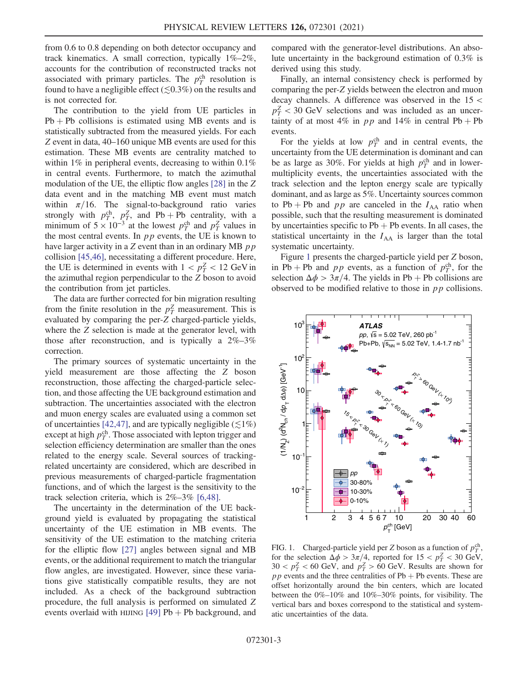from 0.6 to 0.8 depending on both detector occupancy and track kinematics. A small correction, typically 1%–2%, accounts for the contribution of reconstructed tracks not associated with primary particles. The  $p_T^{\text{ch}}$  resolution is found to have a negligible effect ( $\lesssim$ 0.3%) on the results and is not corrected for.

The contribution to the yield from UE particles in  $Pb + Pb$  collisions is estimated using MB events and is statistically subtracted from the measured yields. For each Z event in data, 40–160 unique MB events are used for this estimation. These MB events are centrality matched to within  $1\%$  in peripheral events, decreasing to within 0.1% in central events. Furthermore, to match the azimuthal modulation of the UE, the elliptic flow angles [\[28\]](#page-6-19) in the Z data event and in the matching MB event must match within  $\pi/16$ . The signal-to-background ratio varies strongly with  $p_T^{\text{ch}}, p_T^{\text{Z}}$ , and Pb + Pb centrality, with a minimum of  $5 \times 10^{-3}$  at the lowest  $p_T^{\text{ch}}$  and  $p_T^{\text{Z}}$  values in the most central events. In  $pp$  events, the UE is known to have larger activity in a  $Z$  event than in an ordinary MB  $p p$ collision [\[45,46\],](#page-6-20) necessitating a different procedure. Here, the UE is determined in events with  $1 < p_T^Z < 12 \text{ GeV}$  in the azimuthal region perpendicular to the Z boson to avoid the contribution from jet particles.

The data are further corrected for bin migration resulting from the finite resolution in the  $p_T^Z$  measurement. This is evaluated by comparing the per-Z charged-particle yields, where the Z selection is made at the generator level, with those after reconstruction, and is typically a  $2\% - 3\%$ correction.

The primary sources of systematic uncertainty in the yield measurement are those affecting the Z boson reconstruction, those affecting the charged-particle selection, and those affecting the UE background estimation and subtraction. The uncertainties associated with the electron and muon energy scales are evaluated using a common set of uncertainties [\[42,47\],](#page-6-16) and are typically negligible ( $\lesssim$ 1%) except at high  $p_T^{\text{ch}}$ . Those associated with lepton trigger and selection efficiency determination are smaller than the ones related to the energy scale. Several sources of trackingrelated uncertainty are considered, which are described in previous measurements of charged-particle fragmentation functions, and of which the largest is the sensitivity to the track selection criteria, which is 2%–3% [\[6,48\].](#page-5-2)

The uncertainty in the determination of the UE background yield is evaluated by propagating the statistical uncertainty of the UE estimation in MB events. The sensitivity of the UE estimation to the matching criteria for the elliptic flow [\[27\]](#page-6-7) angles between signal and MB events, or the additional requirement to match the triangular flow angles, are investigated. However, since these variations give statistically compatible results, they are not included. As a check of the background subtraction procedure, the full analysis is performed on simulated Z events overlaid with HIJING  $[49]$  Pb + Pb background, and compared with the generator-level distributions. An absolute uncertainty in the background estimation of 0.3% is derived using this study.

Finally, an internal consistency check is performed by comparing the per-Z yields between the electron and muon decay channels. A difference was observed in the 15 <  $p_T^Z < 30$  GeV selections and was included as an uncertainty of at most 4% in pp and 14% in central Pb + Pb events.

For the yields at low  $p_T^{\text{ch}}$  and in central events, the uncertainty from the UE determination is dominant and can be as large as 30%. For yields at high  $p_T^{\text{ch}}$  and in lowermultiplicity events, the uncertainties associated with the track selection and the lepton energy scale are typically dominant, and as large as 5%. Uncertainty sources common to Pb + Pb and  $pp$  are canceled in the  $I_{AA}$  ratio when possible, such that the resulting measurement is dominated by uncertainties specific to  $Pb + Pb$  events. In all cases, the statistical uncertainty in the  $I_{AA}$  is larger than the total systematic uncertainty.

Figure [1](#page-3-0) presents the charged-particle yield per Z boson, in Pb + Pb and pp events, as a function of  $p_T^{\text{ch}}$ , for the selection  $\Delta \phi > 3\pi/4$ . The yields in Pb + Pb collisions are observed to be modified relative to those in  $pp$  collisions.

<span id="page-3-0"></span>

FIG. 1. Charged-particle yield per Z boson as a function of  $p_T^{\text{ch}}$ , for the selection  $\Delta \phi > 3\pi/4$ , reported for  $15 < p_T^2 < 30$  GeV,  $30 < p_T^Z < 60$  GeV, and  $p_T^Z > 60$  GeV. Results are shown for  $pp$  events and the three centralities of Pb + Pb events. These are offset horizontally around the bin centers, which are located between the 0%–10% and 10%–30% points, for visibility. The vertical bars and boxes correspond to the statistical and systematic uncertainties of the data.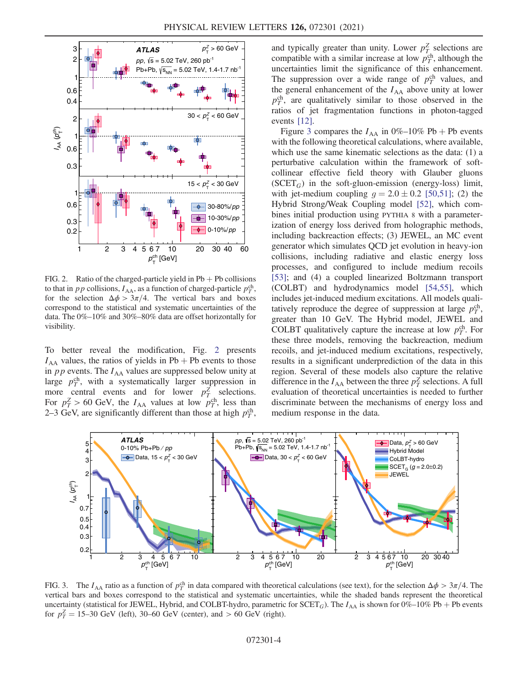<span id="page-4-0"></span>

FIG. 2. Ratio of the charged-particle yield in  $Pb + Pb$  collisions to that in *p p* collisions,  $I_{AA}$ , as a function of charged-particle  $p_T^{\text{ch}}$ , for the selection  $\Delta \phi > 3\pi/4$ . The vertical bars and boxes correspond to the statistical and systematic uncertainties of the data. The 0%–10% and 30%–80% data are offset horizontally for visibility.

To better reveal the modification, Fig. [2](#page-4-0) presents  $I_{AA}$  values, the ratios of yields in Pb + Pb events to those in  $pp$  events. The  $I_{AA}$  values are suppressed below unity at large  $p_T^{\text{ch}}$ , with a systematically larger suppression in more central events and for lower  $p_T^Z$  selections. For  $p_T^Z > 60$  GeV, the  $I_{AA}$  values at low  $p_T^{ch}$ , less than 2–3 GeV, are significantly different than those at high  $p_T^{\text{ch}}$ ,

and typically greater than unity. Lower  $p_T^Z$  selections are compatible with a similar increase at low  $p_T^{\text{ch}}$ , although the uncertainties limit the significance of this enhancement. The suppression over a wide range of  $p_T^{\text{ch}}$  values, and the general enhancement of the  $I_{AA}$  above unity at lower  $p_T^{\text{ch}}$ , are qualitatively similar to those observed in the ratios of jet fragmentation functions in photon-tagged events [\[12\]](#page-5-5).

Figure [3](#page-4-1) compares the  $I_{AA}$  in 0%–10% Pb + Pb events with the following theoretical calculations, where available, which use the same kinematic selections as the data: (1) a perturbative calculation within the framework of softcollinear effective field theory with Glauber gluons  $(SCET<sub>G</sub>)$  in the soft-gluon-emission (energy-loss) limit, with jet-medium coupling  $g = 2.0 \pm 0.2$  [\[50,51\];](#page-7-1) (2) the Hybrid Strong/Weak Coupling model [\[52\],](#page-7-2) which combines initial production using PYTHIA 8 with a parameterization of energy loss derived from holographic methods, including backreaction effects; (3) JEWEL, an MC event generator which simulates QCD jet evolution in heavy-ion collisions, including radiative and elastic energy loss processes, and configured to include medium recoils [\[53\]](#page-7-3); and (4) a coupled linearized Boltzmann transport (COLBT) and hydrodynamics model [\[54,55\],](#page-7-4) which includes jet-induced medium excitations. All models qualitatively reproduce the degree of suppression at large  $p_T^{\text{ch}}$ , greater than 10 GeV. The Hybrid model, JEWEL and COLBT qualitatively capture the increase at low  $p_T^{\text{ch}}$ . For these three models, removing the backreaction, medium recoils, and jet-induced medium excitations, respectively, results in a significant underprediction of the data in this region. Several of these models also capture the relative difference in the  $I_{AA}$  between the three  $p_T^Z$  selections. A full evaluation of theoretical uncertainties is needed to further discriminate between the mechanisms of energy loss and medium response in the data.

<span id="page-4-1"></span>

FIG. 3. The  $I_{AA}$  ratio as a function of  $p_T^{\text{ch}}$  in data compared with theoretical calculations (see text), for the selection  $\Delta \phi > 3\pi/4$ . The vertical bars and boxes correspond to the statistical and systematic uncertainties, while the shaded bands represent the theoretical uncertainty (statistical for JEWEL, Hybrid, and COLBT-hydro, parametric for  $SCET_G$ ). The  $I_{AA}$  is shown for 0%–10% Pb + Pb events for  $p_T^Z = 15{\text -}30 \text{ GeV}$  (left), 30–60 GeV (center), and > 60 GeV (right).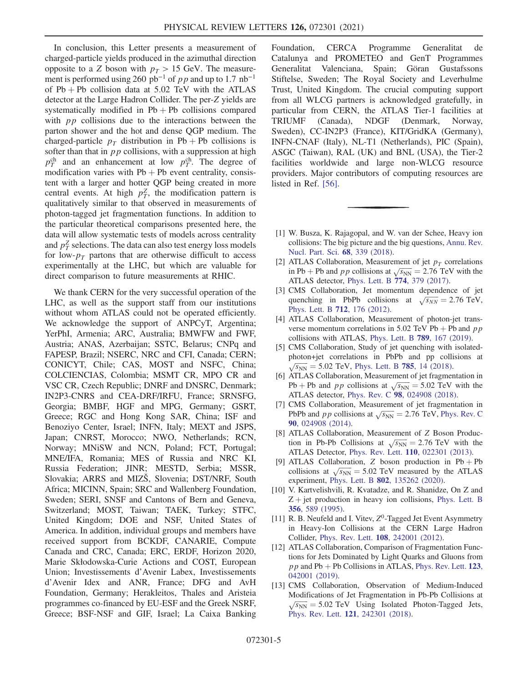In conclusion, this Letter presents a measurement of charged-particle yields produced in the azimuthal direction opposite to a Z boson with  $p_T > 15$  GeV. The measurement is performed using 260 pb<sup>-1</sup> of pp and up to 1.7 nb<sup>-1</sup> of  $Pb + Pb$  collision data at 5.02 TeV with the ATLAS detector at the Large Hadron Collider. The per-Z yields are systematically modified in  $Pb + Pb$  collisions compared with  $pp$  collisions due to the interactions between the parton shower and the hot and dense QGP medium. The charged-particle  $p_T$  distribution in Pb + Pb collisions is softer than that in  $pp$  collisions, with a suppression at high  $p_T^{\text{ch}}$  and an enhancement at low  $p_T^{\text{ch}}$ . The degree of modification varies with  $Pb + Pb$  event centrality, consistent with a larger and hotter QGP being created in more central events. At high  $p_T^Z$ , the modification pattern is qualitatively similar to that observed in measurements of photon-tagged jet fragmentation functions. In addition to the particular theoretical comparisons presented here, the data will allow systematic tests of models across centrality and  $p_T^Z$  selections. The data can also test energy loss models for low- $p_T$  partons that are otherwise difficult to access experimentally at the LHC, but which are valuable for direct comparison to future measurements at RHIC.

We thank CERN for the very successful operation of the LHC, as well as the support staff from our institutions without whom ATLAS could not be operated efficiently. We acknowledge the support of ANPCyT, Argentina; YerPhI, Armenia; ARC, Australia; BMWFW and FWF, Austria; ANAS, Azerbaijan; SSTC, Belarus; CNPq and FAPESP, Brazil; NSERC, NRC and CFI, Canada; CERN; CONICYT, Chile; CAS, MOST and NSFC, China; COLCIENCIAS, Colombia; MSMT CR, MPO CR and VSC CR, Czech Republic; DNRF and DNSRC, Denmark; IN2P3-CNRS and CEA-DRF/IRFU, France; SRNSFG, Georgia; BMBF, HGF and MPG, Germany; GSRT, Greece; RGC and Hong Kong SAR, China; ISF and Benoziyo Center, Israel; INFN, Italy; MEXT and JSPS, Japan; CNRST, Morocco; NWO, Netherlands; RCN, Norway; MNiSW and NCN, Poland; FCT, Portugal; MNE/IFA, Romania; MES of Russia and NRC KI, Russia Federation; JINR; MESTD, Serbia; MSSR, Slovakia; ARRS and MIZŠ, Slovenia; DST/NRF, South Africa; MICINN, Spain; SRC and Wallenberg Foundation, Sweden; SERI, SNSF and Cantons of Bern and Geneva, Switzerland; MOST, Taiwan; TAEK, Turkey; STFC, United Kingdom; DOE and NSF, United States of America. In addition, individual groups and members have received support from BCKDF, CANARIE, Compute Canada and CRC, Canada; ERC, ERDF, Horizon 2020, Marie Skłodowska-Curie Actions and COST, European Union; Investissements d'Avenir Labex, Investissements d'Avenir Idex and ANR, France; DFG and AvH Foundation, Germany; Herakleitos, Thales and Aristeia programmes co-financed by EU-ESF and the Greek NSRF, Greece; BSF-NSF and GIF, Israel; La Caixa Banking Foundation, CERCA Programme Generalitat de Catalunya and PROMETEO and GenT Programmes Generalitat Valenciana, Spain; Göran Gustafssons Stiftelse, Sweden; The Royal Society and Leverhulme Trust, United Kingdom. The crucial computing support from all WLCG partners is acknowledged gratefully, in particular from CERN, the ATLAS Tier-1 facilities at TRIUMF (Canada), NDGF (Denmark, Norway, Sweden), CC-IN2P3 (France), KIT/GridKA (Germany), INFN-CNAF (Italy), NL-T1 (Netherlands), PIC (Spain), ASGC (Taiwan), RAL (UK) and BNL (USA), the Tier-2 facilities worldwide and large non-WLCG resource providers. Major contributors of computing resources are listed in Ref. [\[56\]](#page-7-5).

- <span id="page-5-1"></span><span id="page-5-0"></span>[1] W. Busza, K. Rajagopal, and W. van der Schee, Heavy ion collisions: The big picture and the big questions, [Annu. Rev.](https://doi.org/10.1146/annurev-nucl-101917-020852) [Nucl. Part. Sci.](https://doi.org/10.1146/annurev-nucl-101917-020852) 68, 339 (2018).
- [2] ATLAS Collaboration, Measurement of jet  $p_T$  correlations ATLAS Collaboration, Measurement or jet  $p_T$  correlations<br>in Pb + Pb and pp collisions at  $\sqrt{s_{NN}} = 2.76$  TeV with the ATLAS detector, [Phys. Lett. B](https://doi.org/10.1016/j.physletb.2017.09.078) 774, 379 (2017).
- <span id="page-5-6"></span>[3] CMS Collaboration, Jet momentum dependence of jet CMS Collaboration, Jet momentum dependence or jet<br>quenching in PbPb collisions at  $\sqrt{s_{NN}} = 2.76$  TeV, [Phys. Lett. B](https://doi.org/10.1016/j.physletb.2012.04.058) 712, 176 (2012).
- [4] ATLAS Collaboration, Measurement of photon-jet transverse momentum correlations in 5.02 TeV Pb + Pb and  $p p$ collisions with ATLAS, [Phys. Lett. B](https://doi.org/10.1016/j.physletb.2018.12.023) 789, 167 (2019).
- <span id="page-5-2"></span>[5] CMS Collaboration, Study of jet quenching with isolatedphoton+jet correlations in PbPb and pp collisions at  $\sqrt{s_{NN}}$  = 5.02 TeV, [Phys. Lett. B](https://doi.org/10.1016/j.physletb.2018.07.061) **785**, 14 (2018).
- [6] ATLAS Collaboration, Measurement of jet fragmentation in ATLAS Collaboration, Measurement of jet fragmentation in<br>Pb + Pb and pp collisions at  $\sqrt{s_{NN}} = 5.02$  TeV with the ATLAS detector, Phys. Rev. C 98[, 024908 \(2018\)](https://doi.org/10.1103/PhysRevC.98.024908).
- <span id="page-5-3"></span>[7] CMS Collaboration, Measurement of jet fragmentation in CMS Collaboration, Measurement of jet fragmentation in PbPb and *pp* collisions at  $\sqrt{s_{NN}} = 2.76$  TeV, [Phys. Rev. C](https://doi.org/10.1103/PhysRevC.90.024908) 90[, 024908 \(2014\).](https://doi.org/10.1103/PhysRevC.90.024908)
- <span id="page-5-7"></span>[8] ATLAS Collaboration, Measurement of Z Boson Produc-ATLAS Collaboration, Measurement of Z Boson Production in Pb-Pb Collisions at  $\sqrt{s_{NN}} = 2.76$  TeV with the ATLAS Detector, Phys. Rev. Lett. 110[, 022301 \(2013\)](https://doi.org/10.1103/PhysRevLett.110.022301).
- <span id="page-5-4"></span>[9] ATLAS Collaboration, Z boson production in  $Pb + Pb$ ATLAS Collaboration, Z boson production in Pb + Pb<br>collisions at  $\sqrt{s_{NN}}$  = 5.02 TeV measured by the ATLAS experiment, Phys. Lett. B 802[, 135262 \(2020\)](https://doi.org/10.1016/j.physletb.2020.135262).
- [10] V. Kartvelishvili, R. Kvatadze, and R. Shanidze, On Z and  $Z + jet$  production in heavy ion collisions, [Phys. Lett. B](https://doi.org/10.1016/0370-2693(95)00865-I) 356[, 589 \(1995\)](https://doi.org/10.1016/0370-2693(95)00865-I).
- <span id="page-5-5"></span>[11] R. B. Neufeld and I. Vitev,  $Z^0$ -Tagged Jet Event Asymmetry in Heavy-Ion Collisions at the CERN Large Hadron Collider, Phys. Rev. Lett. 108[, 242001 \(2012\)](https://doi.org/10.1103/PhysRevLett.108.242001).
- [12] ATLAS Collaboration, Comparison of Fragmentation Functions for Jets Dominated by Light Quarks and Gluons from  $pp$  and Pb + Pb Collisions in ATLAS, [Phys. Rev. Lett.](https://doi.org/10.1103/PhysRevLett.123.042001) 123, [042001 \(2019\).](https://doi.org/10.1103/PhysRevLett.123.042001)
- [13] CMS Collaboration, Observation of Medium-Induced Modifications of Jet Fragmentation in Pb-Pb Collisions at  $\sqrt{s_{NN}}$  = 5.02 TeV Using Isolated Photon-Tagged Jets, Phys. Rev. Lett. 121[, 242301 \(2018\).](https://doi.org/10.1103/PhysRevLett.121.242301)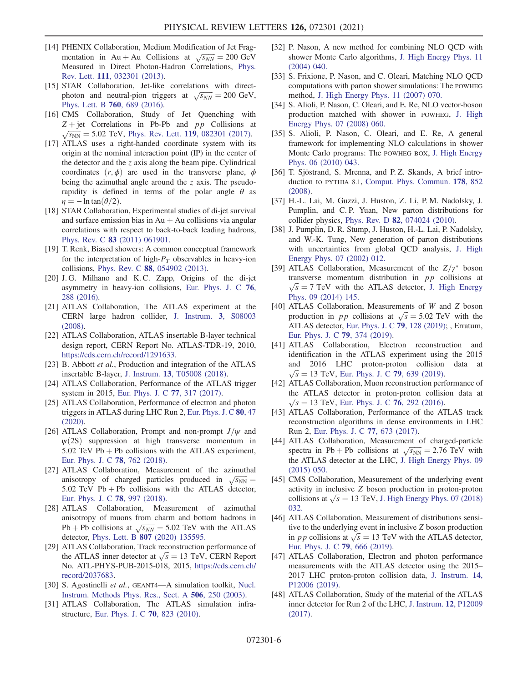- <span id="page-6-0"></span>[14] PHENIX Collaboration, Medium Modification of Jet Frag-PHENIX Collaboration, Medium Modification of Jet Fragmentation in Au + Au Collisions at  $\sqrt{s_{NN}} = 200 \text{ GeV}$ Measured in Direct Photon-Hadron Correlations, [Phys.](https://doi.org/10.1103/PhysRevLett.111.032301) Rev. Lett. 111[, 032301 \(2013\).](https://doi.org/10.1103/PhysRevLett.111.032301)
- [15] STAR Collaboration, Jet-like correlations with direct-STAR Collaboration, Jet-like correlations with direct-<br>photon and neutral-pion triggers at  $\sqrt{s_{NN}} = 200 \text{ GeV}$ , [Phys. Lett. B](https://doi.org/10.1016/j.physletb.2016.07.046) 760, 689 (2016).
- <span id="page-6-1"></span>[16] CMS Collaboration, Study of Jet Quenching with  $Z + jet$  Correlations in Pb-Pb and pp Collisions at  $\sqrt{s_{NN}}$  = 5.02 TeV, Phys. Rev. Lett. 119[, 082301 \(2017\).](https://doi.org/10.1103/PhysRevLett.119.082301)
- <span id="page-6-2"></span>[17] ATLAS uses a right-handed coordinate system with its origin at the nominal interaction point (IP) in the center of the detector and the  $\zeta$  axis along the beam pipe. Cylindrical coordinates  $(r, \phi)$  are used in the transverse plane,  $\phi$ being the azimuthal angle around the  $\zeta$  axis. The pseudorapidity is defined in terms of the polar angle  $\theta$  as  $\eta = -\ln \tan(\theta/2)$ .
- <span id="page-6-3"></span>[18] STAR Collaboration, Experimental studies of di-jet survival and surface emission bias in  $Au + Au$  collisions via angular correlations with respect to back-to-back leading hadrons, Phys. Rev. C 83 [\(2011\) 061901.](https://doi.org/10.1103/PhysRevC.83.061901)
- [19] T. Renk, Biased showers: A common conceptual framework for the interpretation of high- $P<sub>T</sub>$  observables in heavy-ion collisions, Phys. Rev. C 88[, 054902 \(2013\).](https://doi.org/10.1103/PhysRevC.88.054902)
- [20] J. G. Milhano and K. C. Zapp, Origins of the di-jet asymmetry in heavy-ion collisions, [Eur. Phys. J. C](https://doi.org/10.1140/epjc/s10052-016-4130-9) 76, [288 \(2016\).](https://doi.org/10.1140/epjc/s10052-016-4130-9)
- <span id="page-6-4"></span>[21] ATLAS Collaboration, The ATLAS experiment at the CERN large hadron collider, [J. Instrum.](https://doi.org/10.1088/1748-0221/3/08/S08003) 3, S08003 [\(2008\).](https://doi.org/10.1088/1748-0221/3/08/S08003)
- <span id="page-6-5"></span>[22] ATLAS Collaboration, ATLAS insertable B-layer technical design report, CERN Report No. ATLAS-TDR-19, 2010, [https://cds.cern.ch/record/1291633.](https://cds.cern.ch/record/1291633)
- [23] B. Abbott et al., Production and integration of the ATLAS insertable B-layer, J. Instrum. 13[, T05008 \(2018\).](https://doi.org/10.1088/1748-0221/13/05/T05008)
- <span id="page-6-6"></span>[24] ATLAS Collaboration, Performance of the ATLAS trigger system in 2015, [Eur. Phys. J. C](https://doi.org/10.1140/epjc/s10052-017-4852-3) 77, 317 (2017).
- [25] ATLAS Collaboration, Performance of electron and photon triggers in ATLAS during LHC Run 2, [Eur. Phys. J. C](https://doi.org/10.1140/epjc/s10052-019-7500-2) 80, 47 [\(2020\).](https://doi.org/10.1140/epjc/s10052-019-7500-2)
- [26] ATLAS Collaboration, Prompt and non-prompt  $J/\psi$  and  $\psi(2S)$  suppression at high transverse momentum in 5.02 TeV  $Pb + Pb$  collisions with the ATLAS experiment, [Eur. Phys. J. C](https://doi.org/10.1140/epjc/s10052-018-6219-9) 78, 762 (2018).
- <span id="page-6-7"></span>[27] ATLAS Collaboration, Measurement of the azimuthal ATLAS Conaboration, Measurement or the azimuthal<br>anisotropy of charged particles produced in  $\sqrt{s_{NN}} =$ 5.02 TeV  $Pb + Pb$  collisions with the ATLAS detector, [Eur. Phys. J. C](https://doi.org/10.1140/epjc/s10052-018-6468-7) 78, 997 (2018).
- <span id="page-6-19"></span>[28] ATLAS Collaboration, Measurement of azimuthal anisotropy of muons from charm and bottom hadrons in anisotropy or muons from charm and bottom hadrons in<br>Pb + Pb collisions at  $\sqrt{s_{NN}}$  = 5.02 TeV with the ATLAS detector, Phys. Lett. B 807 [\(2020\) 135595.](https://doi.org/10.1016/j.physletb.2020.135595)
- <span id="page-6-8"></span>[29] ATLAS Collaboration, Track reconstruction performance of ATLAS Collaboration, Track reconstruction performance of<br>the ATLAS inner detector at  $\sqrt{s} = 13$  TeV, CERN Report No. ATL-PHYS-PUB-2015-018, 2015, [https://cds.cern.ch/](https://cds.cern.ch/record/2037683) [record/2037683.](https://cds.cern.ch/record/2037683)
- <span id="page-6-9"></span>[30] S. Agostinelli et al., GEANT4-A simulation toolkit, [Nucl.](https://doi.org/10.1016/S0168-9002(03)01368-8) [Instrum. Methods Phys. Res., Sect. A](https://doi.org/10.1016/S0168-9002(03)01368-8) 506, 250 (2003).
- [31] ATLAS Collaboration, The ATLAS simulation infrastructure, [Eur. Phys. J. C](https://doi.org/10.1140/epjc/s10052-010-1429-9) 70, 823 (2010).
- <span id="page-6-10"></span>[32] P. Nason, A new method for combining NLO QCD with shower Monte Carlo algorithms, [J. High Energy Phys. 11](https://doi.org/10.1088/1126-6708/2004/11/040) [\(2004\) 040.](https://doi.org/10.1088/1126-6708/2004/11/040)
- [33] S. Frixione, P. Nason, and C. Oleari, Matching NLO QCD computations with parton shower simulations: The POWHEG method, [J. High Energy Phys. 11 \(2007\) 070.](https://doi.org/10.1088/1126-6708/2007/11/070)
- [34] S. Alioli, P. Nason, C. Oleari, and E. Re, NLO vector-boson production matched with shower in POWHEG, [J. High](https://doi.org/10.1088/1126-6708/2008/07/060) [Energy Phys. 07 \(2008\) 060.](https://doi.org/10.1088/1126-6708/2008/07/060)
- [35] S. Alioli, P. Nason, C. Oleari, and E. Re, A general framework for implementing NLO calculations in shower Monte Carlo programs: The POWHEG BOX, [J. High Energy](https://doi.org/10.1007/JHEP06(2010)043) [Phys. 06 \(2010\) 043.](https://doi.org/10.1007/JHEP06(2010)043)
- <span id="page-6-11"></span>[36] T. Sjöstrand, S. Mrenna, and P.Z. Skands, A brief introduction to PYTHIA 8.1, [Comput. Phys. Commun.](https://doi.org/10.1016/j.cpc.2008.01.036) 178, 852 [\(2008\).](https://doi.org/10.1016/j.cpc.2008.01.036)
- <span id="page-6-12"></span>[37] H.-L. Lai, M. Guzzi, J. Huston, Z. Li, P. M. Nadolsky, J. Pumplin, and C. P. Yuan, New parton distributions for collider physics, Phys. Rev. D 82[, 074024 \(2010\)](https://doi.org/10.1103/PhysRevD.82.074024).
- <span id="page-6-13"></span>[38] J. Pumplin, D. R. Stump, J. Huston, H.-L. Lai, P. Nadolsky, and W.-K. Tung, New generation of parton distributions with uncertainties from global QCD analysis, [J. High](https://doi.org/10.1088/1126-6708/2002/07/012) [Energy Phys. 07 \(2002\) 012.](https://doi.org/10.1088/1126-6708/2002/07/012)
- <span id="page-6-14"></span>[39] ATLAS Collaboration, Measurement of the  $Z/\gamma^*$  boson transverse momentum distribution in  $pp$  collisions at  $\sqrt{s}$  = 7 TeV with the ATLAS detector, [J. High Energy](https://doi.org/10.1007/JHEP09(2014)145) [Phys. 09 \(2014\) 145.](https://doi.org/10.1007/JHEP09(2014)145)
- [40] ATLAS Collaboration, Measurements of W and Z boson ATLAS Collaboration, Measurements of W and Z boson<br>production in pp collisions at  $\sqrt{s} = 5.02$  TeV with the ATLAS detector, [Eur. Phys. J. C](https://doi.org/10.1140/epjc/s10052-019-6622-x) 79, 128 (2019); , Erratum, [Eur. Phys. J. C](https://doi.org/10.1140/epjc/s10052-019-6870-9) 79, 374 (2019).
- <span id="page-6-15"></span>[41] ATLAS Collaboration, Electron reconstruction and identification in the ATLAS experiment using the 2015 and 2016 LHC proton-proton collision data at  $\sqrt{s}$  = 13 TeV, [Eur. Phys. J. C](https://doi.org/10.1140/epjc/s10052-019-7140-6) 79, 639 (2019).
- <span id="page-6-16"></span>[42] ATLAS Collaboration, Muon reconstruction performance of the ATLAS detector in proton-proton collision data at  $\sqrt{s}$  = 13 TeV, [Eur. Phys. J. C](https://doi.org/10.1140/epjc/s10052-016-4120-y) 76, 292 (2016).
- <span id="page-6-17"></span>[43] ATLAS Collaboration, Performance of the ATLAS track reconstruction algorithms in dense environments in LHC Run 2, [Eur. Phys. J. C](https://doi.org/10.1140/epjc/s10052-017-5225-7) 77, 673 (2017).
- <span id="page-6-18"></span>[44] ATLAS Collaboration, Measurement of charged-particle ATLAS Collaboration, Measurement of charged-particle<br>spectra in Pb + Pb collisions at  $\sqrt{s_{NN}} = 2.76$  TeV with the ATLAS detector at the LHC, [J. High Energy Phys. 09](https://doi.org/10.1007/JHEP09(2015)050) [\(2015\) 050.](https://doi.org/10.1007/JHEP09(2015)050)
- <span id="page-6-20"></span>[45] CMS Collaboration, Measurement of the underlying event activity in inclusive Z boson production in proton-proton activity in inclusive Z boson production in proton-proton<br>collisions at  $\sqrt{s} = 13$  TeV, [J. High Energy Phys. 07 \(2018\)](https://doi.org/10.1007/JHEP07(2018)032) [032.](https://doi.org/10.1007/JHEP07(2018)032)
- [46] ATLAS Collaboration, Measurement of distributions sensitive to the underlying event in inclusive Z boson production tive to the underlying event in inclusive Z boson production<br>in *pp* collisions at  $\sqrt{s} = 13$  TeV with the ATLAS detector, [Eur. Phys. J. C](https://doi.org/10.1140/epjc/s10052-019-7162-0) 79, 666 (2019).
- [47] ATLAS Collaboration, Electron and photon performance measurements with the ATLAS detector using the 2015– 2017 LHC proton-proton collision data, [J. Instrum.](https://doi.org/10.1088/1748-0221/14/12/P12006) 14, [P12006 \(2019\)](https://doi.org/10.1088/1748-0221/14/12/P12006).
- [48] ATLAS Collaboration, Study of the material of the ATLAS inner detector for Run 2 of the LHC, [J. Instrum.](https://doi.org/10.1088/1748-0221/12/12/P12009) 12, P12009 [\(2017\).](https://doi.org/10.1088/1748-0221/12/12/P12009)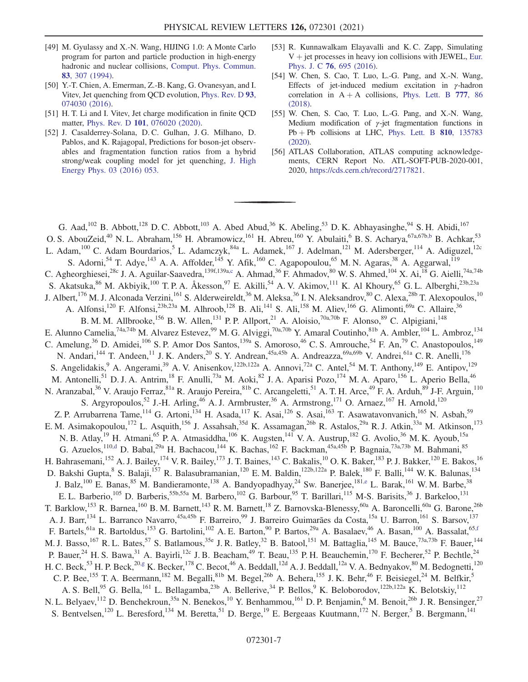- <span id="page-7-0"></span>[49] M. Gyulassy and X.-N. Wang, HIJING 1.0: A Monte Carlo program for parton and particle production in high-energy hadronic and nuclear collisions, [Comput. Phys. Commun.](https://doi.org/10.1016/0010-4655(94)90057-4) 83[, 307 \(1994\).](https://doi.org/10.1016/0010-4655(94)90057-4)
- <span id="page-7-1"></span>[50] Y.-T. Chien, A. Emerman, Z.-B. Kang, G. Ovanesyan, and I. Vitev, Jet quenching from QCD evolution, [Phys. Rev. D](https://doi.org/10.1103/PhysRevD.93.074030) 93, [074030 \(2016\).](https://doi.org/10.1103/PhysRevD.93.074030)
- [51] H. T. Li and I. Vitev, Jet charge modification in finite QCD matter, Phys. Rev. D 101[, 076020 \(2020\)](https://doi.org/10.1103/PhysRevD.101.076020).
- <span id="page-7-2"></span>[52] J. Casalderrey-Solana, D. C. Gulhan, J. G. Milhano, D. Pablos, and K. Rajagopal, Predictions for boson-jet observables and fragmentation function ratios from a hybrid strong/weak coupling model for jet quenching, [J. High](https://doi.org/10.1007/JHEP03(2016)053) [Energy Phys. 03 \(2016\) 053.](https://doi.org/10.1007/JHEP03(2016)053)
- <span id="page-7-3"></span>[53] R. Kunnawalkam Elayavalli and K. C. Zapp, Simulating  $V +$  jet processes in heavy ion collisions with JEWEL, [Eur.](https://doi.org/10.1140/epjc/s10052-016-4534-6) Phys. J. C 76[, 695 \(2016\).](https://doi.org/10.1140/epjc/s10052-016-4534-6)
- <span id="page-7-4"></span>[54] W. Chen, S. Cao, T. Luo, L.-G. Pang, and X.-N. Wang, Effects of jet-induced medium excitation in  $\gamma$ -hadron correlation in  $A + A$  collisions, [Phys. Lett. B](https://doi.org/10.1016/j.physletb.2017.12.015) 777, 86 [\(2018\)](https://doi.org/10.1016/j.physletb.2017.12.015).
- [55] W. Chen, S. Cao, T. Luo, L.-G. Pang, and X.-N. Wang, Medium modification of  $\gamma$ -jet fragmentation functions in  $Pb + Pb$  collisions at LHC, [Phys. Lett. B](https://doi.org/10.1016/j.physletb.2020.135783)  $810$ , 135783 [\(2020\).](https://doi.org/10.1016/j.physletb.2020.135783)
- <span id="page-7-5"></span>[56] ATLAS Collaboration, ATLAS computing acknowledgements, CERN Report No. ATL-SOFT-PUB-2020-001, 2020, <https://cds.cern.ch/record/2717821>.

<span id="page-7-11"></span><span id="page-7-10"></span><span id="page-7-9"></span><span id="page-7-8"></span><span id="page-7-7"></span><span id="page-7-6"></span>G. Aad,<sup>102</sup> B. Abbott,<sup>128</sup> D. C. Abbott,<sup>103</sup> A. Abed Abud,<sup>36</sup> K. Abeling,<sup>53</sup> D. K. Abhayasinghe,<sup>94</sup> S. H. Abidi,<sup>167</sup> O. S. AbouZeid,<sup>40</sup> N. L. Abraham,<sup>156</sup> H. Abramowicz,<sup>161</sup> H. Abreu,<sup>160</sup> Y. Abulaiti,<sup>6</sup> B. S. Acharya,<sup>67a,67b[,b](#page-19-0)</sup> B. Achkar,<sup>53</sup> L. Adam,<sup>100</sup> C. Adam Bourdarios,<sup>5</sup> L. Adamczyk,<sup>84a</sup> L. Adamek,<sup>167</sup> J. Adelman,<sup>121</sup> M. Adersberger,<sup>114</sup> A. Adiguzel,<sup>12c</sup> S. Adorni,<sup>54</sup> T. Adye,<sup>143</sup> A. A. Affolder,<sup>145</sup> Y. Afik,<sup>160</sup> C. Agapopoulou,<sup>65</sup> M. N. Agaras,<sup>38</sup> A. Aggarwal,<sup>119</sup> C. Agheorghiesei,<sup>28c</sup> J. A. Aguilar-Saavedra,<sup>139f,139[a,c](#page-19-1)</sup> A. Ahmad,<sup>36</sup> F. Ahmadov,<sup>80</sup> W. S. Ahmed,<sup>104</sup> X. Ai,<sup>18</sup> G. Aielli,<sup>74a,74b</sup> S. Akatsuka,  $86$  M. Akbiyik,<sup>100</sup> T. P. A. Åkesson,<sup>97</sup> E. Akilli,<sup>54</sup> A. V. Akimov,<sup>111</sup> K. Al Khoury,<sup>65</sup> G. L. Alberghi,<sup>23b,23a</sup> J. Albert,<sup>176</sup> M. J. Alconada Verzini,<sup>161</sup> S. Alderweireldt,<sup>36</sup> M. Aleksa,<sup>36</sup> I. N. Aleksandrov,<sup>80</sup> C. Alexa,<sup>28b</sup> T. Alexopoulos,<sup>10</sup> A. Alfonsi,<sup>120</sup> F. Alfonsi,<sup>23b,23a</sup> M. Alhroob,<sup>128</sup> B. Ali,<sup>141</sup> S. Ali,<sup>158</sup> M. Aliev,<sup>166</sup> G. Alimonti,<sup>69a</sup> C. Allaire,<sup>36</sup> B. M. M. Allbrooke,<sup>156</sup> B. W. Allen,<sup>131</sup> P. P. Allport,<sup>21</sup> A. Aloisio,<sup>70a,70b</sup> F. Alonso,<sup>89</sup> C. Alpigiani,<sup>148</sup> E. Alunno Camelia, <sup>74a,74b</sup> M. Alvarez Estevez, <sup>99</sup> M. G. Alviggi, <sup>70a,70b</sup> Y. Amaral Coutinho, <sup>81b</sup> A. Ambler, <sup>104</sup> L. Ambroz, <sup>134</sup> C. Amelung,<sup>36</sup> D. Amidei,<sup>106</sup> S. P. Amor Dos Santos,<sup>139a</sup> S. Amoroso,<sup>46</sup> C. S. Amrouche,<sup>54</sup> F. An,<sup>79</sup> C. Anastopoulos,<sup>149</sup> N. Andari,<sup>144</sup> T. Andeen,<sup>11</sup> J. K. Anders,<sup>20</sup> S. Y. Andrean,<sup>45a,45b</sup> A. Andreazza,<sup>69a,69b</sup> V. Andrei,<sup>61a</sup> C. R. Anelli,<sup>176</sup> S. Angelidakis, <sup>9</sup> A. Angerami, <sup>39</sup> A. V. Anisenkov, <sup>122b,122a</sup> A. Annovi, <sup>72a</sup> C. Antel, <sup>54</sup> M. T. Anthony, <sup>149</sup> E. Antipov, <sup>129</sup> M. Antonelli,<sup>51</sup> D. J. A. Antrim,<sup>18</sup> F. Anulli,<sup>73a</sup> M. Aoki,<sup>82</sup> J. A. Aparisi Pozo,<sup>174</sup> M. A. Aparo,<sup>156</sup> L. Aperio Bella,<sup>46</sup> N. Aranzabal,<sup>36</sup> V. Araujo Ferraz,<sup>81a</sup> R. Araujo Pereira,<sup>81b</sup> C. Arcangeletti,<sup>51</sup> A. T. H. Arce,<sup>49</sup> F. A. Arduh,<sup>89</sup> J-F. Arguin,<sup>110</sup> S. Argyropoulos,<sup>52</sup> J.-H. Arling,<sup>46</sup> A. J. Armbruster,<sup>36</sup> A. Armstrong,<sup>171</sup> O. Arnaez,<sup>167</sup> H. Arnold,<sup>120</sup> Z. P. Arrubarrena Tame, <sup>114</sup> G. Artoni, <sup>134</sup> H. Asada, <sup>117</sup> K. Asai, <sup>126</sup> S. Asai, <sup>163</sup> T. Asawatavonvanich, <sup>165</sup> N. Asbah, <sup>59</sup> E. M. Asimakopoulou,<sup>172</sup> L. Asquith,<sup>156</sup> J. Assahsah,<sup>35d</sup> K. Assamagan,<sup>26b</sup> R. Astalos,<sup>29a</sup> R. J. Atkin,<sup>33a</sup> M. Atkinson,<sup>173</sup> N. B. Atlay,<sup>19</sup> H. Atmani,<sup>65</sup> P. A. Atmasiddha,<sup>106</sup> K. Augsten,<sup>141</sup> V. A. Austrup,<sup>182</sup> G. Avolio,<sup>36</sup> M. K. Ayoub,<sup>15a</sup> G. Azuelos,  $^{110,d}$  $^{110,d}$  $^{110,d}$  D. Babal,  $^{29a}$  H. Bachacou,  $^{144}$  K. Bachas,  $^{162}$  F. Backman,  $^{45a,45b}$  P. Bagnaia,  $^{73a,73b}$  M. Bahmani,  $^{85}$ H. Bahrasemani,<sup>152</sup> A. J. Bailey,<sup>174</sup> V. R. Bailey,<sup>173</sup> J. T. Baines,<sup>143</sup> C. Bakalis,<sup>10</sup> O. K. Baker,<sup>183</sup> P. J. Bakker,<sup>120</sup> E. Bakos,<sup>16</sup> D. Bakshi Gupta, <sup>8</sup> S. Balaji,<sup>157</sup> R. Balasubramanian,<sup>120</sup> E. M. Baldin,<sup>122b,122a</sup> P. Balek,<sup>180</sup> F. Balli,<sup>144</sup> W. K. Balunas,<sup>134</sup> J. Balz,<sup>100</sup> E. Banas,<sup>85</sup> M. Bandieramonte,<sup>138</sup> A. Bandyopadhyay,<sup>24</sup> Sw. Banerjee,<sup>18[1,e](#page-19-3)</sup> L. Barak,<sup>161</sup> W. M. Barbe,<sup>38</sup> E. L. Barberio,<sup>105</sup> D. Barberis,<sup>55b,55a</sup> M. Barbero,<sup>102</sup> G. Barbour,<sup>95</sup> T. Barillari,<sup>115</sup> M-S. Barisits,<sup>36</sup> J. Barkeloo,<sup>131</sup> T. Barklow, <sup>153</sup> R. Barnea, <sup>160</sup> B. M. Barnett, <sup>143</sup> R. M. Barnett, <sup>18</sup> Z. Barnovska-Blenessy, <sup>60a</sup> A. Baroncelli, <sup>60a</sup> G. Barone, <sup>26b</sup> A. J. Barr,<sup>134</sup> L. Barranco Navarro,<sup>45a,45b</sup> F. Barreiro,<sup>99</sup> J. Barreiro Guimarães da Costa,<sup>15a</sup> U. Barron,<sup>161</sup> S. Barsov,<sup>137</sup> F. Bartels,<sup>61a</sup> R. Bartoldus,<sup>153</sup> G. Bartolini,<sup>102</sup> A. E. Barton,<sup>90</sup> P. Bartos,<sup>29a</sup> A. Basalaev,<sup>46</sup> A. Basan,<sup>100</sup> A. Bassalat,<sup>6[5,f](#page-19-4)</sup> M. J. Basso, <sup>167</sup> R. L. Bates, <sup>57</sup> S. Batlamous, <sup>35e</sup> J. R. Batley, <sup>32</sup> B. Batool, <sup>151</sup> M. Battaglia, <sup>145</sup> M. Bauce, <sup>73a, 73b</sup> F. Bauer, <sup>144</sup> P. Bauer,<sup>24</sup> H. S. Bawa,<sup>31</sup> A. Bayirli,<sup>12c</sup> J. B. Beacham,<sup>49</sup> T. Beau,<sup>135</sup> P. H. Beauchemin,<sup>170</sup> F. Becherer,<sup>52</sup> P. Bechtle,<sup>24</sup> H. C. Beck,<sup>53</sup> H. P. Beck,<sup>20[,g](#page-19-5)</sup> K. Becker,<sup>178</sup> C. Becot,<sup>46</sup> A. Beddall,<sup>12d</sup> A. J. Beddall,<sup>12a</sup> V. A. Bednyakov,<sup>80</sup> M. Bedognetti,<sup>120</sup> C. P. Bee,<sup>155</sup> T. A. Beermann,<sup>182</sup> M. Begalli,<sup>81b</sup> M. Begel,<sup>26b</sup> A. Behera,<sup>155</sup> J. K. Behr,<sup>46</sup> F. Beisiegel,<sup>24</sup> M. Belfkir,<sup>5</sup> A. S. Bell,<sup>95</sup> G. Bella,<sup>161</sup> L. Bellagamba,<sup>23b</sup> A. Bellerive,<sup>34</sup> P. Bellos,<sup>9</sup> K. Beloborodov,<sup>122b,122a</sup> K. Belotskiy,<sup>112</sup> N. L. Belyaev,<sup>112</sup> D. Benchekroun,<sup>35a</sup> N. Benekos,<sup>10</sup> Y. Benhammou,<sup>161</sup> D. P. Benjamin,<sup>6</sup> M. Benoit,<sup>26b</sup> J. R. Bensinger,<sup>27</sup> S. Bentvelsen,<sup>120</sup> L. Beresford,<sup>134</sup> M. Beretta,<sup>51</sup> D. Berge,<sup>19</sup> E. Bergeaas Kuutmann,<sup>172</sup> N. Berger,<sup>5</sup> B. Bergmann,<sup>141</sup>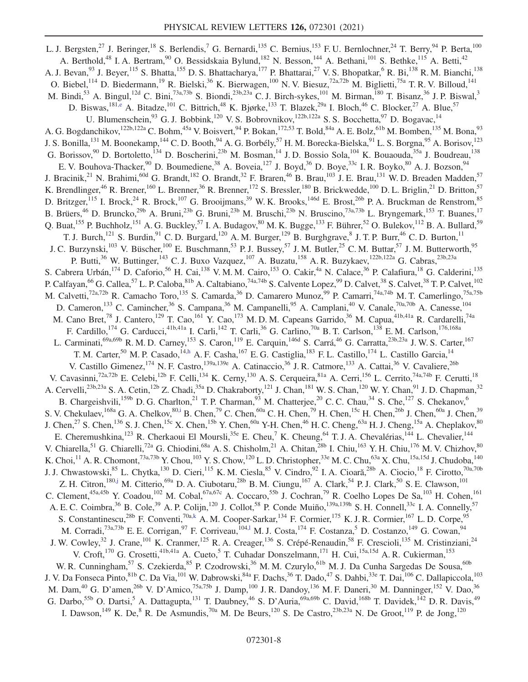<span id="page-8-4"></span><span id="page-8-3"></span><span id="page-8-2"></span><span id="page-8-1"></span><span id="page-8-0"></span>L. J. Bergsten,<sup>27</sup> J. Beringer,<sup>18</sup> S. Berlendis,<sup>7</sup> G. Bernardi,<sup>135</sup> C. Bernius,<sup>153</sup> F. U. Bernlochner,<sup>24</sup> T. Berry,<sup>94</sup> P. Berta,<sup>100</sup> A. Berthold,<sup>48</sup> I. A. Bertram,<sup>90</sup> O. Bessidskaia Bylund,<sup>182</sup> N. Besson,<sup>144</sup> A. Bethani,<sup>101</sup> S. Bethke,<sup>115</sup> A. Betti,<sup>42</sup> A. J. Bevan, <sup>93</sup> J. Beyer, <sup>115</sup> S. Bhatta, <sup>155</sup> D. S. Bhattacharya, <sup>177</sup> P. Bhattarai, <sup>27</sup> V. S. Bhopatkar, <sup>6</sup> R. Bi, <sup>138</sup> R. M. Bianchi, <sup>138</sup> O. Biebel,<sup>114</sup> D. Biedermann,<sup>19</sup> R. Bielski,<sup>36</sup> K. Bierwagen,<sup>100</sup> N. V. Biesuz,<sup>72a,72b</sup> M. Biglietti,<sup>75a</sup> T. R. V. Billoud,<sup>141</sup> M. Bindi,<sup>53</sup> A. Bingul,<sup>12d</sup> C. Bini,<sup>73a,73b</sup> S. Biondi,<sup>23b,23a</sup> C. J. Birch-sykes,<sup>101</sup> M. Birman,<sup>180</sup> T. Bisanz,<sup>36</sup> J. P. Biswal,<sup>3</sup> D. Biswas, <sup>181[,e](#page-19-3)</sup> A. Bitadze, <sup>101</sup> C. Bittrich, <sup>48</sup> K. Bjørke, <sup>133</sup> T. Blazek, <sup>29a</sup> I. Bloch, <sup>46</sup> C. Blocker, <sup>27</sup> A. Blue, <sup>57</sup> U. Blumenschein,<sup>93</sup> G. J. Bobbink,<sup>120</sup> V. S. Bobrovnikov,<sup>122b,122a</sup> S. S. Bocchetta,<sup>97</sup> D. Bogavac,<sup>14</sup> A. G. Bogdanchikov,<sup>122b,122a</sup> C. Bohm,<sup>45a</sup> V. Boisvert,<sup>94</sup> P. Bokan,<sup>172,53</sup> T. Bold,<sup>84a</sup> A. E. Bolz,<sup>61b</sup> M. Bomben,<sup>135</sup> M. Bona,<sup>93</sup> J. S. Bonilla, <sup>131</sup> M. Boonekamp, <sup>144</sup> C. D. Booth, <sup>94</sup> A. G. Borbély, <sup>57</sup> H. M. Borecka-Bielska, <sup>91</sup> L. S. Borgna, <sup>95</sup> A. Borisov, <sup>123</sup> G. Borissov,<sup>90</sup> D. Bortoletto,<sup>134</sup> D. Boscherini,<sup>23b</sup> M. Bosman,<sup>14</sup> J. D. Bossio Sola,<sup>104</sup> K. Bouaouda,<sup>35a</sup> J. Boudreau,<sup>138</sup> E. V. Bouhova-Thacker, <sup>90</sup> D. Boumediene, <sup>38</sup> A. Boveia, <sup>127</sup> J. Boyd, <sup>36</sup> D. Boye, <sup>33c</sup> I. R. Boyko, <sup>80</sup> A. J. Bozson, <sup>94</sup> J. Bracinik,<sup>21</sup> N. Brahimi,<sup>60d</sup> G. Brandt,<sup>182</sup> O. Brandt,<sup>32</sup> F. Braren,<sup>46</sup> B. Brau,<sup>103</sup> J. E. Brau,<sup>131</sup> W. D. Breaden Madden,<sup>57</sup> K. Brendlinger,<sup>46</sup> R. Brener,<sup>160</sup> L. Brenner,<sup>36</sup> R. Brenner,<sup>172</sup> S. Bressler,<sup>180</sup> B. Brickwedde,<sup>100</sup> D. L. Briglin,<sup>21</sup> D. Britton,<sup>57</sup> D. Britzger,  $^{115}$  I. Brock,  $^{24}$  R. Brock,  $^{107}$  G. Brooijmans,  $^{39}$  W. K. Brooks,  $^{146d}$  E. Brost,  $^{26b}$  P. A. Bruckman de Renstrom,  $^{85}$ B. Brüers,<sup>46</sup> D. Bruncko,<sup>29b</sup> A. Bruni,<sup>23b</sup> G. Bruni,<sup>23b</sup> M. Bruschi,<sup>23b</sup> N. Bruscino,<sup>73a,73b</sup> L. Bryngemark,<sup>153</sup> T. Buanes,<sup>17</sup> Q. Buat,  $^{155}$  P. Buchholz,  $^{151}$  A. G. Buckley,  $^{57}$  I. A. Budagov,  $^{80}$  M. K. Bugge,  $^{133}$  F. Bührer,  $^{52}$  O. Bulekov,  $^{112}$  B. A. Bullard,  $^{59}$ T. J. Burch,<sup>121</sup> S. Burdin,<sup>91</sup> C. D. Burgard,<sup>120</sup> A. M. Burger,<sup>129</sup> B. Burghgrave,<sup>8</sup> J. T. P. Burr,<sup>46</sup> C. D. Burton,<sup>11</sup> J. C. Burzynski,<sup>103</sup> V. Büscher,<sup>100</sup> E. Buschmann,<sup>53</sup> P. J. Bussey,<sup>57</sup> J. M. Butler,<sup>25</sup> C. M. Buttar,<sup>57</sup> J. M. Butterworth,<sup>95</sup> P. Butti,<sup>36</sup> W. Buttinger,<sup>143</sup> C. J. Buxo Vazquez,<sup>107</sup> A. Buzatu,<sup>158</sup> A. R. Buzykaev,<sup>122b,122a</sup> G. Cabras,<sup>23b,23a</sup> S. Cabrera Urbán,<sup>174</sup> D. Caforio,<sup>56</sup> H. Cai,<sup>138</sup> V. M. M. Cairo,<sup>153</sup> O. Cakir,<sup>4a</sup> N. Calace,<sup>36</sup> P. Calafiura,<sup>18</sup> G. Calderini,<sup>135</sup> P. Calfayan,<sup>66</sup> G. Callea,<sup>57</sup> L. P. Caloba,<sup>81b</sup> A. Caltabiano,<sup>74a,74b</sup> S. Calvente Lopez,<sup>99</sup> D. Calvet,<sup>38</sup> S. Calvet,<sup>38</sup> T. P. Calvet,<sup>102</sup> M. Calvetti,<sup>72a,72b</sup> R. Camacho Toro,<sup>135</sup> S. Camarda,<sup>36</sup> D. Camarero Munoz,<sup>99</sup> P. Camarri,<sup>74a,74b</sup> M. T. Camerlingo,<sup>75a,75b</sup> D. Cameron,<sup>133</sup> C. Camincher,<sup>36</sup> S. Campana,<sup>36</sup> M. Campanelli,<sup>95</sup> A. Camplani,<sup>40</sup> V. Canale,<sup>70a,70b</sup> A. Canesse,<sup>104</sup> M. Cano Bret,<sup>78</sup> J. Cantero,<sup>129</sup> T. Cao,<sup>161</sup> Y. Cao,<sup>173</sup> M. D. M. Capeans Garrido,<sup>36</sup> M. Capua,<sup>41b,41a</sup> R. Cardarelli,<sup>74a</sup> F. Cardillo,<sup>174</sup> G. Carducci,<sup>41b,41a</sup> I. Carli,<sup>142</sup> T. Carli,<sup>36</sup> G. Carlino,<sup>70a</sup> B. T. Carlson,<sup>138</sup> E. M. Carlson,<sup>176,168a</sup> L. Carminati,<sup>69a,69b</sup> R. M. D. Carney,<sup>153</sup> S. Caron,<sup>119</sup> E. Carquin,<sup>146d</sup> S. Carrá,<sup>46</sup> G. Carratta,<sup>23b,23a</sup> J. W. S. Carter,<sup>167</sup> T. M. Carter,<sup>50</sup> M. P. Casado,<sup>14[,h](#page-19-6)</sup> A. F. Casha,<sup>167</sup> E. G. Castiglia,<sup>183</sup> F. L. Castillo,<sup>174</sup> L. Castillo Garcia,<sup>14</sup> V. Castillo Gimenez, <sup>174</sup> N. F. Castro, <sup>139a, 139e</sup> A. Catinaccio, <sup>36</sup> J. R. Catmore, <sup>133</sup> A. Cattai, <sup>36</sup> V. Cavaliere, <sup>26b</sup> V. Cavasinni,<sup>72a,72b</sup> E. Celebi,<sup>12b</sup> F. Celli,<sup>134</sup> K. Cerny,<sup>130</sup> A. S. Cerqueira,<sup>81a</sup> A. Cerri,<sup>156</sup> L. Cerrito,<sup>74a,74b</sup> F. Cerutti,<sup>18</sup> A. Cervelli,<sup>23b,23a</sup> S. A. Cetin,<sup>12b</sup> Z. Chadi,<sup>35a</sup> D. Chakraborty,<sup>121</sup> J. Chan,<sup>181</sup> W. S. Chan,<sup>120</sup> W. Y. Chan,<sup>91</sup> J. D. Chapman,<sup>32</sup> B. Chargeishvili,<sup>159b</sup> D. G. Charlton,<sup>21</sup> T. P. Charman,<sup>93</sup> M. Chatterjee,<sup>20</sup> C. C. Chau,<sup>34</sup> S. Che,<sup>127</sup> S. Chekanov,<sup>6</sup> S. V. Chekulaev,  $^{168a}$  G. A. Chelkov,  $^{80,i}$  $^{80,i}$  $^{80,i}$  B. Chen,  $^{79}$  C. Chen,  $^{60a}$  C. H. Chen,  $^{79}$  H. Chen,  $^{15c}$  H. Chen,  $^{26b}$  J. Chen,  $^{60a}$  J. Chen,  $^{39}$ J. Chen,<sup>27</sup> S. Chen,<sup>136</sup> S. J. Chen,<sup>15c</sup> X. Chen,<sup>15b</sup> Y. Chen,<sup>60a</sup> Y-H. Chen,<sup>46</sup> H. C. Cheng,<sup>63a</sup> H. J. Cheng,<sup>15a</sup> A. Cheplakov,<sup>80</sup> E. Cheremushkina,<sup>123</sup> R. Cherkaoui El Moursli,<sup>35e</sup> E. Cheu,<sup>7</sup> K. Cheung,<sup>64</sup> T. J. A. Chevalérias,<sup>144</sup> L. Chevalier,<sup>144</sup> V. Chiarella,<sup>51</sup> G. Chiarelli,<sup>72a</sup> G. Chiodini,<sup>68a</sup> A. S. Chisholm,<sup>21</sup> A. Chitan,<sup>28b</sup> I. Chiu,<sup>163</sup> Y. H. Chiu,<sup>176</sup> M. V. Chizhov,<sup>80</sup> K. Choi,<sup>11</sup> A. R. Chomont,<sup>73a,73b</sup> Y. Chou,<sup>103</sup> Y. S. Chow,<sup>120</sup> L. D. Christopher,<sup>33e</sup> M. C. Chu,<sup>63a</sup> X. Chu,<sup>15a,15d</sup> J. Chudoba,<sup>140</sup> J. J. Chwastowski,<sup>85</sup> L. Chytka,<sup>130</sup> D. Cieri,<sup>115</sup> K. M. Ciesla,<sup>85</sup> V. Cindro,<sup>92</sup> I. A. Cioară,<sup>28b</sup> A. Ciocio,<sup>18</sup> F. Cirotto,<sup>70a,70b</sup> Z. H. Citron,<sup>180[,j](#page-19-8)</sup> M. Citterio,<sup>69a</sup> D. A. Ciubotaru,<sup>28b</sup> B. M. Ciungu,<sup>167</sup> A. Clark,<sup>54</sup> P. J. Clark,<sup>50</sup> S. E. Clawson,<sup>101</sup> C. Clement,  $45a,45b$  Y. Coadou,  $102$  M. Cobal,  $67a,67c$  A. Coccaro,  $55b$  J. Cochran,  $79$  R. Coelho Lopes De Sa,  $103$  H. Cohen,  $161$ A. E. C. Coimbra,<sup>36</sup> B. Cole,<sup>39</sup> A. P. Colijn,<sup>120</sup> J. Collot,<sup>58</sup> P. Conde Muiño,<sup>139a,139h</sup> S. H. Connell,<sup>33c</sup> I. A. Connelly,<sup>57</sup> S. Constantinescu,<sup>28b</sup> F. Conventi,<sup>70[a,k](#page-19-9)</sup> A. M. Cooper-Sarkar,<sup>134</sup> F. Cormier,<sup>175</sup> K. J. R. Cormier,<sup>167</sup> L. D. Corpe,<sup>95</sup> M. Corradi,<sup>73a,73b</sup> E. E. Corrigan,<sup>97</sup> F. Corriveau,<sup>104,1</sup> M. J. Costa,<sup>174</sup> F. Costanza,<sup>5</sup> D. Costanzo,<sup>149</sup> G. Cowan,<sup>94</sup> J. W. Cowley,<sup>32</sup> J. Crane,<sup>101</sup> K. Cranmer,<sup>125</sup> R. A. Creager,<sup>136</sup> S. Crépé-Renaudin,<sup>58</sup> F. Crescioli,<sup>135</sup> M. Cristinziani,<sup>24</sup> V. Croft,<sup>170</sup> G. Crosetti,<sup>41b,41a</sup> A. Cueto,<sup>5</sup> T. Cuhadar Donszelmann,<sup>171</sup> H. Cui,<sup>15a,15d</sup> A. R. Cukierman,<sup>153</sup> W. R. Cunningham,<sup>57</sup> S. Czekierda,<sup>85</sup> P. Czodrowski,<sup>36</sup> M. M. Czurylo,<sup>61b</sup> M. J. Da Cunha Sargedas De Sousa,<sup>60b</sup> J. V. Da Fonseca Pinto,<sup>81b</sup> C. Da Via,<sup>101</sup> W. Dabrowski,<sup>84a</sup> F. Dachs,<sup>36</sup> T. Dado,<sup>47</sup> S. Dahbi,<sup>33e</sup> T. Dai,<sup>106</sup> C. Dallapiccola,<sup>103</sup> M. Dam,<sup>40</sup> G. D'amen,<sup>26b</sup> V. D'Amico,<sup>75a,75b</sup> J. Damp,<sup>100</sup> J. R. Dandoy,<sup>136</sup> M. F. Daneri,<sup>30</sup> M. Danninger,<sup>152</sup> V. Dao,<sup>36</sup> G. Darbo,<sup>55b</sup> O. Dartsi,<sup>5</sup> A. Dattagupta,<sup>131</sup> T. Daubney,<sup>46</sup> S. D'Auria,<sup>69a,69b</sup> C. David,<sup>168b</sup> T. Davidek,<sup>142</sup> D. R. Davis,<sup>49</sup> I. Dawson,<sup>149</sup> K. De,<sup>8</sup> R. De Asmundis,<sup>70a</sup> M. De Beurs,<sup>120</sup> S. De Castro,<sup>23b,23a</sup> N. De Groot,<sup>119</sup> P. de Jong,<sup>120</sup>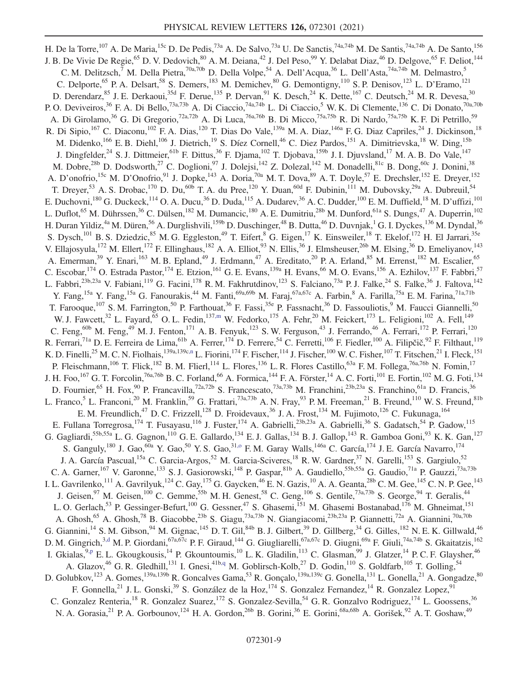<span id="page-9-4"></span><span id="page-9-3"></span><span id="page-9-2"></span><span id="page-9-1"></span><span id="page-9-0"></span>H. De la Torre,<sup>107</sup> A. De Maria,<sup>15c</sup> D. De Pedis,<sup>73a</sup> A. De Salvo,<sup>73a</sup> U. De Sanctis,<sup>74a,74b</sup> M. De Santis,<sup>74a,74b</sup> A. De Santo,<sup>156</sup> J. B. De Vivie De Regie,<sup>65</sup> D. V. Dedovich,<sup>80</sup> A. M. Deiana,<sup>42</sup> J. Del Peso,<sup>99</sup> Y. Delabat Diaz,<sup>46</sup> D. Delgove,<sup>65</sup> F. Deliot,<sup>144</sup> C. M. Delitzsch,<sup>7</sup> M. Della Pietra,<sup>70a,70b</sup> D. Della Volpe,<sup>54</sup> A. Dell'Acqua,<sup>36</sup> L. Dell'Asta,<sup>74a,74b</sup> M. Delmastro,<sup>5</sup> C. Delporte,<sup>65</sup> P. A. Delsart,<sup>58</sup> S. Demers,<sup>183</sup> M. Demichev,<sup>80</sup> G. Demontigny,<sup>110</sup> S. P. Denisov,<sup>123</sup> L. D'Eramo,<sup>121</sup> D. Derendarz,<sup>85</sup> J. E. Derkaoui,<sup>35d</sup> F. Derue,<sup>135</sup> P. Dervan,<sup>91</sup> K. Desch,<sup>24</sup> K. Dette,<sup>167</sup> C. Deutsch,<sup>24</sup> M. R. Devesa,<sup>30</sup> P. O. Deviveiros,<sup>36</sup> F. A. Di Bello,<sup>73a,73b</sup> A. Di Ciaccio,<sup>74a,74b</sup> L. Di Ciaccio,<sup>5</sup> W. K. Di Clemente,<sup>136</sup> C. Di Donato,<sup>70a,70b</sup> A. Di Girolamo,<sup>36</sup> G. Di Gregorio,<sup>72a,72b</sup> A. Di Luca,<sup>76a,76b</sup> B. Di Micco,<sup>75a,75b</sup> R. Di Nardo,<sup>75a,75b</sup> K. F. Di Petrillo,<sup>59</sup> R. Di Sipio,<sup>167</sup> C. Diaconu,<sup>102</sup> F. A. Dias,<sup>120</sup> T. Dias Do Vale,<sup>139a</sup> M. A. Diaz,<sup>146a</sup> F. G. Diaz Capriles,<sup>24</sup> J. Dickinson,<sup>18</sup> M. Didenko,<sup>166</sup> E. B. Diehl,<sup>106</sup> J. Dietrich,<sup>19</sup> S. Díez Cornell,<sup>46</sup> C. Diez Pardos,<sup>151</sup> A. Dimitrievska,<sup>18</sup> W. Ding,<sup>15b</sup> J. Dingfelder,<sup>24</sup> S. J. Dittmeier,<sup>61b</sup> F. Dittus,<sup>36</sup> F. Djama,<sup>102</sup> T. Djobava,<sup>159b</sup> J. I. Djuvsland,<sup>17</sup> M. A. B. Do Vale,<sup>147</sup> M. Dobre,<sup>28b</sup> D. Dodsworth,<sup>27</sup> C. Doglioni,<sup>97</sup> J. Dolejsi,<sup>142</sup> Z. Dolezal,<sup>142</sup> M. Donadelli,<sup>81c</sup> B. Dong,<sup>60c</sup> J. Donini,<sup>38</sup> A. D'onofrio,<sup>15c</sup> M. D'Onofrio,<sup>91</sup> J. Dopke,<sup>143</sup> A. Doria,<sup>70a</sup> M. T. Dova,<sup>89</sup> A. T. Doyle,<sup>57</sup> E. Drechsler,<sup>152</sup> E. Dreyer,<sup>152</sup> T. Dreyer,<sup>53</sup> A. S. Drobac,<sup>170</sup> D. Du,<sup>60b</sup> T. A. du Pree,<sup>120</sup> Y. Duan,<sup>60d</sup> F. Dubinin,<sup>111</sup> M. Dubovsky,<sup>29a</sup> A. Dubreuil,<sup>54</sup> E. Duchovni,<sup>180</sup> G. Duckeck,<sup>114</sup> O. A. Ducu,<sup>36</sup> D. Duda,<sup>115</sup> A. Dudarev,<sup>36</sup> A. C. Dudder,<sup>100</sup> E. M. Duffield,<sup>18</sup> M. D'uffizi,<sup>101</sup> L. Duflot,<sup>65</sup> M. Dührssen,<sup>36</sup> C. Dülsen,<sup>182</sup> M. Dumancic,<sup>180</sup> A. E. Dumitriu,<sup>28b</sup> M. Dunford,<sup>61a</sup> S. Dungs,<sup>47</sup> A. Duperrin,<sup>102</sup> H. Duran Yildiz,<sup>4a</sup> M. Düren,<sup>56</sup> A. Durglishvili,<sup>159b</sup> D. Duschinger,<sup>48</sup> B. Dutta,<sup>46</sup> D. Duvnjak,<sup>1</sup> G. I. Dyckes,<sup>136</sup> M. Dyndal,<sup>36</sup> S. Dysch,<sup>101</sup> B. S. Dziedzic,<sup>85</sup> M. G. Eggleston,<sup>49</sup> T. Eifert,<sup>8</sup> G. Eigen,<sup>17</sup> K. Einsweiler,<sup>18</sup> T. Ekelof,<sup>172</sup> H. El Jarrari,<sup>35e</sup> V. Ellajosyula,<sup>172</sup> M. Ellert,<sup>172</sup> F. Ellinghaus,<sup>182</sup> A. A. Elliot,<sup>93</sup> N. Ellis,<sup>36</sup> J. Elmsheuser,<sup>26b</sup> M. Elsing,<sup>36</sup> D. Emeliyanov,<sup>143</sup> A. Emerman,<sup>39</sup> Y. Enari,<sup>163</sup> M. B. Epland,<sup>49</sup> J. Erdmann,<sup>47</sup> A. Ereditato,<sup>20</sup> P. A. Erland,<sup>85</sup> M. Errenst,<sup>182</sup> M. Escalier,<sup>65</sup> C. Escobar,<sup>174</sup> O. Estrada Pastor,<sup>174</sup> E. Etzion,<sup>161</sup> G. E. Evans,<sup>139a</sup> H. Evans,<sup>66</sup> M. O. Evans,<sup>156</sup> A. Ezhilov,<sup>137</sup> F. Fabbri,<sup>57</sup> L. Fabbri,<sup>23b,23a</sup> V. Fabiani,<sup>119</sup> G. Facini,<sup>178</sup> R.M. Fakhrutdinov,<sup>123</sup> S. Falciano,<sup>73a</sup> P.J. Falke,<sup>24</sup> S. Falke,<sup>36</sup> J. Faltova,<sup>142</sup> Y. Fang,<sup>15a</sup> Y. Fang,<sup>15a</sup> G. Fanourakis,<sup>44</sup> M. Fanti,<sup>69a,69b</sup> M. Faraj,<sup>67a,67c</sup> A. Farbin,<sup>8</sup> A. Farilla,<sup>75a</sup> E.M. Farina,<sup>71a,71b</sup> T. Farooque,<sup>107</sup> S.M. Farrington,<sup>50</sup> P. Farthouat,<sup>36</sup> F. Fassi,<sup>35e</sup> P. Fassnacht,<sup>36</sup> D. Fassouliotis,<sup>9</sup> M. Faucci Giannelli,<sup>50</sup> W. J. Fawcett,<sup>32</sup> L. Fayard,<sup>65</sup> O. L. Fedin,<sup>13[7,m](#page-19-11)</sup> W. Fedorko,<sup>175</sup> A. Fehr,<sup>20</sup> M. Feickert,<sup>173</sup> L. Feligioni,<sup>102</sup> A. Fell,<sup>149</sup> C. Feng,<sup>60b</sup> M. Feng,<sup>49</sup> M. J. Fenton,<sup>171</sup> A. B. Fenyuk,<sup>123</sup> S. W. Ferguson,<sup>43</sup> J. Ferrando,<sup>46</sup> A. Ferrari,<sup>172</sup> P. Ferrari,<sup>120</sup> R. Ferrari,<sup>71a</sup> D. E. Ferreira de Lima,<sup>61b</sup> A. Ferrer,<sup>174</sup> D. Ferrere,<sup>54</sup> C. Ferretti,<sup>106</sup> F. Fiedler,<sup>100</sup> A. Filipčič,<sup>92</sup> F. Filthaut,<sup>119</sup> K. D. Finelli,<sup>25</sup> M. C. N. Fiolhais,<sup>139a,139c[,n](#page-20-0)</sup> L. Fiorini,<sup>174</sup> F. Fischer,<sup>114</sup> J. Fischer,<sup>100</sup> W. C. Fisher,<sup>107</sup> T. Fitschen,<sup>21</sup> I. Fleck,<sup>151</sup> P. Fleischmann,<sup>106</sup> T. Flick,<sup>182</sup> B. M. Flierl,<sup>114</sup> L. Flores,<sup>136</sup> L. R. Flores Castillo,<sup>63a</sup> F. M. Follega,<sup>76a,76b</sup> N. Fomin,<sup>17</sup> J. H. Foo,  $^{167}$  G. T. Forcolin,  $^{76a,76b}$  B. C. Forland,  $^{66}$  A. Formica,  $^{144}$  F. A. Förster,  $^{14}$  A. C. Forti,  $^{101}$  E. Fortin,  $^{102}$  M. G. Foti,  $^{134}$ D. Fournier,<sup>65</sup> H. Fox,<sup>90</sup> P. Francavilla,<sup>72a,72b</sup> S. Francescato,<sup>73a,73b</sup> M. Franchini,<sup>23b,23a</sup> S. Franchino,<sup>61a</sup> D. Francis,<sup>36</sup> L. Franco,<sup>5</sup> L. Franconi,<sup>20</sup> M. Franklin,<sup>59</sup> G. Frattari,<sup>73a,73b</sup> A. N. Fray,<sup>93</sup> P. M. Freeman,<sup>21</sup> B. Freund,<sup>110</sup> W. S. Freund,<sup>81b</sup> E. M. Freundlich,<sup>47</sup> D. C. Frizzell,<sup>128</sup> D. Froidevaux,<sup>36</sup> J. A. Frost,<sup>134</sup> M. Fujimoto,<sup>126</sup> C. Fukunaga,<sup>164</sup> E. Fullana Torregrosa,<sup>174</sup> T. Fusayasu,<sup>116</sup> J. Fuster,<sup>174</sup> A. Gabrielli,<sup>23b,23a</sup> A. Gabrielli,<sup>36</sup> S. Gadatsch,<sup>54</sup> P. Gadow,<sup>115</sup> G. Gagliardi,<sup>55b,55a</sup> L. G. Gagnon,<sup>110</sup> G. E. Gallardo,<sup>134</sup> E. J. Gallas,<sup>134</sup> B. J. Gallop,<sup>143</sup> R. Gamboa Goni,<sup>93</sup> K. K. Gan,<sup>127</sup> S. Ganguly,<sup>180</sup> J. Gao,<sup>60a</sup> Y. Gao,<sup>50</sup> Y. S. Gao,<sup>31,0</sup> F. M. Garay Walls,<sup>146a</sup> C. García,<sup>174</sup> J. E. García Navarro,<sup>174</sup> J. A. García Pascual,<sup>15a</sup> C. Garcia-Argos,<sup>52</sup> M. Garcia-Sciveres,<sup>18</sup> R. W. Gardner,<sup>37</sup> N. Garelli,<sup>153</sup> S. Gargiulo,<sup>52</sup> C. A. Garner,<sup>167</sup> V. Garonne,<sup>133</sup> S. J. Gasiorowski,<sup>148</sup> P. Gaspar,<sup>81b</sup> A. Gaudiello,<sup>55b,55a</sup> G. Gaudio,<sup>71a</sup> P. Gauzzi,<sup>73a,73b</sup> I. L. Gavrilenko,<sup>111</sup> A. Gavrilyuk,<sup>124</sup> C. Gay,<sup>175</sup> G. Gaycken,<sup>46</sup> E. N. Gazis,<sup>10</sup> A. A. Geanta,<sup>28b</sup> C. M. Gee,<sup>145</sup> C. N. P. Gee,<sup>143</sup> J. Geisen,<sup>97</sup> M. Geisen,<sup>100</sup> C. Gemme,<sup>55b</sup> M. H. Genest,<sup>58</sup> C. Geng,<sup>106</sup> S. Gentile,<sup>73a,73b</sup> S. George,<sup>94</sup> T. Geralis,<sup>44</sup> L. O. Gerlach,<sup>53</sup> P. Gessinger-Befurt,<sup>100</sup> G. Gessner,<sup>47</sup> S. Ghasemi,<sup>151</sup> M. Ghasemi Bostanabad,<sup>176</sup> M. Ghneimat,<sup>151</sup> A. Ghosh,<sup>65</sup> A. Ghosh,<sup>78</sup> B. Giacobbe,<sup>23b</sup> S. Giagu,<sup>73a,73b</sup> N. Giangiacomi,<sup>23b,23a</sup> P. Giannetti,<sup>72a</sup> A. Giannini,<sup>70a,70b</sup> G. Giannini,<sup>14</sup> S. M. Gibson,<sup>94</sup> M. Gignac,<sup>145</sup> D. T. Gil,<sup>84b</sup> B. J. Gilbert,<sup>39</sup> D. Gillberg,<sup>34</sup> G. Gilles,<sup>182</sup> N. E. K. Gillwald,<sup>46</sup> D. M. Gingrich,<sup>[3,d](#page-19-2)</sup> M. P. Giordani,<sup>67a,67c</sup> P. F. Giraud,<sup>144</sup> G. Giugliarelli,<sup>67a,67c</sup> D. Giugni,<sup>69a</sup> F. Giuli,<sup>74a,74b</sup> S. Gkaitatzis,<sup>162</sup> I. Gkialas,<sup>9[,p](#page-20-2)</sup> E. L. Gkougkousis,<sup>14</sup> P. Gkountoumis,<sup>10</sup> L. K. Gladilin,<sup>113</sup> C. Glasman,<sup>99</sup> J. Glatzer,<sup>14</sup> P. C. F. Glaysher,<sup>46</sup> A. Glazov,<sup>46</sup> G. R. Gledhill,<sup>131</sup> I. Gnesi,<sup>41[b,q](#page-20-3)</sup> M. Goblirsch-Kolb,<sup>27</sup> D. Godin,<sup>110</sup> S. Goldfarb,<sup>105</sup> T. Golling,<sup>54</sup> D. Golubkov,<sup>123</sup> A. Gomes,<sup>139a,139b</sup> R. Goncalves Gama,<sup>53</sup> R. Gonçalo,<sup>139a,139c</sup> G. Gonella,<sup>131</sup> L. Gonella,<sup>21</sup> A. Gongadze,<sup>80</sup> F. Gonnella,<sup>21</sup> J. L. Gonski,<sup>39</sup> S. González de la Hoz,<sup>174</sup> S. Gonzalez Fernandez,<sup>14</sup> R. Gonzalez Lopez,<sup>91</sup> C. Gonzalez Renteria,<sup>18</sup> R. Gonzalez Suarez,<sup>172</sup> S. Gonzalez-Sevilla,<sup>54</sup> G. R. Gonzalvo Rodriguez,<sup>174</sup> L. Goossens,<sup>36</sup> N. A. Gorasia, <sup>21</sup> P. A. Gorbounov,<sup>124</sup> H. A. Gordon, <sup>26b</sup> B. Gorini, <sup>36</sup> E. Gorini, <sup>68a,68b</sup> A. Gorišek, <sup>92</sup> A. T. Goshaw, <sup>49</sup>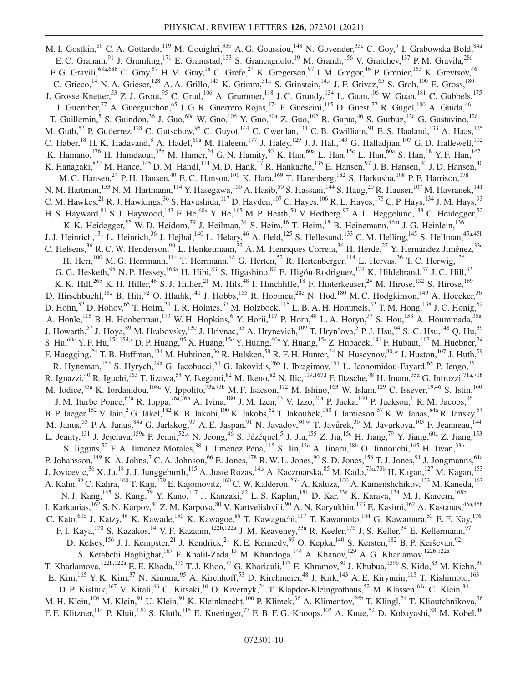<span id="page-10-6"></span><span id="page-10-5"></span><span id="page-10-4"></span><span id="page-10-3"></span><span id="page-10-2"></span><span id="page-10-1"></span><span id="page-10-0"></span>M. I. Gostkin, <sup>80</sup> C. A. Gottardo, <sup>119</sup> M. Gouighri, <sup>35b</sup> A. G. Goussiou, <sup>148</sup> N. Govender, <sup>33c</sup> C. Goy, <sup>5</sup> I. Grabowska-Bold, <sup>84a</sup> E. C. Graham, <sup>91</sup> J. Gramling, <sup>171</sup> E. Gramstad, <sup>133</sup> S. Grancagnolo, <sup>19</sup> M. Grandi, <sup>156</sup> V. Gratchev, <sup>137</sup> P. M. Gravila, <sup>28f</sup> F. G. Gravili,<sup>68a,68b</sup> C. Gray,<sup>57</sup> H. M. Gray,<sup>18</sup> C. Grefe,<sup>24</sup> K. Gregersen,<sup>97</sup> I. M. Gregor,<sup>46</sup> P. Grenier,<sup>153</sup> K. Grevtsov,<sup>46</sup> C. Grieco,<sup>14</sup> N. A. Grieser,<sup>128</sup> A. A. Grillo,<sup>145</sup> K. Grimm,<sup>31[,r](#page-20-4)</sup> S. Grinstein,<sup>14[,s](#page-20-5)</sup> J.-F. Grivaz,<sup>65</sup> S. Groh,<sup>100</sup> E. Gross,<sup>180</sup> J. Grosse-Knetter,<sup>53</sup> Z. J. Grout,<sup>95</sup> C. Grud,<sup>106</sup> A. Grummer,<sup>118</sup> J. C. Grundy,<sup>134</sup> L. Guan,<sup>106</sup> W. Guan,<sup>181</sup> C. Gubbels,<sup>175</sup> J. Guenther,<sup>77</sup> A. Guerguichon,<sup>65</sup> J. G. R. Guerrero Rojas,<sup>174</sup> F. Guescini,<sup>115</sup> D. Guest,<sup>77</sup> R. Gugel,<sup>100</sup> A. Guida,<sup>46</sup> T. Guillemin,<sup>5</sup> S. Guindon,<sup>36</sup> J. Guo,<sup>60c</sup> W. Guo,<sup>106</sup> Y. Guo,<sup>60a</sup> Z. Guo,<sup>102</sup> R. Gupta,<sup>46</sup> S. Gurbuz,<sup>12c</sup> G. Gustavino,<sup>128</sup> M. Guth, <sup>52</sup> P. Gutierrez, <sup>128</sup> C. Gutschow, <sup>95</sup> C. Guyot, <sup>144</sup> C. Gwenlan, <sup>134</sup> C. B. Gwilliam, <sup>91</sup> E. S. Haaland, <sup>133</sup> A. Haas, <sup>125</sup> C. Haber,<sup>18</sup> H. K. Hadavand, <sup>8</sup> A. Hadef,<sup>60a</sup> M. Haleem,<sup>177</sup> J. Haley,<sup>129</sup> J. J. Hall,<sup>149</sup> G. Halladjian,<sup>107</sup> G. D. Hallewell,<sup>102</sup> K. Hamano,  $^{176}$  H. Hamdaoui,  $^{35e}$  M. Hamer,  $^{24}$  G. N. Hamity,  $^{50}$  K. Han,  $^{60a}$  L. Han,  $^{15c}$  L. Han,  $^{60a}$  S. Han,  $^{18}$  Y. F. Han,  $^{167}$ K. Hanagaki, $82, t$  M. Hance, $145$  D. M. Handl, $114$  M. D. Hank, $37$  R. Hankache, $135$  E. Hansen, $97$  J. B. Hansen, $40$  J. D. Hansen, $40$ M. C. Hansen,<sup>24</sup> P. H. Hansen,<sup>40</sup> E. C. Hanson,<sup>101</sup> K. Hara,<sup>169</sup> T. Harenberg,<sup>182</sup> S. Harkusha,<sup>108</sup> P. F. Harrison,<sup>178</sup> N. M. Hartman,<sup>153</sup> N. M. Hartmann,<sup>114</sup> Y. Hasegawa,<sup>150</sup> A. Hasib,<sup>50</sup> S. Hassani,<sup>144</sup> S. Haug,<sup>20</sup> R. Hauser,<sup>107</sup> M. Havranek,<sup>141</sup> C. M. Hawkes,  $^{21}$  R. J. Hawkings,  $^{36}$  S. Hayashida,  $^{117}$  D. Hayden,  $^{107}$  C. Hayes,  $^{106}$  R. L. Hayes,  $^{175}$  C. P. Hays,  $^{134}$  J. M. Hays,  $^{93}$ H. S. Hayward, <sup>91</sup> S. J. Haywood, <sup>143</sup> F. He, <sup>60a</sup> Y. He, <sup>165</sup> M. P. Heath, <sup>50</sup> V. Hedberg, <sup>97</sup> A. L. Heggelund, <sup>133</sup> C. Heidegger, <sup>52</sup> K. K. Heidegger,<sup>52</sup> W. D. Heidorn,<sup>79</sup> J. Heilman,<sup>34</sup> S. Heim,<sup>46</sup> T. Heim,<sup>18</sup> B. Heinemann,<sup>46[,u](#page-20-7)</sup> J. G. Heinlein,<sup>136</sup> J. J. Heinrich,<sup>131</sup> L. Heinrich,<sup>36</sup> J. Hejbal,<sup>140</sup> L. Helary,<sup>46</sup> A. Held,<sup>125</sup> S. Hellesund,<sup>133</sup> C. M. Helling,<sup>145</sup> S. Hellman,<sup>45a,45b</sup> C. Helsens,  $36$  R. C. W. Henderson,  $90$  L. Henkelmann,  $32$  A. M. Henriques Correia,  $36$  H. Herde,  $27$  Y. Hernández Jiménez,  $33$ e H. Herr,<sup>100</sup> M. G. Herrmann,<sup>114</sup> T. Herrmann,<sup>48</sup> G. Herten,<sup>52</sup> R. Hertenberger,<sup>114</sup> L. Hervas,<sup>36</sup> T. C. Herwig,<sup>136</sup> G. G. Hesketh,<sup>95</sup> N. P. Hessey,<sup>168a</sup> H. Hibi,<sup>83</sup> S. Higashino,<sup>82</sup> E. Higón-Rodriguez,<sup>174</sup> K. Hildebrand,<sup>37</sup> J. C. Hill,<sup>32</sup> K. K. Hill,<sup>26b</sup> K. H. Hiller,<sup>46</sup> S. J. Hillier,<sup>21</sup> M. Hils,<sup>48</sup> I. Hinchliffe,<sup>18</sup> F. Hinterkeuser,<sup>24</sup> M. Hirose,<sup>132</sup> S. Hirose,<sup>169</sup> D. Hirschbuehl,<sup>182</sup> B. Hiti,<sup>92</sup> O. Hladik,<sup>140</sup> J. Hobbs,<sup>155</sup> R. Hobincu,<sup>28e</sup> N. Hod,<sup>180</sup> M. C. Hodgkinson,<sup>149</sup> A. Hoecker,<sup>36</sup> D. Hohn,<sup>52</sup> D. Hohov,<sup>65</sup> T. Holm,<sup>24</sup> T. R. Holmes,<sup>37</sup> M. Holzbock,<sup>115</sup> L. B. A. H. Hommels,<sup>32</sup> T. M. Hong,<sup>138</sup> J. C. Honig,<sup>52</sup> A. Hönle,<sup>115</sup> B. H. Hooberman,<sup>173</sup> W. H. Hopkins,<sup>6</sup> Y. Horii,<sup>117</sup> P. Horn,<sup>48</sup> L. A. Horyn,<sup>37</sup> S. Hou,<sup>158</sup> A. Hoummada,<sup>35a</sup> J. Howarth,<sup>57</sup> J. Hoya,<sup>89</sup> M. Hrabovsky,<sup>130</sup> J. Hrivnac,<sup>65</sup> A. Hrynevich,<sup>109</sup> T. Hryn'ova,<sup>5</sup> P. J. Hsu,<sup>64</sup> S.-C. Hsu,<sup>148</sup> Q. Hu,<sup>39</sup> S. Hu,<sup>60c</sup> Y. F. Hu,<sup>15a,15[d,v](#page-20-8)</sup> D. P. Huang,<sup>95</sup> X. Huang,<sup>15c</sup> Y. Huang,<sup>60a</sup> Y. Huang,<sup>15a</sup> Z. Hubacek,<sup>141</sup> F. Hubaut,<sup>102</sup> M. Huebner,<sup>24</sup> F. Huegging,<sup>24</sup> T. B. Huffman,<sup>134</sup> M. Huhtinen,<sup>36</sup> R. Hulsken,<sup>58</sup> R. F. H. Hunter,<sup>34</sup> N. Huseynov,<sup>8[0,w](#page-20-9)</sup> J. Huston,<sup>107</sup> J. Huth,<sup>59</sup> R. Hyneman,<sup>153</sup> S. Hyrych,<sup>29a</sup> G. Iacobucci,<sup>54</sup> G. Iakovidis,<sup>26b</sup> I. Ibragimov,<sup>151</sup> L. Iconomidou-Fayard,<sup>65</sup> P. Iengo,<sup>36</sup> R. Ignazzi,<sup>40</sup> R. Iguchi,<sup>163</sup> T. Iizawa,<sup>54</sup> Y. Ikegami,<sup>82</sup> M. Ikeno,<sup>82</sup> N. Ilic,<sup>119,167,1</sup> F. Iltzsche,<sup>48</sup> H. Imam,<sup>35a</sup> G. Introzzi,<sup>71a,71b</sup> M. Iodice,<sup>75a</sup> K. Iordanidou,<sup>168a</sup> V. Ippolito,<sup>73a,73b</sup> M. F. Isacson,<sup>172</sup> M. Ishino,<sup>163</sup> W. Islam,<sup>129</sup> C. Issever,<sup>19,46</sup> S. Istin,<sup>160</sup> J. M. Iturbe Ponce,<sup>63a</sup> R. Iuppa,<sup>76a,76b</sup> A. Ivina,<sup>180</sup> J. M. Izen,<sup>43</sup> V. Izzo,<sup>70a</sup> P. Jacka,<sup>140</sup> P. Jackson,<sup>1</sup> R. M. Jacobs,<sup>46</sup> B. P. Jaeger,<sup>152</sup> V. Jain,<sup>2</sup> G. Jäkel,<sup>182</sup> K. B. Jakobi,<sup>100</sup> K. Jakobs,<sup>52</sup> T. Jakoubek,<sup>180</sup> J. Jamieson,<sup>57</sup> K. W. Janas,<sup>84a</sup> R. Jansky,<sup>54</sup> M. Janus,<sup>53</sup> P. A. Janus,<sup>84a</sup> G. Jarlskog,<sup>97</sup> A. E. Jaspan,<sup>91</sup> N. Javadov,<sup>80[,w](#page-20-9)</sup> T. Javůrek,<sup>36</sup> M. Javurkova,<sup>103</sup> F. Jeanneau,<sup>144</sup> L. Jeanty,<sup>131</sup> J. Jejelava,<sup>159a</sup> P. Jenni,<sup>5[2,x](#page-20-10)</sup> N. Jeong,<sup>46</sup> S. Jézéquel,<sup>5</sup> J. Jia,<sup>155</sup> Z. Jia,<sup>15c</sup> H. Jiang,<sup>79</sup> Y. Jiang,<sup>60a</sup> Z. Jiang,<sup>153</sup> S. Jiggins,<sup>52</sup> F. A. Jimenez Morales,<sup>38</sup> J. Jimenez Pena,<sup>115</sup> S. Jin,<sup>15c</sup> A. Jinaru,<sup>28b</sup> O. Jinnouchi,<sup>165</sup> H. Jivan,<sup>33e</sup> P. Johansson,<sup>149</sup> K. A. Johns,<sup>7</sup> C. A. Johnson,<sup>66</sup> E. Jones,<sup>178</sup> R. W. L. Jones,<sup>90</sup> S. D. Jones,<sup>156</sup> T. J. Jones,<sup>91</sup> J. Jongmanns,<sup>61a</sup> J. Jovicevic,<sup>36</sup> X. Ju,<sup>18</sup> J. J. Junggeburth,<sup>115</sup> A. Juste Rozas,<sup>1[4,s](#page-20-5)</sup> A. Kaczmarska,<sup>85</sup> M. Kado,<sup>73a,73b</sup> H. Kagan,<sup>127</sup> M. Kagan,<sup>153</sup> A. Kahn,<sup>39</sup> C. Kahra,<sup>100</sup> T. Kaji,<sup>179</sup> E. Kajomovitz, <sup>160</sup> C. W. Kalderon,<sup>26b</sup> A. Kaluza,<sup>100</sup> A. Kamenshchikov,<sup>123</sup> M. Kaneda,<sup>163</sup> N. J. Kang, <sup>145</sup> S. Kang, <sup>79</sup> Y. Kano, <sup>117</sup> J. Kanzaki, <sup>82</sup> L. S. Kaplan, <sup>181</sup> D. Kar, <sup>33e</sup> K. Karava, <sup>134</sup> M. J. Kareem, <sup>168b</sup> I. Karkanias, <sup>162</sup> S. N. Karpov, <sup>80</sup> Z. M. Karpova, <sup>80</sup> V. Kartvelishvili, <sup>90</sup> A. N. Karyukhin, <sup>123</sup> E. Kasimi, <sup>162</sup> A. Kastanas, <sup>45a, 45b</sup> C. Kato,<sup>60d</sup> J. Katzy,<sup>46</sup> K. Kawade,<sup>150</sup> K. Kawagoe,<sup>88</sup> T. Kawaguchi,<sup>117</sup> T. Kawamoto,<sup>144</sup> G. Kawamura,<sup>53</sup> E. F. Kay,<sup>176</sup> F. I. Kaya,<sup>170</sup> S. Kazakos,<sup>14</sup> V. F. Kazanin,<sup>122b,122a</sup> J. M. Keaveney,<sup>33a</sup> R. Keeler,<sup>176</sup> J. S. Keller,<sup>34</sup> E. Kellermann,<sup>97</sup> D. Kelsey,<sup>156</sup> J. J. Kempster,<sup>21</sup> J. Kendrick,<sup>21</sup> K. E. Kennedy,<sup>39</sup> O. Kepka,<sup>140</sup> S. Kersten,<sup>182</sup> B. P. Kerševan,<sup>92</sup> S. Ketabchi Haghighat,<sup>167</sup> F. Khalil-Zada,<sup>13</sup> M. Khandoga,<sup>144</sup> A. Khanov,<sup>129</sup> A. G. Kharlamov,<sup>122b,122a</sup> T. Kharlamova,<sup>122b,122a</sup> E. E. Khoda,<sup>175</sup> T. J. Khoo,<sup>77</sup> G. Khoriauli,<sup>177</sup> E. Khramov,<sup>80</sup> J. Khubua,<sup>159b</sup> S. Kido,<sup>83</sup> M. Kiehn,<sup>36</sup> E. Kim,  $^{165}$  Y. K. Kim,  $^{37}$  N. Kimura,  $^{95}$  A. Kirchhoff,  $^{53}$  D. Kirchmeier,  $^{48}$  J. Kirk,  $^{143}$  A. E. Kiryunin,  $^{115}$  T. Kishimoto,  $^{163}$ D. P. Kisliuk,<sup>167</sup> V. Kitali,<sup>46</sup> C. Kitsaki,<sup>10</sup> O. Kivernyk,<sup>24</sup> T. Klapdor-Kleingrothaus,<sup>52</sup> M. Klassen,<sup>61a</sup> C. Klein,<sup>34</sup> M. H. Klein,<sup>106</sup> M. Klein,<sup>91</sup> U. Klein,<sup>91</sup> K. Kleinknecht,<sup>100</sup> P. Klimek,<sup>36</sup> A. Klimentov,<sup>26b</sup> T. Klingl,<sup>24</sup> T. Klioutchnikova,<sup>36</sup> F. F. Klitzner, <sup>114</sup> P. Kluit, <sup>120</sup> S. Kluth, <sup>115</sup> E. Kneringer, <sup>77</sup> E. B. F. G. Knoops, <sup>102</sup> A. Knue, <sup>52</sup> D. Kobayashi, <sup>88</sup> M. Kobel, <sup>48</sup>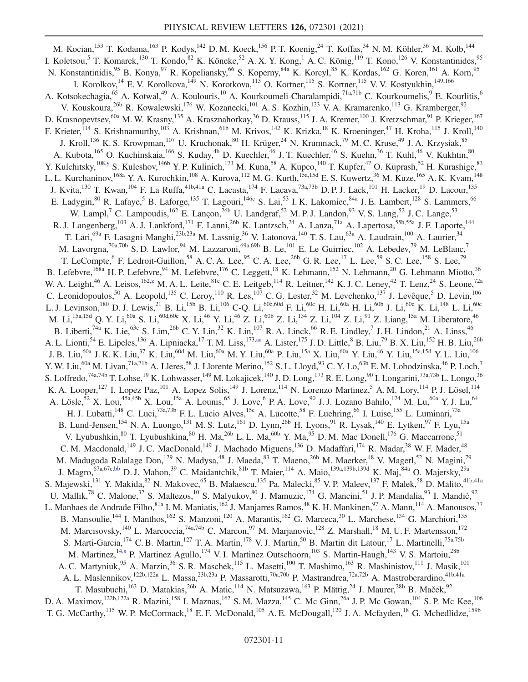<span id="page-11-3"></span><span id="page-11-2"></span><span id="page-11-1"></span><span id="page-11-0"></span>M. Kocian, <sup>153</sup> T. Kodama, <sup>163</sup> P. Kodys, <sup>142</sup> D. M. Koeck, <sup>156</sup> P. T. Koenig, <sup>24</sup> T. Koffas, <sup>34</sup> N. M. Köhler, <sup>36</sup> M. Kolb, <sup>144</sup> I. Koletsou,<sup>5</sup> T. Komarek,<sup>130</sup> T. Kondo,<sup>82</sup> K. Köneke,<sup>52</sup> A. X. Y. Kong,<sup>1</sup> A. C. König,<sup>119</sup> T. Kono,<sup>126</sup> V. Konstantinides,<sup>95</sup> N. Konstantinidis,<sup>95</sup> B. Konya,<sup>97</sup> R. Kopeliansky,<sup>66</sup> S. Koperny,<sup>84a</sup> K. Korcyl,<sup>85</sup> K. Kordas,<sup>162</sup> G. Koren,<sup>161</sup> A. Korn,<sup>95</sup> I. Korolkov,<sup>14</sup> E. V. Korolkova,<sup>149</sup> N. Korotkova,<sup>113</sup> O. Kortner,<sup>115</sup> S. Kortner,<sup>115</sup> V. V. Kostyukhin,<sup>149,166</sup> A. Kotsokechagia,<sup>65</sup> A. Kotwal,<sup>49</sup> A. Koulouris,<sup>10</sup> A. Kourkoumeli-Charalampidi,<sup>71a,71b</sup> C. Kourkoumelis,<sup>9</sup> E. Kourlitis,<sup>6</sup> V. Kouskoura,<sup>26b</sup> R. Kowalewski,<sup>176</sup> W. Kozanecki,<sup>101</sup> A. S. Kozhin,<sup>123</sup> V. A. Kramarenko,<sup>113</sup> G. Kramberger,<sup>92</sup> D. Krasnopevtsev,<sup>60a</sup> M. W. Krasny,<sup>135</sup> A. Krasznahorkay,<sup>36</sup> D. Krauss,<sup>115</sup> J. A. Kremer,<sup>100</sup> J. Kretzschmar,<sup>91</sup> P. Krieger,<sup>167</sup> F. Krieter,<sup>114</sup> S. Krishnamurthy,<sup>103</sup> A. Krishnan,<sup>61b</sup> M. Krivos,<sup>142</sup> K. Krizka,<sup>18</sup> K. Kroeninger,<sup>47</sup> H. Kroha,<sup>115</sup> J. Kroll,<sup>140</sup> J. Kroll,<sup>136</sup> K. S. Krowpman,<sup>107</sup> U. Kruchonak,<sup>80</sup> H. Krüger,<sup>24</sup> N. Krumnack,<sup>79</sup> M. C. Kruse,<sup>49</sup> J. A. Krzysiak,<sup>85</sup> A. Kubota, <sup>165</sup> O. Kuchinskaia, <sup>166</sup> S. Kuday, <sup>4b</sup> D. Kuechler, <sup>46</sup> J. T. Kuechler, <sup>46</sup> S. Kuehn, <sup>36</sup> T. Kuhl, <sup>46</sup> V. Kukhtin, <sup>80</sup> Y. Kulchitsky,<sup>108[,y](#page-20-11)</sup> S. Kuleshov,<sup>146b</sup> Y. P. Kulinich,<sup>173</sup> M. Kuna,<sup>58</sup> A. Kupco,<sup>140</sup> T. Kupfer,<sup>47</sup> O. Kuprash,<sup>52</sup> H. Kurashige,<sup>83</sup> L. L. Kurchaninov, <sup>168a</sup> Y. A. Kurochkin, <sup>108</sup> A. Kurova, <sup>112</sup> M. G. Kurth, <sup>15a, 15d</sup> E. S. Kuwertz, <sup>36</sup> M. Kuze, <sup>165</sup> A. K. Kvam, <sup>148</sup> J. Kvita,<sup>130</sup> T. Kwan,<sup>104</sup> F. La Ruffa,<sup>41b,41a</sup> C. Lacasta,<sup>174</sup> F. Lacava,<sup>73a,73b</sup> D. P. J. Lack,<sup>101</sup> H. Lacker,<sup>19</sup> D. Lacour,<sup>135</sup> E. Ladygin,  ${}^{80}$  R. Lafaye,  ${}^{5}$  B. Laforge,  ${}^{135}$  T. Lagouri,  ${}^{146c}$  S. Lai,  ${}^{53}$  I. K. Lakomiec,  ${}^{84a}$  J. E. Lambert,  ${}^{128}$  S. Lammers,  ${}^{66}$ W. Lampl,<sup>7</sup> C. Lampoudis,<sup>162</sup> E. Lançon,<sup>26b</sup> U. Landgraf,<sup>52</sup> M. P. J. Landon,<sup>93</sup> V. S. Lang,<sup>52</sup> J. C. Lange,<sup>53</sup> R. J. Langenberg,<sup>103</sup> A. J. Lankford,<sup>171</sup> F. Lanni,<sup>26b</sup> K. Lantzsch,<sup>24</sup> A. Lanza,<sup>71a</sup> A. Lapertosa,<sup>55b,55a</sup> J. F. Laporte,<sup>144</sup> T. Lari,<sup>69a</sup> F. Lasagni Manghi,<sup>23b,23a</sup> M. Lassnig,<sup>36</sup> V. Latonova,<sup>140</sup> T. S. Lau,<sup>63a</sup> A. Laudrain,<sup>100</sup> A. Laurier,<sup>34</sup> M. Lavorgna,<sup>70a,70b</sup> S. D. Lawlor,<sup>94</sup> M. Lazzaroni,<sup>69a,69b</sup> B. Le,<sup>101</sup> E. Le Guirriec,<sup>102</sup> A. Lebedev,<sup>79</sup> M. LeBlanc,<sup>7</sup> T. LeCompte,  $6$  F. Ledroit-Guillon,  $58$  A. C. A. Lee,  $95$  C. A. Lee,  $26$  G. R. Lee,  $17$  L. Lee,  $59$  S. C. Lee,  $158$  S. Lee,  $79$ B. Lefebvre,<sup>168a</sup> H. P. Lefebvre,<sup>94</sup> M. Lefebvre,<sup>176</sup> C. Leggett,<sup>18</sup> K. Lehmann,<sup>152</sup> N. Lehmann,<sup>20</sup> G. Lehmann Miotto,<sup>36</sup> W. A. Leight,<sup>46</sup> A. Leisos,<sup>162[,z](#page-20-12)</sup> M. A. L. Leite,<sup>81c</sup> C. E. Leitgeb,<sup>114</sup> R. Leitner,<sup>142</sup> K. J. C. Leney,<sup>42</sup> T. Lenz,<sup>24</sup> S. Leone,<sup>72a</sup> C. Leonidopoulos,<sup>50</sup> A. Leopold,<sup>135</sup> C. Leroy,<sup>110</sup> R. Les,<sup>107</sup> C. G. Lester,<sup>32</sup> M. Levchenko,<sup>137</sup> J. Levêque,<sup>5</sup> D. Levin,<sup>106</sup> L. J. Levinson, $^{180}$  D. J. Lewis, $^{21}$  B. Li, $^{15b}$  B. Li, $^{106}$  C-Q. Li, $^{60c,60d}$  F. Li, $^{60c}$  H. Li, $^{60a}$  H. Li, $^{60b}$  J. Li, $^{60c}$  K. Li, $^{148}$  L. Li, $^{60c}$ M. Li,<sup>15a,15d</sup> Q. Y. Li,<sup>60a</sup> S. Li,<sup>60d,60c</sup> X. Li,<sup>46</sup> Y. Li,<sup>46</sup> Z. Li,<sup>60b</sup> Z. Li,<sup>134</sup> Z. Li,<sup>104</sup> Z. Li,<sup>91</sup> Z. Liang,<sup>15a</sup> M. Liberatore,<sup>46</sup> B. Liberti,<sup>74a</sup> K. Lie,<sup>63c</sup> S. Lim,<sup>26b</sup> C. Y. Lin,<sup>32</sup> K. Lin,<sup>107</sup> R. A. Linck,<sup>66</sup> R. E. Lindley,<sup>7</sup> J. H. Lindon,<sup>21</sup> A. Linss,<sup>46</sup> A. L. Lionti,<sup>54</sup> E. Lipeles,<sup>136</sup> A. Lipniacka,<sup>17</sup> T. M. Liss,<sup>17[3,aa](#page-20-13)</sup> A. Lister,<sup>175</sup> J. D. Little,<sup>8</sup> B. Liu,<sup>79</sup> B. X. Liu,<sup>152</sup> H. B. Liu,<sup>26b</sup> J. B. Liu,<sup>60a</sup> J. K. K. Liu,<sup>37</sup> K. Liu,<sup>60d</sup> M. Liu,<sup>60a</sup> M. Y. Liu,<sup>60a</sup> P. Liu,<sup>15a</sup> X. Liu,<sup>60a</sup> Y. Liu,<sup>46</sup> Y. Liu,<sup>15a,15d</sup> Y. L. Liu,<sup>106</sup> Y. W. Liu,<sup>60a</sup> M. Livan,<sup>71a,71b</sup> A. Lleres,<sup>58</sup> J. Llorente Merino,<sup>152</sup> S. L. Lloyd,<sup>93</sup> C. Y. Lo,<sup>63b</sup> E. M. Lobodzinska,<sup>46</sup> P. Loch,<sup>7</sup> S. Loffredo,<sup>74a,74b</sup> T. Lohse,<sup>19</sup> K. Lohwasser,<sup>149</sup> M. Lokajicek,<sup>140</sup> J. D. Long,<sup>173</sup> R. E. Long,<sup>90</sup> I. Longarini,<sup>73a,73b</sup> L. Longo,<sup>36</sup> K. A. Looper,<sup>127</sup> I. Lopez Paz,<sup>101</sup> A. Lopez Solis,<sup>149</sup> J. Lorenz,<sup>114</sup> N. Lorenzo Martinez,<sup>5</sup> A. M. Lory,<sup>114</sup> P. J. Lösel,<sup>114</sup> A. Lösle,<sup>52</sup> X. Lou,<sup>45a,45b</sup> X. Lou,<sup>15a</sup> A. Lounis,<sup>65</sup> J. Love,<sup>6</sup> P. A. Love,<sup>90</sup> J. J. Lozano Bahilo,<sup>174</sup> M. Lu,<sup>60a</sup> Y. J. Lu,<sup>64</sup> H. J. Lubatti,<sup>148</sup> C. Luci,<sup>73a,73b</sup> F. L. Lucio Alves,<sup>15c</sup> A. Lucotte,<sup>58</sup> F. Luehring,<sup>66</sup> I. Luise,<sup>155</sup> L. Luminari,<sup>73a</sup> B. Lund-Jensen,<sup>154</sup> N. A. Luongo,<sup>131</sup> M. S. Lutz,<sup>161</sup> D. Lynn,<sup>26b</sup> H. Lyons,<sup>91</sup> R. Lysak,<sup>140</sup> E. Lytken,<sup>97</sup> F. Lyu,<sup>15a</sup> V. Lyubushkin,  $80$  T. Lyubushkina,  $80$  H. Ma,  $26$  L. L. Ma,  $60$  Y. Ma,  $95$  D. M. Mac Donell,  $176$  G. Maccarrone,  $51$ C. M. Macdonald,<sup>149</sup> J. C. MacDonald,<sup>149</sup> J. Machado Miguens,<sup>136</sup> D. Madaffari,<sup>174</sup> R. Madar,<sup>38</sup> W. F. Mader,<sup>48</sup> M. Madugoda Ralalage Don,<sup>129</sup> N. Madysa,<sup>48</sup> J. Maeda,<sup>83</sup> T. Maeno,<sup>26b</sup> M. Maerker,<sup>48</sup> V. Magerl,<sup>52</sup> N. Magini,<sup>79</sup> J. Magro,<sup>67a,67c[,bb](#page-20-14)</sup> D. J. Mahon,<sup>39</sup> C. Maidantchik,<sup>81b</sup> T. Maier,<sup>114</sup> A. Maio,<sup>139a,139b,139d</sup> K. Maj,<sup>84a</sup> O. Majersky,<sup>29a</sup> S. Majewski,<sup>131</sup> Y. Makida,<sup>82</sup> N. Makovec,<sup>65</sup> B. Malaescu,<sup>135</sup> Pa. Malecki,<sup>85</sup> V. P. Maleev,<sup>137</sup> F. Malek,<sup>58</sup> D. Malito,<sup>41b,41a</sup> U. Mallik,<sup>78</sup> C. Malone,<sup>32</sup> S. Maltezos,<sup>10</sup> S. Malyukov,<sup>80</sup> J. Mamuzic,<sup>174</sup> G. Mancini,<sup>51</sup> J. P. Mandalia,<sup>93</sup> I. Mandić,<sup>92</sup> L. Manhaes de Andrade Filho,<sup>81a</sup> I. M. Maniatis,<sup>162</sup> J. Manjarres Ramos,<sup>48</sup> K. H. Mankinen,<sup>97</sup> A. Mann,<sup>114</sup> A. Manousos,<sup>77</sup> B. Mansoulie, <sup>144</sup> I. Manthos, <sup>162</sup> S. Manzoni, <sup>120</sup> A. Marantis, <sup>162</sup> G. Marceca, <sup>30</sup> L. Marchese, <sup>134</sup> G. Marchiori, <sup>135</sup> M. Marcisovsky,<sup>140</sup> L. Marcoccia,<sup>74a,74b</sup> C. Marcon,<sup>97</sup> M. Marjanovic,<sup>128</sup> Z. Marshall,<sup>18</sup> M. U. F. Martensson,<sup>172</sup> S. Marti-Garcia,<sup>174</sup> C. B. Martin,<sup>127</sup> T. A. Martin,<sup>178</sup> V. J. Martin,<sup>50</sup> B. Martin dit Latour,<sup>17</sup> L. Martinelli,<sup>75a,75b</sup> M. Martinez,<sup>14[,s](#page-20-5)</sup> P. Martinez Agullo,<sup>174</sup> V. I. Martinez Outschoorn,<sup>103</sup> S. Martin-Haugh,<sup>143</sup> V. S. Martoiu,<sup>28b</sup> A. C. Martyniuk,<sup>95</sup> A. Marzin,<sup>36</sup> S. R. Maschek,<sup>115</sup> L. Masetti,<sup>100</sup> T. Mashimo,<sup>163</sup> R. Mashinistov,<sup>111</sup> J. Masik,<sup>101</sup> A. L. Maslennikov, <sup>122b,122a</sup> L. Massa, <sup>23b,23a</sup> P. Massarotti, <sup>70a,70b</sup> P. Mastrandrea, <sup>72a,72b</sup> A. Mastroberardino, <sup>41b,41a</sup> T. Masubuchi,  $^{163}$  D. Matakias,  $^{26b}$  A. Matic,  $^{114}$  N. Matsuzawa,  $^{163}$  P. Mättig,  $^{24}$  J. Maurer,  $^{28b}$  B. Maček,  $^{92}$ D. A. Maximov,<sup>122b,122a</sup> R. Mazini,<sup>158</sup> I. Maznas,<sup>162</sup> S. M. Mazza,<sup>145</sup> C. Mc Ginn,<sup>26a</sup> J. P. Mc Gowan,<sup>104</sup> S. P. Mc Kee,<sup>106</sup> T. G. McCarthy,<sup>115</sup> W. P. McCormack,<sup>18</sup> E. F. McDonald,<sup>105</sup> A. E. McDougall,<sup>120</sup> J. A. Mcfayden,<sup>18</sup> G. Mchedlidze,<sup>159b</sup>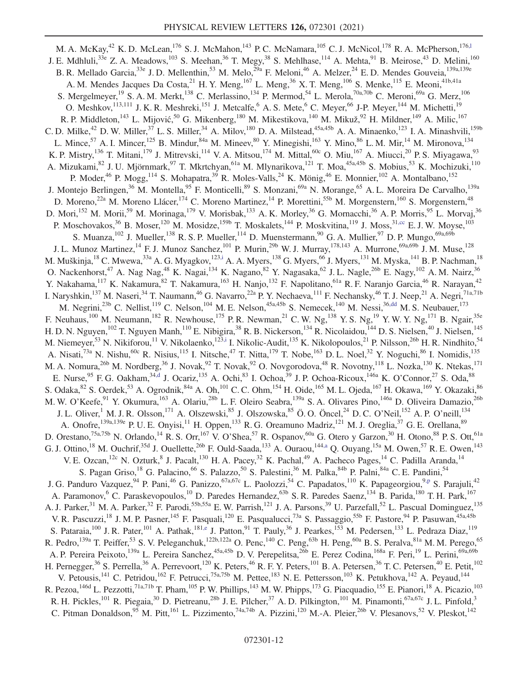<span id="page-12-2"></span><span id="page-12-1"></span><span id="page-12-0"></span>M. A. McKay,<sup>42</sup> K. D. McLean,<sup>176</sup> S. J. McMahon,<sup>143</sup> P. C. McNamara,<sup>105</sup> C. J. McNicol,<sup>178</sup> R. A. McPherson,<sup>176,1</sup> J. E. Mdhluli,<sup>33e</sup> Z. A. Meadows,<sup>103</sup> S. Meehan,<sup>36</sup> T. Megy,<sup>38</sup> S. Mehlhase,<sup>114</sup> A. Mehta,<sup>91</sup> B. Meirose,<sup>43</sup> D. Melini,<sup>160</sup> B. R. Mellado Garcia,<sup>33e</sup> J. D. Mellenthin,<sup>53</sup> M. Melo,<sup>29a</sup> F. Meloni,<sup>46</sup> A. Melzer,<sup>24</sup> E. D. Mendes Gouveia,<sup>139a,139e</sup> A. M. Mendes Jacques Da Costa,  $^{21}$  H. Y. Meng,  $^{167}$  L. Meng,  $^{36}$  X. T. Meng,  $^{106}$  S. Menke,  $^{115}$  E. Meoni,  $^{41b,41a}$ S. Mergelmeyer,<sup>19</sup> S. A. M. Merkt,<sup>138</sup> C. Merlassino,<sup>134</sup> P. Mermod,<sup>54</sup> L. Merola,<sup>70a,70b</sup> C. Meroni,<sup>69a</sup> G. Merz,<sup>106</sup> O. Meshkov,<sup>113,111</sup> J. K. R. Meshreki,<sup>151</sup> J. Metcalfe,<sup>6</sup> A. S. Mete,<sup>6</sup> C. Meyer,<sup>66</sup> J-P. Meyer,<sup>144</sup> M. Michetti,<sup>19</sup> R. P. Middleton, <sup>143</sup> L. Mijović, <sup>50</sup> G. Mikenberg, <sup>180</sup> M. Mikestikova, <sup>140</sup> M. Mikuž, <sup>92</sup> H. Mildner, <sup>149</sup> A. Milic, <sup>167</sup> C. D. Milke,<sup>42</sup> D. W. Miller,<sup>37</sup> L. S. Miller,<sup>34</sup> A. Milov,<sup>180</sup> D. A. Milstead,<sup>45a,45b</sup> A. A. Minaenko,<sup>123</sup> I. A. Minashvili,<sup>159b</sup> L. Mince,<sup>57</sup> A. I. Mincer,<sup>125</sup> B. Mindur, <sup>84a</sup> M. Mineev, <sup>80</sup> Y. Minegishi, <sup>163</sup> Y. Mino, <sup>86</sup> L. M. Mir, <sup>14</sup> M. Mironova, <sup>134</sup> K. P. Mistry,<sup>136</sup> T. Mitani,<sup>179</sup> J. Mitrevski,<sup>114</sup> V. A. Mitsou,<sup>174</sup> M. Mittal,<sup>60c</sup> O. Miu,<sup>167</sup> A. Miucci,<sup>20</sup> P. S. Miyagawa,<sup>93</sup> A. Mizukami,<sup>82</sup> J. U. Mjörnmark,<sup>97</sup> T. Mkrtchyan,<sup>61a</sup> M. Mlynarikova,<sup>121</sup> T. Moa,<sup>45a,45b</sup> S. Mobius,<sup>53</sup> K. Mochizuki,<sup>110</sup> P. Moder,<sup>46</sup> P. Mogg,<sup>114</sup> S. Mohapatra,<sup>39</sup> R. Moles-Valls,<sup>24</sup> K. Mönig,<sup>46</sup> E. Monnier,<sup>102</sup> A. Montalbano,<sup>152</sup> J. Montejo Berlingen,<sup>36</sup> M. Montella,<sup>95</sup> F. Monticelli,<sup>89</sup> S. Monzani,<sup>69a</sup> N. Morange,<sup>65</sup> A. L. Moreira De Carvalho,<sup>139a</sup> D. Moreno,<sup>22a</sup> M. Moreno Llácer,<sup>174</sup> C. Moreno Martinez,<sup>14</sup> P. Morettini,<sup>55b</sup> M. Morgenstern,<sup>160</sup> S. Morgenstern,<sup>48</sup> D. Mori,<sup>152</sup> M. Morii,<sup>59</sup> M. Morinaga,<sup>179</sup> V. Morisbak,<sup>133</sup> A. K. Morley,<sup>36</sup> G. Mornacchi,<sup>36</sup> A. P. Morris,<sup>95</sup> L. Morvaj,<sup>36</sup> P. Moschovakos,<sup>36</sup> B. Moser,<sup>120</sup> M. Mosidze,<sup>159b</sup> T. Moskalets,<sup>144</sup> P. Moskvitina,<sup>119</sup> J. Moss,<sup>31[,cc](#page-20-15)</sup> E. J. W. Moyse,<sup>103</sup> S. Muanza,  $^{102}$  J. Mueller,  $^{138}$  R. S. P. Mueller,  $^{114}$  D. Muenstermann,  $^{90}$  G. A. Mullier,  $^{97}$  D. P. Mungo,  $^{69a,69b}$ J. L. Munoz Martinez,<sup>14</sup> F. J. Munoz Sanchez,<sup>101</sup> P. Murin,<sup>29b</sup> W. J. Murray,<sup>178,143</sup> A. Murrone,<sup>69a,69b</sup> J. M. Muse,<sup>128</sup> M. Muškinja, $^{18}$  C. Mwewa, $^{33a}$  A. G. Myagkov, $^{123,i}$  $^{123,i}$  $^{123,i}$  A. A. Myers, $^{138}$  G. Myers, $^{66}$  J. Myers, $^{131}$  M. Myska, $^{141}$  B. P. Nachman, $^{18}$ O. Nackenhorst,<sup>47</sup> A. Nag Nag,<sup>48</sup> K. Nagai,<sup>134</sup> K. Nagano,<sup>82</sup> Y. Nagasaka,<sup>62</sup> J. L. Nagle,<sup>26b</sup> E. Nagy,<sup>102</sup> A. M. Nairz,<sup>36</sup> Y. Nakahama,<sup>117</sup> K. Nakamura,<sup>82</sup> T. Nakamura,<sup>163</sup> H. Nanjo,<sup>132</sup> F. Napolitano,<sup>61a</sup> R. F. Naranjo Garcia,<sup>46</sup> R. Narayan,<sup>42</sup> I. Naryshkin,<sup>137</sup> M. Naseri,<sup>34</sup> T. Naumann,<sup>46</sup> G. Navarro,<sup>22a</sup> P. Y. Nechaeva,<sup>111</sup> F. Nechansky,<sup>46</sup> T. J. Neep,<sup>21</sup> A. Negri,<sup>71a,71b</sup> M. Negrini,<sup>23b</sup> C. Nellist,<sup>119</sup> C. Nelson,<sup>104</sup> M. E. Nelson,<sup>45a,45b</sup> S. Nemecek,<sup>140</sup> M. Nessi,<sup>36[,dd](#page-20-16)</sup> M. S. Neubauer,<sup>173</sup> F. Neuhaus,<sup>100</sup> M. Neumann,<sup>182</sup> R. Newhouse,<sup>175</sup> P. R. Newman,<sup>21</sup> C. W. Ng,<sup>138</sup> Y. S. Ng,<sup>19</sup> Y. W. Y. Ng,<sup>171</sup> B. Ngair,<sup>35e</sup> H. D. N. Nguyen,<sup>102</sup> T. Nguyen Manh,<sup>110</sup> E. Nibigira,<sup>38</sup> R. B. Nickerson,<sup>134</sup> R. Nicolaidou,<sup>144</sup> D. S. Nielsen,<sup>40</sup> J. Nielsen,<sup>145</sup> M. Niemeyer,<sup>53</sup> N. Nikiforou,<sup>11</sup> V. Nikolaenko,<sup>12[3,i](#page-19-7)</sup> I. Nikolic-Audit,<sup>135</sup> K. Nikolopoulos,<sup>21</sup> P. Nilsson,<sup>26b</sup> H. R. Nindhito,<sup>54</sup> A. Nisati,<sup>73a</sup> N. Nishu,<sup>60c</sup> R. Nisius,<sup>115</sup> I. Nitsche,<sup>47</sup> T. Nitta,<sup>179</sup> T. Nobe,<sup>163</sup> D. L. Noel,<sup>32</sup> Y. Noguchi,<sup>86</sup> I. Nomidis,<sup>135</sup> M. A. Nomura,<sup>26b</sup> M. Nordberg,<sup>36</sup> J. Novak,<sup>92</sup> T. Novak,<sup>92</sup> O. Novgorodova,<sup>48</sup> R. Novotny,<sup>118</sup> L. Nozka,<sup>130</sup> K. Ntekas,<sup>171</sup> E. Nurse, <sup>95</sup> F. G. Oakham,  $34, d$  J. Ocariz,  $135$  A. Ochi,  $83$  I. Ochoa,  $39$  J. P. Ochoa-Ricoux,  $146a$  K. O'Connor,  $27$  S. Oda,  $88$ S. Odaka, <sup>82</sup> S. Oerdek, <sup>53</sup> A. Ogrodnik, <sup>84a</sup> A. Oh, <sup>101</sup> C. C. Ohm, <sup>154</sup> H. Oide, <sup>165</sup> M. L. Ojeda, <sup>167</sup> H. Okawa, <sup>169</sup> Y. Okazaki, <sup>86</sup> M. W. O'Keefe,<sup>91</sup> Y. Okumura,<sup>163</sup> A. Olariu,<sup>28b</sup> L. F. Oleiro Seabra,<sup>139a</sup> S. A. Olivares Pino,<sup>146a</sup> D. Oliveira Damazio,<sup>26b</sup> J. L. Oliver,<sup>1</sup> M. J. R. Olsson,<sup>171</sup> A. Olszewski,<sup>85</sup> J. Olszowska,<sup>85</sup> Ö. O. Öncel,<sup>24</sup> D. C. O'Neil,<sup>152</sup> A. P. O'neill,<sup>134</sup> A. Onofre,<sup>139a,139e</sup> P. U. E. Onyisi,<sup>11</sup> H. Oppen,<sup>133</sup> R. G. Oreamuno Madriz,<sup>121</sup> M. J. Oreglia,<sup>37</sup> G. E. Orellana,<sup>89</sup> D. Orestano,<sup>75a,75b</sup> N. Orlando,<sup>14</sup> R. S. Orr,<sup>167</sup> V. O'Shea,<sup>57</sup> R. Ospanov,<sup>60a</sup> G. Otero y Garzon,<sup>30</sup> H. Otono,<sup>88</sup> P. S. Ott,<sup>61a</sup> G. J. Ottino,<sup>18</sup> M. Ouchrif,<sup>35d</sup> J. Ouellette,<sup>26b</sup> F. Ould-Saada,<sup>133</sup> A. Ouraou,<sup>144[,a](#page-19-12)</sup> Q. Ouyang,<sup>15a</sup> M. Owen,<sup>57</sup> R. E. Owen,<sup>143</sup> V. E. Ozcan, <sup>12c</sup> N. Ozturk, <sup>8</sup> J. Pacalt, <sup>130</sup> H. A. Pacey, <sup>32</sup> K. Pachal, <sup>49</sup> A. Pacheco Pages, <sup>14</sup> C. Padilla Aranda, <sup>14</sup> S. Pagan Griso,<sup>18</sup> G. Palacino,<sup>66</sup> S. Palazzo,<sup>50</sup> S. Palestini,<sup>36</sup> M. Palka,<sup>84b</sup> P. Palni,<sup>84a</sup> C. E. Pandini,<sup>54</sup> J. G. Panduro Vazquez, <sup>94</sup> P. Pani, <sup>46</sup> G. Panizzo, <sup>67a, 67c</sup> L. Paolozzi, <sup>54</sup> C. Papadatos, <sup>110</sup> K. Papageorgiou, <sup>9[,p](#page-20-2)</sup> S. Parajuli, <sup>42</sup> A. Paramonov,<sup>6</sup> C. Paraskevopoulos,<sup>10</sup> D. Paredes Hernandez,<sup>63b</sup> S. R. Paredes Saenz,<sup>134</sup> B. Parida,<sup>180</sup> T. H. Park,<sup>167</sup> A. J. Parker,<sup>31</sup> M. A. Parker,<sup>32</sup> F. Parodi,<sup>55b,55a</sup> E. W. Parrish,<sup>121</sup> J. A. Parsons,<sup>39</sup> U. Parzefall,<sup>52</sup> L. Pascual Dominguez,<sup>135</sup> V. R. Pascuzzi,<sup>18</sup> J. M. P. Pasner,<sup>145</sup> F. Pasquali,<sup>120</sup> E. Pasqualucci,<sup>73a</sup> S. Passaggio,<sup>55b</sup> F. Pastore,<sup>94</sup> P. Pasuwan,<sup>45a,45b</sup> S. Pataraia,<sup>100</sup> J. R. Pater,<sup>101</sup> A. Pathak,<sup>181[,e](#page-19-3)</sup> J. Patton,<sup>91</sup> T. Pauly,<sup>36</sup> J. Pearkes,<sup>153</sup> M. Pedersen,<sup>133</sup> L. Pedraza Diaz,<sup>119</sup> R. Pedro, <sup>139a</sup> T. Peiffer,<sup>53</sup> S. V. Peleganchuk, <sup>122b,122a</sup> O. Penc, <sup>140</sup> C. Peng, <sup>63b</sup> H. Peng, <sup>60a</sup> B. S. Peralva, <sup>81a</sup> M. M. Perego, <sup>65</sup> A. P. Pereira Peixoto,<sup>139a</sup> L. Pereira Sanchez,<sup>45a,45b</sup> D. V. Perepelitsa,<sup>26b</sup> E. Perez Codina,<sup>168a</sup> F. Peri,<sup>19</sup> L. Perini,<sup>69a,69b</sup> H. Pernegger,<sup>36</sup> S. Perrella,<sup>36</sup> A. Perrevoort,<sup>120</sup> K. Peters,<sup>46</sup> R. F. Y. Peters,<sup>101</sup> B. A. Petersen,<sup>36</sup> T. C. Petersen,<sup>40</sup> E. Petit,<sup>102</sup> V. Petousis,<sup>141</sup> C. Petridou,<sup>162</sup> F. Petrucci,<sup>75a,75b</sup> M. Pettee,<sup>183</sup> N. E. Pettersson,<sup>103</sup> K. Petukhova,<sup>142</sup> A. Peyaud,<sup>144</sup> R. Pezoa, <sup>146d</sup> L. Pezzotti, <sup>71a,71b</sup> T. Pham, <sup>105</sup> P. W. Phillips, <sup>143</sup> M. W. Phipps, <sup>173</sup> G. Piacquadio, <sup>155</sup> E. Pianori, <sup>18</sup> A. Picazio, <sup>103</sup> R. H. Pickles,<sup>101</sup> R. Piegaia,<sup>30</sup> D. Pietreanu,<sup>28b</sup> J. E. Pilcher,<sup>37</sup> A. D. Pilkington,<sup>101</sup> M. Pinamonti,<sup>67a,67c</sup> J. L. Pinfold,<sup>3</sup> C. Pitman Donaldson,<sup>95</sup> M. Pitt,<sup>161</sup> L. Pizzimento,<sup>74a,74b</sup> A. Pizzini,<sup>120</sup> M.-A. Pleier,<sup>26b</sup> V. Plesanovs,<sup>52</sup> V. Pleskot,<sup>142</sup>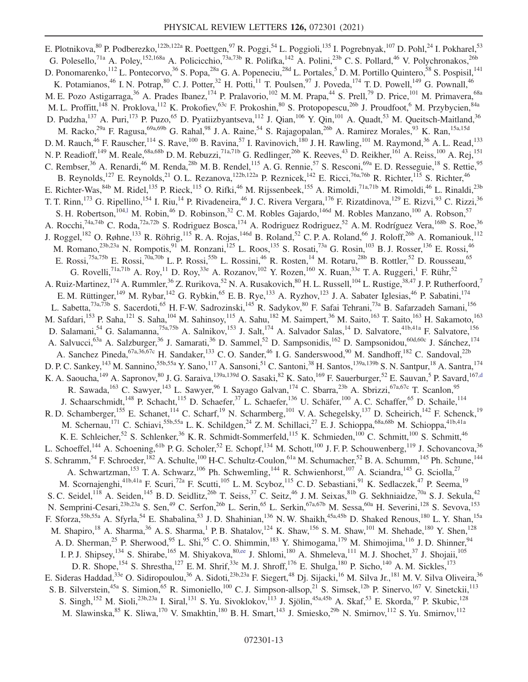<span id="page-13-0"></span>E. Plotnikova, <sup>80</sup> P. Podberezko, <sup>122b,122a</sup> R. Poettgen, <sup>97</sup> R. Poggi, <sup>54</sup> L. Poggioli, <sup>135</sup> I. Pogrebnyak, <sup>107</sup> D. Pohl, <sup>24</sup> I. Pokharel, <sup>53</sup> G. Polesello,<sup>71a</sup> A. Poley,<sup>152,168a</sup> A. Policicchio,<sup>73a,73b</sup> R. Polifka,<sup>142</sup> A. Polini,<sup>23b</sup> C. S. Pollard,<sup>46</sup> V. Polychronakos,<sup>26b</sup> D. Ponomarenko, <sup>112</sup> L. Pontecorvo, <sup>36</sup> S. Popa, <sup>28a</sup> G. A. Popeneciu, <sup>28d</sup> L. Portales, <sup>5</sup> D. M. Portillo Quintero, <sup>58</sup> S. Pospisil, <sup>141</sup> K. Potamianos,<sup>46</sup> I. N. Potrap,<sup>80</sup> C. J. Potter,<sup>32</sup> H. Potti,<sup>11</sup> T. Poulsen,<sup>97</sup> J. Poveda,<sup>174</sup> T. D. Powell,<sup>149</sup> G. Pownall,<sup>46</sup> M. E. Pozo Astigarraga,<sup>36</sup> A. Prades Ibanez,<sup>174</sup> P. Pralavorio,<sup>102</sup> M. M. Prapa,<sup>44</sup> S. Prell,<sup>79</sup> D. Price,<sup>101</sup> M. Primavera,<sup>68a</sup> M. L. Proffitt,<sup>148</sup> N. Proklova,<sup>112</sup> K. Prokofiev,<sup>63c</sup> F. Prokoshin,<sup>80</sup> S. Protopopescu,<sup>26b</sup> J. Proudfoot,<sup>6</sup> M. Przybycien,<sup>84a</sup> D. Pudzha,<sup>137</sup> A. Puri,<sup>173</sup> P. Puzo,<sup>65</sup> D. Pyatiizbyantseva,<sup>112</sup> J. Qian,<sup>106</sup> Y. Qin,<sup>101</sup> A. Quadt,<sup>53</sup> M. Queitsch-Maitland,<sup>36</sup> M. Racko,<sup>29a</sup> F. Ragusa,<sup>69a,69b</sup> G. Rahal,<sup>98</sup> J. A. Raine,<sup>54</sup> S. Rajagopalan,<sup>26b</sup> A. Ramirez Morales,<sup>93</sup> K. Ran,<sup>15a,15d</sup> D. M. Rauch,<sup>46</sup> F. Rauscher,<sup>114</sup> S. Rave,<sup>100</sup> B. Ravina,<sup>57</sup> I. Ravinovich,<sup>180</sup> J. H. Rawling,<sup>101</sup> M. Raymond,<sup>36</sup> A. L. Read,<sup>133</sup> N. P. Readioff,<sup>149</sup> M. Reale,<sup>68a,68b</sup> D. M. Rebuzzi,<sup>71a,71b</sup> G. Redlinger,<sup>26b</sup> K. Reeves,<sup>43</sup> D. Reikher,<sup>161</sup> A. Reiss,<sup>100</sup> A. Rej,<sup>151</sup> C. Rembser,  $36$  A. Renardi,  $46$  M. Renda,  $28b$  M. B. Rendel,  $115$  A. G. Rennie,  $57$  S. Resconi,  $69a$  E. D. Resseguie,  $18$  S. Rettie,  $95$ B. Reynolds,<sup>127</sup> E. Reynolds,<sup>21</sup> O. L. Rezanova,<sup>122b,122a</sup> P. Reznicek,<sup>142</sup> E. Ricci,<sup>76a,76b</sup> R. Richter,<sup>115</sup> S. Richter,<sup>46</sup> E. Richter-Was, <sup>84b</sup> M. Ridel, <sup>135</sup> P. Rieck, <sup>115</sup> O. Rifki, <sup>46</sup> M. Rijssenbeek, <sup>155</sup> A. Rimoldi, <sup>71a,71b</sup> M. Rimoldi, <sup>46</sup> L. Rinaldi, <sup>23b</sup> T. T. Rinn,<sup>173</sup> G. Ripellino,<sup>154</sup> I. Riu,<sup>14</sup> P. Rivadeneira,<sup>46</sup> J. C. Rivera Vergara,<sup>176</sup> F. Rizatdinova,<sup>129</sup> E. Rizvi,<sup>93</sup> C. Rizzi,<sup>36</sup> S. H. Robertson,<sup>10[4,l](#page-19-10)</sup> M. Robin,<sup>46</sup> D. Robinson,<sup>32</sup> C. M. Robles Gajardo,<sup>146d</sup> M. Robles Manzano,<sup>100</sup> A. Robson,<sup>57</sup> A. Rocchi,<sup>74a,74b</sup> C. Roda,<sup>72a,72b</sup> S. Rodriguez Bosca,<sup>174</sup> A. Rodriguez Rodriguez,<sup>52</sup> A. M. Rodríguez Vera,<sup>168b</sup> S. Roe,<sup>36</sup> J. Roggel,<sup>182</sup> O. Røhne,<sup>133</sup> R. Röhrig,<sup>115</sup> R. A. Rojas,<sup>146d</sup> B. Roland,<sup>52</sup> C. P. A. Roland,<sup>66</sup> J. Roloff,<sup>26b</sup> A. Romaniouk,<sup>112</sup> M. Romano,<sup>23b,23a</sup> N. Rompotis,<sup>91</sup> M. Ronzani,<sup>125</sup> L. Roos,<sup>135</sup> S. Rosati,<sup>73a</sup> G. Rosin,<sup>103</sup> B. J. Rosser,<sup>136</sup> E. Rossi,<sup>46</sup> E. Rossi,<sup>75a,75b</sup> E. Rossi,<sup>70a,70b</sup> L. P. Rossi,<sup>55b</sup> L. Rossini,<sup>46</sup> R. Rosten,<sup>14</sup> M. Rotaru,<sup>28b</sup> B. Rottler,<sup>52</sup> D. Rousseau,<sup>65</sup> G. Rovelli,<sup>71a,71b</sup> A. Roy,<sup>11</sup> D. Roy,<sup>33e</sup> A. Rozanov,<sup>102</sup> Y. Rozen,<sup>160</sup> X. Ruan,<sup>33e</sup> T. A. Ruggeri,<sup>1</sup> F. Rühr,<sup>52</sup> A. Ruiz-Martinez,<sup>174</sup> A. Rummler,<sup>36</sup> Z. Rurikova,<sup>52</sup> N. A. Rusakovich,<sup>80</sup> H. L. Russell,<sup>104</sup> L. Rustige,<sup>38,47</sup> J. P. Rutherfoord,<sup>7</sup> E. M. Rüttinger,<sup>149</sup> M. Rybar,<sup>142</sup> G. Rybkin,<sup>65</sup> E. B. Rye,<sup>133</sup> A. Ryzhov,<sup>123</sup> J. A. Sabater Iglesias,<sup>46</sup> P. Sabatini,<sup>174</sup> L. Sabetta,<sup>73a,73b</sup> S. Sacerdoti,<sup>65</sup> H. F-W. Sadrozinski,<sup>145</sup> R. Sadykov,<sup>80</sup> F. Safai Tehrani,<sup>73a</sup> B. Safarzadeh Samani,<sup>156</sup> M. Safdari,<sup>153</sup> P. Saha,<sup>121</sup> S. Saha,<sup>104</sup> M. Sahinsoy,<sup>115</sup> A. Sahu,<sup>182</sup> M. Saimpert,<sup>36</sup> M. Saito,<sup>163</sup> T. Saito,<sup>163</sup> H. Sakamoto,<sup>163</sup> D. Salamani,<sup>54</sup> G. Salamanna,<sup>75a,75b</sup> A. Salnikov,<sup>153</sup> J. Salt,<sup>174</sup> A. Salvador Salas,<sup>14</sup> D. Salvatore,<sup>41b,41a</sup> F. Salvatore,<sup>156</sup> A. Salvucci,<sup>63a</sup> A. Salzburger,<sup>36</sup> J. Samarati,<sup>36</sup> D. Sammel,<sup>52</sup> D. Sampsonidis,<sup>162</sup> D. Sampsonidou,<sup>60d,60c</sup> J. Sánchez,<sup>174</sup> A. Sanchez Pineda, <sup>67a,36,67c</sup> H. Sandaker, <sup>133</sup> C. O. Sander, <sup>46</sup> I. G. Sanderswood, <sup>90</sup> M. Sandhoff, <sup>182</sup> C. Sandoval, <sup>22b</sup> D. P. C. Sankey, <sup>143</sup> M. Sannino, <sup>55b, 55a</sup> Y. Sano, <sup>117</sup> A. Sansoni, <sup>51</sup> C. Santoni, <sup>38</sup> H. Santos, <sup>139a, 139b</sup> S. N. Santpur, <sup>18</sup> A. Santra, <sup>174</sup> K. A. Saoucha,<sup>149</sup> A. Sapronov,<sup>80</sup> J. G. Saraiva,<sup>139a,139d</sup> O. Sasaki,<sup>82</sup> K. Sato,<sup>169</sup> F. Sauerburger,<sup>52</sup> E. Sauvan,<sup>5</sup> P. Savard,<sup>167[,d](#page-19-2)</sup> R. Sawada, <sup>163</sup> C. Sawyer, <sup>143</sup> L. Sawyer, <sup>96</sup> I. Sayago Galvan, <sup>174</sup> C. Sbarra, <sup>23b</sup> A. Sbrizzi, <sup>67a,67c</sup> T. Scanlon, <sup>95</sup> J. Schaarschmidt,<sup>148</sup> P. Schacht,<sup>115</sup> D. Schaefer,<sup>37</sup> L. Schaefer,<sup>136</sup> U. Schäfer,<sup>100</sup> A. C. Schaffer,<sup>65</sup> D. Schaile,<sup>114</sup> R. D. Schamberger,<sup>155</sup> E. Schanet,<sup>114</sup> C. Scharf,<sup>19</sup> N. Scharmberg,<sup>101</sup> V. A. Schegelsky,<sup>137</sup> D. Scheirich,<sup>142</sup> F. Schenck,<sup>19</sup> M. Schernau,<sup>171</sup> C. Schiavi,<sup>55b,55a</sup> L. K. Schildgen,<sup>24</sup> Z. M. Schillaci,<sup>27</sup> E. J. Schioppa,<sup>68a,68b</sup> M. Schioppa,<sup>41b,41a</sup> K. E. Schleicher,<sup>52</sup> S. Schlenker,<sup>36</sup> K. R. Schmidt-Sommerfeld,<sup>115</sup> K. Schmieden,<sup>100</sup> C. Schmitt,<sup>100</sup> S. Schmitt,<sup>46</sup> L. Schoeffel,<sup>144</sup> A. Schoening,<sup>61b</sup> P. G. Scholer,<sup>52</sup> E. Schopf,<sup>134</sup> M. Schott,<sup>100</sup> J. F. P. Schouwenberg,<sup>119</sup> J. Schovancova,<sup>36</sup> S. Schramm,<sup>54</sup> F. Schroeder,<sup>182</sup> A. Schulte,<sup>100</sup> H-C. Schultz-Coulon,<sup>61a</sup> M. Schumacher,<sup>52</sup> B. A. Schumm,<sup>145</sup> Ph. Schune,<sup>144</sup> A. Schwartzman,<sup>153</sup> T. A. Schwarz,<sup>106</sup> Ph. Schwemling,<sup>144</sup> R. Schwienhorst,<sup>107</sup> A. Sciandra,<sup>145</sup> G. Sciolla,<sup>27</sup> M. Scornajenghi,<sup>41b,41a</sup> F. Scuri,<sup>72a</sup> F. Scutti,<sup>105</sup> L. M. Scyboz,<sup>115</sup> C. D. Sebastiani,<sup>91</sup> K. Sedlaczek,<sup>47</sup> P. Seema,<sup>19</sup> S. C. Seidel,<sup>118</sup> A. Seiden,<sup>145</sup> B. D. Seidlitz,<sup>26b</sup> T. Seiss,<sup>37</sup> C. Seitz,<sup>46</sup> J. M. Seixas,<sup>81b</sup> G. Sekhniaidze,<sup>70a</sup> S. J. Sekula,<sup>42</sup> N. Semprini-Cesari,<sup>23b,23a</sup> S. Sen,<sup>49</sup> C. Serfon,<sup>26b</sup> L. Serin,<sup>65</sup> L. Serkin,<sup>67a,67b</sup> M. Sessa,<sup>60a</sup> H. Severini,<sup>128</sup> S. Sevova,<sup>153</sup> F. Sforza,<sup>55b,55a</sup> A. Sfyrla,<sup>54</sup> E. Shabalina,<sup>53</sup> J.D. Shahinian,<sup>136</sup> N.W. Shaikh,<sup>45a,45b</sup> D. Shaked Renous,<sup>180</sup> L.Y. Shan,<sup>15a</sup> M. Shapiro,<sup>18</sup> A. Sharma,<sup>36</sup> A. S. Sharma,<sup>1</sup> P. B. Shatalov,<sup>124</sup> K. Shaw,<sup>156</sup> S. M. Shaw,<sup>101</sup> M. Shehade,<sup>180</sup> Y. Shen,<sup>128</sup> A. D. Sherman,<sup>25</sup> P. Sherwood,<sup>95</sup> L. Shi,<sup>95</sup> C. O. Shimmin,<sup>183</sup> Y. Shimogama,<sup>179</sup> M. Shimojima,<sup>116</sup> J. D. Shinner,<sup>94</sup> I. P. J. Shipsey,<sup>134</sup> S. Shirabe,<sup>165</sup> M. Shiyakova,<sup>8[0,ee](#page-20-17)</sup> J. Shlomi,<sup>180</sup> A. Shmeleva,<sup>111</sup> M. J. Shochet,<sup>37</sup> J. Shojaii,<sup>105</sup> D. R. Shope,<sup>154</sup> S. Shrestha,<sup>127</sup> E. M. Shrif,<sup>33e</sup> M. J. Shroff,<sup>176</sup> E. Shulga,<sup>180</sup> P. Sicho,<sup>140</sup> A. M. Sickles,<sup>173</sup> E. Sideras Haddad,<sup>33e</sup> O. Sidiropoulou,<sup>36</sup> A. Sidoti,<sup>23b,23a</sup> F. Siegert,<sup>48</sup> Dj. Sijacki,<sup>16</sup> M. Silva Jr.,<sup>181</sup> M. V. Silva Oliveira,<sup>36</sup> S. B. Silverstein,<sup>45a</sup> S. Simion,<sup>65</sup> R. Simoniello,<sup>100</sup> C. J. Simpson-allsop,<sup>21</sup> S. Simsek,<sup>12b</sup> P. Sinervo,<sup>167</sup> V. Sinetckii,<sup>113</sup> S. Singh,<sup>152</sup> M. Sioli,<sup>23b,23a</sup> I. Siral,<sup>131</sup> S. Yu. Sivoklokov,<sup>113</sup> J. Sjölin,<sup>45a,45b</sup> A. Skaf,<sup>53</sup> E. Skorda,<sup>97</sup> P. Skubic,<sup>128</sup> M. Slawinska, <sup>85</sup> K. Sliwa, <sup>170</sup> V. Smakhtin, <sup>180</sup> B. H. Smart, <sup>143</sup> J. Smiesko, <sup>29b</sup> N. Smirnov, <sup>112</sup> S. Yu. Smirnov, <sup>112</sup>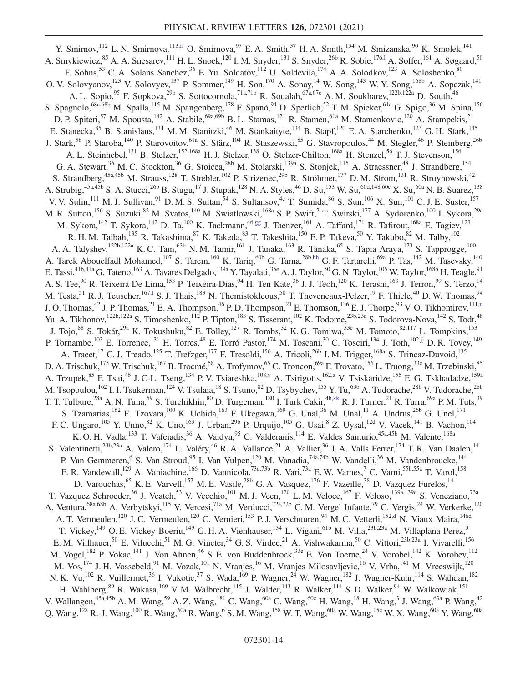<span id="page-14-5"></span><span id="page-14-4"></span><span id="page-14-3"></span><span id="page-14-2"></span><span id="page-14-1"></span><span id="page-14-0"></span>Y. Smirnov, <sup>112</sup> L. N. Smirnova, <sup>11[3,ff](#page-20-18)</sup> O. Smirnova,  $97$  E. A. Smith,  $37$  H. A. Smith,  $134$  M. Smizanska,  $90$  K. Smolek,  $141$ A. Smykiewicz,<sup>85</sup> A. A. Snesarev,<sup>111</sup> H. L. Snoek,<sup>120</sup> I. M. Snyder,<sup>131</sup> S. Snyder,<sup>26b</sup> R. Sobie,<sup>176,1</sup> A. Soffer,<sup>161</sup> A. Søgaard,<sup>50</sup> F. Sohns,<sup>53</sup> C. A. Solans Sanchez,<sup>36</sup> E. Yu. Soldatov,<sup>112</sup> U. Soldevila,<sup>174</sup> A. A. Solodkov,<sup>123</sup> A. Soloshenko,<sup>80</sup> O. V. Solovyanov,<sup>123</sup> V. Solovyev,<sup>137</sup> P. Sommer,<sup>149</sup> H. Son,<sup>170</sup> A. Sonay,<sup>14</sup> W. Song,<sup>143</sup> W. Y. Song,<sup>168b</sup> A. Sopczak,<sup>141</sup> A. L. Sopio,<sup>95</sup> F. Sopkova,<sup>29b</sup> S. Sottocornola,<sup>71a,71b</sup> R. Soualah,<sup>67a,67c</sup> A. M. Soukharev,<sup>122b,122a</sup> D. South,<sup>46</sup> S. Spagnolo,<sup>68a,68b</sup> M. Spalla,<sup>115</sup> M. Spangenberg,<sup>178</sup> F. Spanò,<sup>94</sup> D. Sperlich,<sup>52</sup> T. M. Spieker,<sup>61a</sup> G. Spigo,<sup>36</sup> M. Spina,<sup>156</sup> D. P. Spiteri,<sup>57</sup> M. Spousta,<sup>142</sup> A. Stabile,<sup>69a,69b</sup> B. L. Stamas,<sup>121</sup> R. Stamen,<sup>61a</sup> M. Stamenkovic,<sup>120</sup> A. Stampekis,<sup>21</sup> E. Stanecka, <sup>85</sup> B. Stanislaus, <sup>134</sup> M. M. Stanitzki, <sup>46</sup> M. Stankaityte, <sup>134</sup> B. Stapf, <sup>120</sup> E. A. Starchenko, <sup>123</sup> G. H. Stark, <sup>145</sup> J. Stark,<sup>58</sup> P. Staroba,<sup>140</sup> P. Starovoitov,<sup>61a</sup> S. Stärz,<sup>104</sup> R. Staszewski,<sup>85</sup> G. Stavropoulos,<sup>44</sup> M. Stegler,<sup>46</sup> P. Steinberg,<sup>26b</sup> A. L. Steinhebel,<sup>131</sup> B. Stelzer,<sup>152,168a</sup> H. J. Stelzer,<sup>138</sup> O. Stelzer-Chilton,<sup>168a</sup> H. Stenzel,<sup>56</sup> T. J. Stevenson,<sup>156</sup> G. A. Stewart,<sup>36</sup> M. C. Stockton,<sup>36</sup> G. Stoicea,<sup>28b</sup> M. Stolarski,<sup>139a</sup> S. Stonjek,<sup>115</sup> A. Straessner,<sup>48</sup> J. Strandberg,<sup>154</sup> S. Strandberg,<sup>45a,45b</sup> M. Strauss,<sup>128</sup> T. Strebler,<sup>102</sup> P. Strizenec,<sup>29b</sup> R. Ströhmer,<sup>177</sup> D. M. Strom,<sup>131</sup> R. Stroynowski,<sup>42</sup> A. Strubig,<sup>45a,45b</sup> S. A. Stucci,<sup>26b</sup> B. Stugu,<sup>17</sup> J. Stupak,<sup>128</sup> N. A. Styles,<sup>46</sup> D. Su,<sup>153</sup> W. Su,<sup>60d,148,60c</sup> X. Su,<sup>60a</sup> N. B. Suarez,<sup>138</sup> V. V. Sulin, <sup>111</sup> M. J. Sullivan, <sup>91</sup> D. M. S. Sultan, <sup>54</sup> S. Sultansoy, <sup>4c</sup> T. Sumida, <sup>86</sup> S. Sun, <sup>106</sup> X. Sun, <sup>101</sup> C. J. E. Suster, <sup>157</sup> M. R. Sutton,<sup>156</sup> S. Suzuki,<sup>82</sup> M. Svatos,<sup>140</sup> M. Swiatlowski,<sup>168a</sup> S. P. Swift,<sup>2</sup> T. Swirski,<sup>177</sup> A. Sydorenko,<sup>100</sup> I. Sykora,<sup>29a</sup> M. Sykora,<sup>142</sup> T. Sykora,<sup>142</sup> D. Ta,<sup>100</sup> K. Tackmann,<sup>46[,gg](#page-20-19)</sup> J. Taenzer,<sup>161</sup> A. Taffard,<sup>171</sup> R. Tafirout,<sup>168a</sup> E. Tagiev,<sup>123</sup> R. H. M. Taibah, <sup>135</sup> R. Takashima, <sup>87</sup> K. Takeda, <sup>83</sup> T. Takeshita, <sup>150</sup> E. P. Takeva, <sup>50</sup> Y. Takubo, <sup>82</sup> M. Talby, <sup>102</sup> A. A. Talyshev,<sup>122b,122a</sup> K. C. Tam,<sup>63b</sup> N. M. Tamir,<sup>161</sup> J. Tanaka,<sup>163</sup> R. Tanaka,<sup>65</sup> S. Tapia Araya,<sup>173</sup> S. Tapprogge,<sup>100</sup> A. Tarek Abouelfadl Mohamed,<sup>107</sup> S. Tarem,<sup>160</sup> K. Tariq,<sup>60b</sup> G. Tarna,<sup>28b[,hh](#page-20-20)</sup> G. F. Tartarelli,<sup>69a</sup> P. Tas,<sup>142</sup> M. Tasevsky,<sup>140</sup> E. Tassi,<sup>41b,41a</sup> G. Tateno,<sup>163</sup> A. Tavares Delgado,<sup>139a</sup> Y. Tayalati,<sup>35e</sup> A. J. Taylor,<sup>50</sup> G. N. Taylor,<sup>105</sup> W. Taylor,<sup>168b</sup> H. Teagle,<sup>91</sup> A. S. Tee,<sup>90</sup> R. Teixeira De Lima,<sup>153</sup> P. Teixeira-Dias,<sup>94</sup> H. Ten Kate,<sup>36</sup> J. J. Teoh,<sup>120</sup> K. Terashi,<sup>163</sup> J. Terron,<sup>99</sup> S. Terzo,<sup>14</sup> M. Testa,<sup>51</sup> R. J. Teuscher,<sup>167,1</sup> S. J. Thais,<sup>183</sup> N. Themistokleous,<sup>50</sup> T. Theveneaux-Pelzer,<sup>19</sup> F. Thiele,<sup>40</sup> D. W. Thomas,<sup>94</sup> J. O. Thomas,<sup>42</sup> J. P. Thomas,<sup>21</sup> E. A. Thompson,<sup>46</sup> P. D. Thompson,<sup>21</sup> E. Thomson,<sup>136</sup> E. J. Thorpe,<sup>93</sup> V. O. Tikhomirov,<sup>11[1,ii](#page-20-21)</sup> Yu. A. Tikhonov,  $^{122b,122a}$  S. Timoshenko,  $^{112}$  P. Tipton,  $^{183}$  S. Tisserant,  $^{102}$  K. Todome,  $^{23b,23a}$  S. Todorova-Nova,  $^{142}$  S. Todt,  $^{48}$ J. Tojo,<sup>88</sup> S. Tokár,<sup>29a</sup> K. Tokushuku,<sup>82</sup> E. Tolley,<sup>127</sup> R. Tombs,<sup>32</sup> K. G. Tomiwa,<sup>33e</sup> M. Tomoto,<sup>82,117</sup> L. Tompkins,<sup>153</sup> P. Tornambe,<sup>103</sup> E. Torrence,<sup>131</sup> H. Torres,<sup>48</sup> E. Torró Pastor,<sup>174</sup> M. Toscani,<sup>30</sup> C. Tosciri,<sup>134</sup> J. Toth,<sup>10[2,jj](#page-20-22)</sup> D. R. Tovey,<sup>149</sup> A. Traeet,<sup>17</sup> C. J. Treado,<sup>125</sup> T. Trefzger,<sup>177</sup> F. Tresoldi,<sup>156</sup> A. Tricoli,<sup>26b</sup> I. M. Trigger,<sup>168a</sup> S. Trincaz-Duvoid,<sup>135</sup> D. A. Trischuk,<sup>175</sup> W. Trischuk,<sup>167</sup> B. Trocmé,<sup>58</sup> A. Trofymov,<sup>65</sup> C. Troncon,<sup>69a</sup> F. Trovato,<sup>156</sup> L. Truong,<sup>33c</sup> M. Trzebinski,<sup>85</sup> A. Trzupek, <sup>85</sup> F. Tsai, <sup>46</sup> J. C-L. Tseng, <sup>134</sup> P. V. Tsiareshka, <sup>108[,y](#page-20-11)</sup> A. Tsirigotis, <sup>16[2,z](#page-20-12)</sup> V. Tsiskaridze, <sup>155</sup> E. G. Tskhadadze, <sup>159a</sup> M. Tsopoulou,<sup>162</sup> I. I. Tsukerman,<sup>124</sup> V. Tsulaia,<sup>18</sup> S. Tsuno,<sup>82</sup> D. Tsybychev,<sup>155</sup> Y. Tu,<sup>63b</sup> A. Tudorache,<sup>28b</sup> V. Tudorache,<sup>28b</sup> T. T. Tulbure,<sup>28a</sup> A. N. Tuna,<sup>59</sup> S. Turchikhin,<sup>80</sup> D. Turgeman,<sup>180</sup> I. Turk Cakir,<sup>4b[,kk](#page-20-23)</sup> R. J. Turner,<sup>21</sup> R. Turra,<sup>69a</sup> P. M. Tuts,<sup>39</sup> S. Tzamarias,  $^{162}$  E. Tzovara,  $^{100}$  K. Uchida,  $^{163}$  F. Ukegawa,  $^{169}$  G. Unal,  $^{36}$  M. Unal,  $^{11}$  A. Undrus,  $^{26b}$  G. Unel,  $^{171}$ F. C. Ungaro,<sup>105</sup> Y. Unno,<sup>82</sup> K. Uno,<sup>163</sup> J. Urban,<sup>29b</sup> P. Urquijo,<sup>105</sup> G. Usai,<sup>8</sup> Z. Uysal,<sup>12d</sup> V. Vacek,<sup>141</sup> B. Vachon,<sup>104</sup> K. O. H. Vadla,<sup>133</sup> T. Vafeiadis,<sup>36</sup> A. Vaidya,<sup>95</sup> C. Valderanis,<sup>114</sup> E. Valdes Santurio,<sup>45a,45b</sup> M. Valente,<sup>168a</sup> S. Valentinetti,<sup>23b,23a</sup> A. Valero,<sup>174</sup> L. Valéry,<sup>46</sup> R. A. Vallance,<sup>21</sup> A. Vallier,<sup>36</sup> J. A. Valls Ferrer,<sup>174</sup> T. R. Van Daalen,<sup>14</sup> P. Van Gemmeren, <sup>6</sup> S. Van Stroud, <sup>95</sup> I. Van Vulpen, <sup>120</sup> M. Vanadia, <sup>74a, 74b</sup> W. Vandelli, <sup>36</sup> M. Vandenbroucke, <sup>144</sup> E. R. Vandewall,<sup>129</sup> A. Vaniachine,<sup>166</sup> D. Vannicola,<sup>73a,73b</sup> R. Vari,<sup>73a</sup> E. W. Varnes,<sup>7</sup> C. Varni,<sup>55b,55a</sup> T. Varol,<sup>158</sup> D. Varouchas, <sup>65</sup> K. E. Varvell, <sup>157</sup> M. E. Vasile, <sup>28b</sup> G. A. Vasquez, <sup>176</sup> F. Vazeille, <sup>38</sup> D. Vazquez Furelos, <sup>14</sup> T. Vazquez Schroeder,<sup>36</sup> J. Veatch,<sup>53</sup> V. Vecchio,<sup>101</sup> M. J. Veen,<sup>120</sup> L. M. Veloce,<sup>167</sup> F. Veloso,<sup>139a,139c</sup> S. Veneziano,<sup>73a</sup> A. Ventura, <sup>68a, 68b</sup> A. Verbytskyi, <sup>115</sup> V. Vercesi, <sup>71a</sup> M. Verducci, <sup>72a, 72b</sup> C. M. Vergel Infante, <sup>79</sup> C. Vergis, <sup>24</sup> W. Verkerke, <sup>120</sup> A. T. Vermeulen,<sup>120</sup> J. C. Vermeulen,<sup>120</sup> C. Vernieri,<sup>153</sup> P. J. Verschuuren,<sup>94</sup> M. C. Vetterli,<sup>15[2,d](#page-19-2)</sup> N. Viaux Maira,<sup>146d</sup> T. Vickey,<sup>149</sup> O. E. Vickey Boeriu,<sup>149</sup> G. H. A. Viehhauser,<sup>134</sup> L. Vigani,<sup>61b</sup> M. Villa,<sup>23b,23a</sup> M. Villaplana Perez,<sup>3</sup> E. M. Villhauer,<sup>50</sup> E. Vilucchi,<sup>51</sup> M. G. Vincter,<sup>34</sup> G. S. Virdee,<sup>21</sup> A. Vishwakarma,<sup>50</sup> C. Vittori,<sup>23b,23a</sup> I. Vivarelli,<sup>156</sup> M. Vogel,<sup>182</sup> P. Vokac,<sup>141</sup> J. Von Ahnen,<sup>46</sup> S. E. von Buddenbrock,<sup>33e</sup> E. Von Toerne,<sup>24</sup> V. Vorobel,<sup>142</sup> K. Vorobev,<sup>112</sup> M. Vos,<sup>174</sup> J. H. Vossebeld,<sup>91</sup> M. Vozak,<sup>101</sup> N. Vranjes,<sup>16</sup> M. Vranjes Milosavljevic,<sup>16</sup> V. Vrba,<sup>141</sup> M. Vreeswijk,<sup>120</sup> N. K. Vu,<sup>102</sup> R. Vuillermet,<sup>36</sup> I. Vukotic,<sup>37</sup> S. Wada,<sup>169</sup> P. Wagner,<sup>24</sup> W. Wagner,<sup>182</sup> J. Wagner-Kuhr,<sup>114</sup> S. Wahdan,<sup>182</sup> H. Wahlberg, <sup>89</sup> R. Wakasa, <sup>169</sup> V. M. Walbrecht, <sup>115</sup> J. Walder, <sup>143</sup> R. Walker, <sup>114</sup> S. D. Walker, <sup>94</sup> W. Walkowiak, <sup>151</sup> V. Wallangen,<sup>45a,45b</sup> A. M. Wang,<sup>59</sup> A. Z. Wang,<sup>181</sup> C. Wang,<sup>60a</sup> C. Wang,<sup>60c</sup> H. Wang,<sup>18</sup> H. Wang,<sup>3</sup> J. Wang,<sup>63a</sup> P. Wang,<sup>42</sup> Q. Wang,  $^{128}$  R.-J. Wang,  $^{100}$  R. Wang,  $^{60a}$  R. Wang,  $^{6}$  S. M. Wang,  $^{158}$  W. T. Wang,  $^{60a}$  W. Wang,  $^{15c}$  W. X. Wang,  $^{60a}$  Y. Wang,  $^{60a}$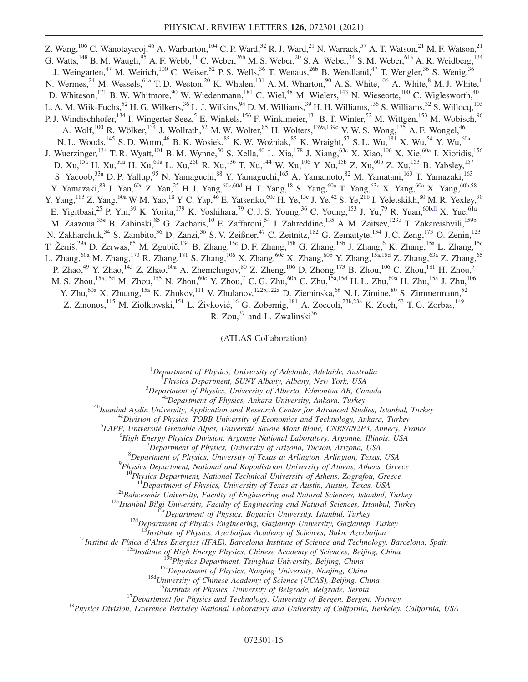<span id="page-15-0"></span>Z. Wang,  $^{106}$  C. Wanotayaroj,  $^{46}$  A. Warburton,  $^{104}$  C. P. Ward,  $^{32}$  R. J. Ward,  $^{21}$  N. Warrack,  $^{57}$  A. T. Watson,  $^{21}$  M. F. Watson,  $^{21}$ G. Watts, <sup>148</sup> B. M. Waugh, <sup>95</sup> A. F. Webb, <sup>11</sup> C. Weber, <sup>26b</sup> M. S. Weber, <sup>20</sup> S. A. Weber, <sup>34</sup> S. M. Weber, <sup>61a</sup> A. R. Weidberg, <sup>134</sup> J. Weingarten,<sup>47</sup> M. Weirich,<sup>100</sup> C. Weiser,<sup>52</sup> P. S. Wells,<sup>36</sup> T. Wenaus,<sup>26b</sup> B. Wendland,<sup>47</sup> T. Wengler,<sup>36</sup> S. Wenig,<sup>36</sup> N. Wermes,<sup>24</sup> M. Wessels,<sup>61a</sup> T.D. Weston,<sup>20</sup> K. Whalen,<sup>131</sup> A.M. Wharton,<sup>90</sup> A.S. White,<sup>106</sup> A. White,<sup>8</sup> M.J. White,<sup>1</sup> D. Whiteson,<sup>171</sup> B. W. Whitmore,<sup>90</sup> W. Wiedenmann,<sup>181</sup> C. Wiel,<sup>48</sup> M. Wielers,<sup>143</sup> N. Wieseotte,<sup>100</sup> C. Wiglesworth,<sup>40</sup> L. A. M. Wiik-Fuchs,<sup>52</sup> H. G. Wilkens,<sup>36</sup> L. J. Wilkins,<sup>94</sup> D. M. Williams,<sup>39</sup> H. H. Williams,<sup>136</sup> S. Williams,<sup>32</sup> S. Willocq,<sup>103</sup> P. J. Windischhofer,<sup>134</sup> I. Wingerter-Seez, E. Winkels, <sup>156</sup> F. Winklmeier, <sup>131</sup> B. T. Winter, <sup>52</sup> M. Wittgen, <sup>153</sup> M. Wobisch, <sup>96</sup> A. Wolf,<sup>100</sup> R. Wölker,<sup>134</sup> J. Wollrath,<sup>52</sup> M. W. Wolter,<sup>85</sup> H. Wolters,<sup>139a,139c</sup> V. W. S. Wong,<sup>175</sup> A. F. Wongel,<sup>46</sup> N. L. Woods,<sup>145</sup> S. D. Worm,<sup>46</sup> B. K. Wosiek,<sup>85</sup> K. W. Woźniak,<sup>85</sup> K. Wraight,<sup>57</sup> S. L. Wu,<sup>181</sup> X. Wu,<sup>54</sup> Y. Wu,<sup>60a</sup> J. Wuerzinger,<sup>134</sup> T. R. Wyatt,<sup>101</sup> B. M. Wynne,<sup>50</sup> S. Xella,<sup>40</sup> L. Xia,<sup>178</sup> J. Xiang,<sup>63c</sup> X. Xiao,<sup>106</sup> X. Xie,<sup>60a</sup> I. Xiotidis,<sup>156</sup> D. Xu,<sup>15a</sup> H. Xu,<sup>60a</sup> H. Xu,<sup>60a</sup> L. Xu,<sup>26b</sup> R. Xu,<sup>136</sup> T. Xu,<sup>144</sup> W. Xu,<sup>106</sup> Y. Xu,<sup>15b</sup> Z. Xu,<sup>60b</sup> Z. Xu,<sup>153</sup> B. Yabsley,<sup>157</sup> S. Yacoob,<sup>33a</sup> D. P. Yallup,<sup>95</sup> N. Yamaguchi,<sup>88</sup> Y. Yamaguchi,<sup>165</sup> A. Yamamoto,<sup>82</sup> M. Yamatani,<sup>163</sup> T. Yamazaki,<sup>163</sup> Y. Yamazaki,<sup>83</sup> J. Yan,<sup>60c</sup> Z. Yan,<sup>25</sup> H. J. Yang,<sup>60c,60d</sup> H. T. Yang,<sup>18</sup> S. Yang,<sup>60a</sup> T. Yang,<sup>63c</sup> X. Yang,<sup>60a</sup> X. Yang,<sup>60b,58</sup> Y. Yang,<sup>163</sup> Z. Yang,<sup>60a</sup> W-M. Yao,<sup>18</sup> Y. C. Yap,<sup>46</sup> E. Yatsenko,<sup>60c</sup> H. Ye,<sup>15c</sup> J. Ye,<sup>42</sup> S. Ye,<sup>26b</sup> I. Yeletskikh,<sup>80</sup> M. R. Yexley,<sup>90</sup> E. Yigitbasi,<sup>25</sup> P. Yin,<sup>39</sup> K. Yorita,<sup>179</sup> K. Yoshihara,<sup>79</sup> C. J. S. Young,<sup>36</sup> C. Young,<sup>153</sup> J. Yu,<sup>79</sup> R. Yuan,<sup>60b[,ll](#page-20-24)</sup> X. Yue,<sup>61a</sup> M. Zaazoua,<sup>35e</sup> B. Zabinski,<sup>85</sup> G. Zacharis,<sup>10</sup> E. Zaffaroni,<sup>54</sup> J. Zahreddine,<sup>135</sup> A. M. Zaitsev,<sup>12[3,i](#page-19-7)</sup> T. Zakareishvili,<sup>159b</sup> N. Zakharchuk,<sup>34</sup> S. Zambito,<sup>36</sup> D. Zanzi,<sup>36</sup> S. V. Zeißner,<sup>47</sup> C. Zeitnitz,<sup>182</sup> G. Zemaityte,<sup>134</sup> J. C. Zeng,<sup>173</sup> O. Zenin,<sup>123</sup> T. Ženiš,<sup>29a</sup> D. Zerwas,<sup>65</sup> M. Zgubič,<sup>134</sup> B. Zhang,<sup>15c</sup> D. F. Zhang,<sup>15b</sup> G. Zhang,<sup>15b</sup> J. Zhang,<sup>6</sup> K. Zhang,<sup>15a</sup> L. Zhang,<sup>15c</sup> L. Zhang,<sup>60a</sup> M. Zhang,<sup>173</sup> R. Zhang,<sup>181</sup> S. Zhang,<sup>106</sup> X. Zhang,<sup>60c</sup> X. Zhang,<sup>60b</sup> Y. Zhang,<sup>15a,15d</sup> Z. Zhang,<sup>63a</sup> Z. Zhang,<sup>65</sup> P. Zhao,<sup>49</sup> Y. Zhao,<sup>145</sup> Z. Zhao,<sup>60a</sup> A. Zhemchugov,<sup>80</sup> Z. Zheng,<sup>106</sup> D. Zhong,<sup>173</sup> B. Zhou,<sup>106</sup> C. Zhou,<sup>181</sup> H. Zhou,<sup>7</sup> M. S. Zhou, $^{15$ a,15d M. Zhou, $^{155}$  N. Zhou, $^{60\rm c}$  Y. Zhou, $^7$  C. G. Zhu, $^{60\rm b}$  C. Zhu, $^{15}$ a,15d H. L. Zhu, $^{60\rm a}$  H. Zhu, $^{15\rm a}$  J. Zhu, $^{106}$ Y. Zhu,<sup>60a</sup> X. Zhuang,<sup>15a</sup> K. Zhukov,<sup>111</sup> V. Zhulanov,<sup>122b,122a</sup> D. Zieminska,<sup>66</sup> N. I. Zimine,<sup>80</sup> S. Zimmermann,<sup>52</sup> Z. Zinonos,<sup>115</sup> M. Ziolkowski,<sup>151</sup> L. Živković,<sup>16</sup> G. Zobernig,<sup>181</sup> A. Zoccoli,<sup>23b,23a</sup> K. Zoch,<sup>53</sup> T. G. Zorbas,<sup>149</sup> R. Zou, $37$  and L. Zwalinski $36$ 

(ATLAS Collaboration)

<sup>1</sup>Department of Physics, University of Adelaide, Adelaide, Australia<br><sup>2</sup> Physics Department, SUNY Albany, Albany, New York, USA

 $^{2}$ Physics Department, SUNY Albany, Albany, New York, USA  $^{3}$ Department of Physics, University of Alberta, Edmonton AB, Canada

<sup>4a</sup>Department of Physics, Ankara University, Ankara, Turkey<br><sup>4b</sup>Istanbul Aydin University, Application and Research Center for Advanced Studies, Istanbul, Turkey<br><sup>4c</sup>Division of Physics, TOBB University of Economics and

 ${}^{5}$ LAPP, Université Grenoble Alpes, Université Savoie Mont Blanc, CNRS/IN2P3, Annecy, France

<sup>o</sup>High Energy Physics Division, Argonne National Laboratory, Argonne, Illinois, USA

 $\Omega$  Department of Physics, University of Arizona, Tucson, Arizona, USA

 ${}^{8}$ Department of Physics, University of Texas at Arlington, Arlington, Texas, USA

 $^{9}$ Physics Department, National and Kapodistrian University of Athens, Athens, Greece

<sup>10</sup>Physics Department, National Technical University of Athens, Zografou, Greece<br><sup>11</sup>Department of Physics, University of Texas at Austin, Austin, Texas, USA

<sup>12a</sup>Bahcesehir University, Faculty of Engineering and Natural Sciences, Istanbul, Turkey<br><sup>12b</sup>Istanbul Bilgi University, Faculty of Engineering and Natural Sciences, Istanbul, Turkey<br><sup>12c</sup>Department of Physics, Bogazici

<sup>14</sup>Institut de Física d'Altes Energies (IFAE), Barcelona Institute of Sciences, Baku, Azerbaijan<br><sup>14</sup>Institut de Física d'Altes Energies (IFAE), Barcelona Institute of Science and Technology, Barcelona, Spain<br><sup>15a</sup>Instit

<sup>16</sup>Institute of Physics, University of Belgrade, Belgrade, Serbia<br><sup>17</sup>Department for Physics and Technology, University of Bergen, Bergen, Norway<sup>18</sup>Physics Division, Lawrence Berkeley National Laboratory and University o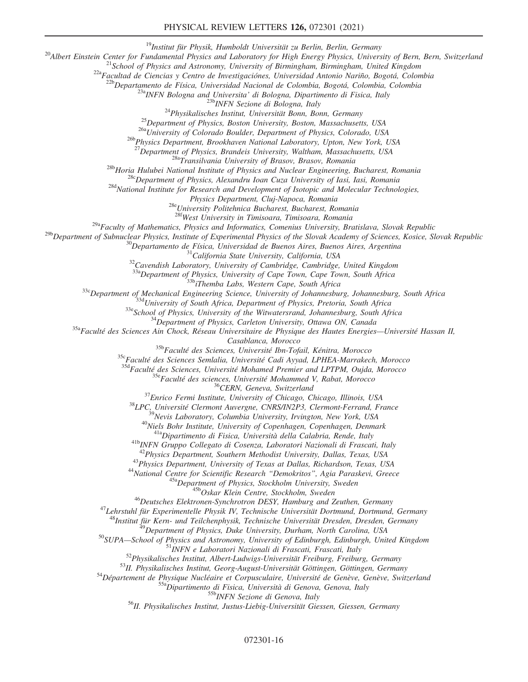#### PHYSICAL REVIEW LETTERS 126, 072301 (2021)

<sup>19</sup>Institut für Physik, Humboldt Universität zu Berlin, Berlin, Germany<br><sup>20</sup>Albert Einstein Center for Fundamental Physics and Laboratory for High Energy Physics, University of Bern, Bern, Switzerland<br><sup>21</sup>School of Physi

 $\begin{tabular}{c} \textbf{23a} \textbf{INFN} \textbf{Bologna} \textbf{and} \textbf{University} \textbf{d} \textbf{i} \textbf{Bologna, Dipartimento} \textbf{di} \textbf{Fisica, Italy} \\ \textbf{23b} \textbf{INFN} \textbf{Sezione} \textbf{di} \textbf{Bologna, Italy} \\ \textbf{24Physikalisches Institut, University Bonn, Bonn, Germany} \\ \textbf{25Department of Physics, Boston University, Boston, Massachusetts, USA \\ \textbf{26a} University \textbf{of Colorado Boulder, Department of Physics, Colorado, USA \\ \textbf{27Department, Brookhaven National Laboratory, Upton, New York, USA \\ \textbf$ 

<sup>28b</sup>Horia Hulubei National Institute of Physics and Nuclear Engineering, Bucharest, Romania<sup>28b</sup>Horia Hulubei National Institute of Physics and Nuclear Engineering, Bucharest, Romania<sup>28c</sup>Department of Physics, Alexandru

<sup>28e</sup>University Politehnica Bucharest, Bucharest, Romania<br><sup>286</sup>West University in Timisoara, Timisoara, Romania

 $^{29a}$ Faculty of Mathematics, Physics and Informatics, Comenius University, Bratislava, Slovak Republic

<sup>29b</sup>Department of Subnuclear Physics, Institute of Experimental Physics of the Slovak Academy of Sciences, Kosice, Slovak Republic<br><sup>30</sup>Departamento de Física, Universidad de Buenos Aires, Buenos Aires, Argentina<br><sup>31</sup>Cali

<sup>336</sup>Department of Mechanical Engineering Science, University of Johannesburg, Johannesburg, South Africa<br><sup>336</sup>Department of Mechanical Engineering Science, University of Johannesburg, Johannesburg, South Africa<br><sup>336</sup>Scho

 $\begin{array}{c} \text{Casablanca, \emph{Morocco}} \\ \text{35b} \text{Facult\'e des Sciences, Université Ibn-Tofail, Kénitra, \emph{Morocco}} \\ \text{35c} \text{Facult\'e des Sciences Semlalia, Université Cadi Ayyad, LPHEA-Marrakech, \emph{Morocco}} \\ \text{35d} \text{Facult\'e des Sciences, Université \emph{Wohamed Premier and LPTPM, Oujda, \emph{Morocco}} \\ \text{35c} \text{Facult\'e des sciences, Université \emph{Mohammed V, Rabat, \emph{Morocco}} \\ \text{37c} \text{Encu\'e des sciences, Université \emph{Mohammed$ 

<sup>43</sup>Physics Department, University of Texas at Dallas, Richardson, Texas, USA<br><sup>44</sup>National Centre for Scientific Research "Demokritos", Agia Paraskevi, Greece<br><sup>45a</sup>Department of Physics, Stockholm University, Sweden<br><sup>46</sup>D

<sup>48</sup>Institut für Kern- und Teilchenphysik, Technische Universität Dresden, Dresden, Germany<br><sup>49</sup>Department of Physics, Duke University, Durham, North Carolina, USA<br><sup>50</sup>SUPA—School of Physics and Astronomy, University of E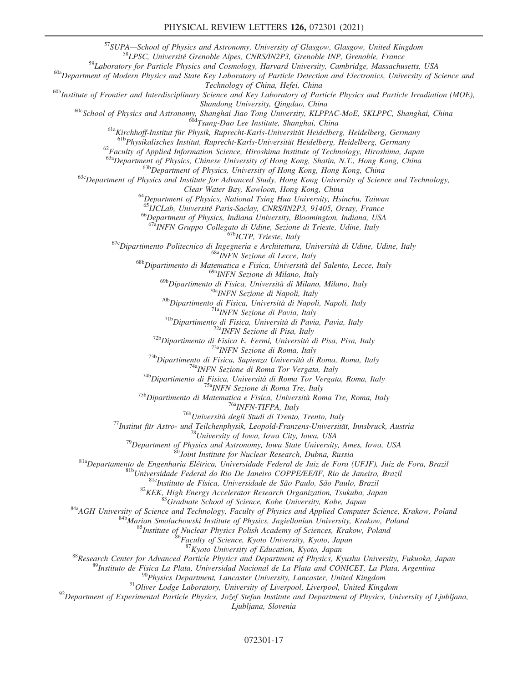<sup>57</sup>SUPA—School of Physics and Astronomy, University of Glasgow, Glasgow, United Kingdom <sup>58</sup>LPSC, Université Grenoble Alpes, CNRS/IN2P3, Grenoble INP, Grenoble, France <sup>59</sup>Laboratory for Particle Physics and Cosmology, H

 $^{60a}$ Department of Modern Physics and State Key Laboratory of Particle Detection and Electronics, University of Science and  $Technology$  of China, Hefei, China

 $^{60b}$ Institute of Frontier and Interdisciplinary Science and Key Laboratory of Particle Physics and Particle Irradiation (MOE),<br>Shandong University, Qingdao, China

<sup>60c</sup>School of Physics and Astronomy, Shanghai Jiao Tong University, KLPPAC-MoE, SKLPPC, Shanghai, China<br><sup>60d</sup>Tsung-Dao Lee Institute, Shanghai, China<br><sup>61a</sup>Kirchhoff-Institut für Physik, Ruprecht-Karls-Universität Heidelb

 $^{62}$ Faculty of Applied Information Science, Hiroshima Institute of Technology, Hiroshima, Japan<br> $^{63a}$ Department of Physics, Chinese University of Hong Kong, Shatin, N.T., Hong Kong, China

 $^{636}$ Department of Physics, University of Hong Kong, Hong Kong, China<br><sup>63c</sup>Department of Physics and Institute for Advanced Study, Hong Kong University of Science and Technology,

Clear Water Bay, Kowloon, Hong Kong, China<br><sup>64</sup>Department of Physics, National Tsing Hua University, Hsinchu, Taiwan<br><sup>65</sup>IJCLab, Université Paris-Saclay, CNRS/IN2P3, 91405, Orsay, France

<sup>66</sup>Department of Physics, Indiana University, Bloomington, Indiana, USA<br><sup>67a</sup>INFN Gruppo Collegato di Udine, Sezione di Trieste, Udine, Italy

<sup>67c</sup>Dipartimento Politecnico di Ingegneria e Architettura, Università di Udine, Udine, Italy<br><sup>68c</sup>Dipartimento di Matematica e Fisica, Università del Salento, Lecce, Italy<br><sup>68b</sup>Dipartimento di Matematica e Fisica, Univer

<sup>69a</sup>INFN Sezione di Milano, Italy<br><sup>69b</sup>Dipartimento di Fisica, Università di Milano, Milano, Italy

<sup>696</sup>Dipartimento di Fisica, Università di Malmo, Milano, Italy<br>
<sup>696</sup>Dipartimento di Fisica, Università di Napoli, Napoli, Italy<br>
<sup>766</sup>Dipartimento di Fisica, Università di Napoli, Napoli, Italy<br>
<sup>766</sup>Dipartimento di Fis

<sup>87</sup> Kyoto University of Education, Kyoto, Japan<br><sup>87</sup> Research Center for Advanced Particle Physics and Department of Physics, Kyushu University, Fukuoka, Japan<br><sup>89</sup> Instituto de Física La Plata, Universidad Nacional de L

Ljubljana, Slovenia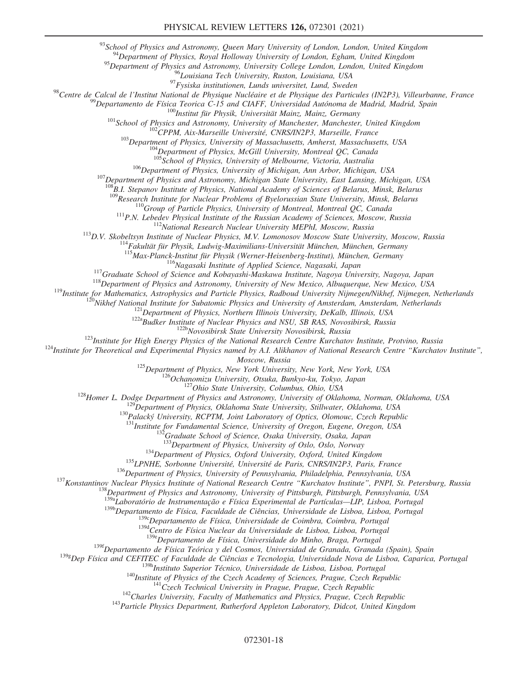<sup>93</sup>School of Physics and Astronomy, Queen Mary University of London, London, United Kingdom <sup>94</sup>Department of Physics, Royal Holloway University of London, Egham, United Kingdom

<sup>95</sup>Department of Physics and Astronomy, University College London, London, United Kingdom<br><sup>96</sup>Louisiana Tech University, Ruston, Louisiana, USA

<sup>97</sup> Fysiska institutionen, Lunds universitet, Lund, Sweden<br><sup>98</sup> Centre de Calcul de l'Institut National de Physique Nucléaire et de Physique des Particules (IN2P3), Villeurbanne, France<br><sup>99</sup> Departamento de Física Teoric

 $^{106}$ Department of Physics, University of Michigan, Ann Arbor, Michigan, USA<br><sup>107</sup>Department of Physics and Astronomy, Michigan State University, East Lansing, Michigan, USA

 $^{108}$ B.I. Stepanov Institute of Physics, National Academy of Sciences of Belarus, Minsk, Belarus<br> $^{109}$ Research Institute for Nuclear Problems of Byelorussian State University, Minsk, Belarus

<sup>110</sup>Group of Particle Physics, University of Montreal, Montreal QC, Canada<br><sup>111</sup>P.N. Lebedev Physical Institute of the Russian Academy of Sciences, Moscow, Russia<br><sup>112</sup>National Research Nuclear University MEPhI, Moscow,

<sup>116</sup>Nagasaki Institute of Applied Science, Nagasaki, Japan<br><sup>118</sup>Graduate School of Science and Kobayashi-Maskawa Institute, Nagoya University, Nagoya, Japan<br><sup>118</sup>Department of Physics and Astronomy, University of New Mex

<sup>125</sup>Department of Physics, New York University, New York, New York, USA<br><sup>126</sup>Ochanomizu University, Otsuka, Bunkyo-ku, Tokyo, Japan<br><sup>127</sup>Ohio State University, Columbus, Ohio, USA<br><sup>128</sup>Homer L. Dodge Department of Physic

<sup>131</sup>Institute for Fundamental Science, University of Oregon, Eugene, Oregon, USA<br><sup>132</sup>Graduate School of Science, Osaka University, Osaka, Japan<br><sup>133</sup>Department of Physics, University of Oslo, Oslo, Norway

<sup>134</sup>Department of Physics, Oxford University, Oxford, United Kingdom<br><sup>135</sup>LPNHE, Sorbonne Université, Université de Paris, CNRS/IN2P3, Paris, France<br><sup>136</sup>Department of Physics, University of Pennsylvania, Philadelphia, Pe

<sup>138</sup>Department of Physics and Astronomy, University of Pittsburgh, Pittsburgh, Pennsylvania, USA<br><sup>139a</sup>Laboratório de Instrumentação e Física Experimental de Partículas—LIP, Lisboa, Portugal

<sup>139b</sup>Departamento de Física, Faculdade de Ciências, Universidade de Lisboa, Lisboa, Portugal<br><sup>139c</sup>Departamento de Física, Universidade de Coimbra, Coimbra, Portugal

<sup>139d</sup>Centro de Física Nuclear da Universidade de Lisboa, Lisboa, Portugal

139eDepartamento de Física, Universidade do Minho, Braga, Portugal

<sup>139f</sup>Departamento de Física Teórica y del Cosmos, Universidad de Granada, Granada (Spain), Spain

<sup>139g</sup>Dep Física and CEFITEC of Faculdade de Ciências e Tecnologia, Universidade Nova de Lisboa, Caparica, Portugal<br><sup>139h</sup>Instituto Superior Técnico, Universidade de Lisboa, Lisboa, Portugal

<sup>140</sup>Institute of Physics of the Czech Academy of Sciences, Prague, Czech Republic<br><sup>141</sup>Czech Technical University in Prague, Prague, Czech Republic<br><sup>142</sup>Charles University, Faculty of Mathematics and Physics, Prague, Cze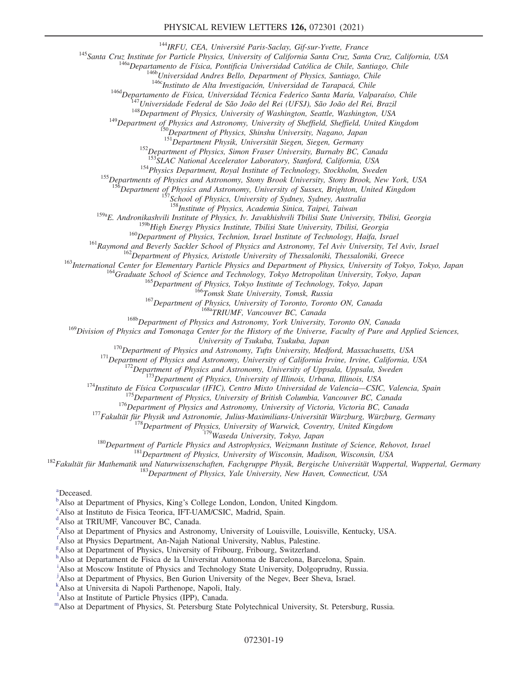<sup>144</sup>IRFU, CEA, Université Paris-Saclay, Gif-sur-Yvette, France<br><sup>145</sup>Santa Cruz, Institute for Particle Physics, University of California Santa Cruz, Santa Cruz, California, USA<br><sup>146</sup>0 Departamento de Física, Pontificia U

<sup>152</sup>Department of Physics, Simon Fraser University, Burnaby BC, Canada<br><sup>153</sup>SLAC National Accelerator Laboratory, Stanford, California, USA

<sup>154</sup>Physics Department, Royal Institute of Technology, Stockholm, Sweden<br><sup>155</sup>Departments of Physics and Astronomy, Stony Brook University, Stony Brook, New York, USA

<sup>6</sup>Department of Physics and Astronomy, University of Sussex, Brighton, United Kingdom  $^{157}$ School of Physics, University of Sydney, Sydney, Australia

<sup>158</sup>Institute of Physics, Academia Sinica, Taipei, Taiwan

<sup>159a</sup>E. Andronikashvili Institute of Physics, Iv. Javakhishvili Tbilisi State University, Tbilisi, Georgia<br><sup>159b</sup>High Energy Physics Institute, Tbilisi State University, Tbilisi, Georgia

<sup>160</sup>Department of Physics, Technion, Israel Institute of Technology, Haifa, Israel<br><sup>161</sup>Raymond and Beverly Sackler School of Physics and Astronomy, Tel Aviv University, Tel Aviv, Israel<br><sup>162</sup>Department of Physics, Arist

 $^{169}$ Division of Physics and Tomonaga Center for the History of the Universe, Faculty of Pure and Applied Sciences,<br>University of Tsukuba, Tsukuba, Japan

<sup>170</sup>Department of Physics and Astronomy, Tufts University, Medford, Massachusetts, USA<br>
<sup>171</sup>Department of Physics and Astronomy, University of California Irvine, Irvine, California, USA<br>
<sup>172</sup>Department of Physics and A

<span id="page-19-12"></span><sup>[a](#page-12-0)</sup>Deceased.

<span id="page-19-0"></span> $\mu^b$  $\mu^b$ Also at Department of Physi[c](#page-7-7)s, King's College London, London, United Kingdom.

<span id="page-19-1"></span>Also at Instituto de Fisica Teorica, IFT-UAM/CSIC, Madrid, Spain.

<span id="page-19-2"></span>[d](#page-7-8) Also at TRIUMF, Vancouver BC, Canada.

<span id="page-19-3"></span>[e](#page-7-9) Also at Department of Physics and Astronomy, University of Louisville, Louisville, Kentucky, USA.

<span id="page-19-4"></span>[f](#page-7-10) Also at Physics Department, An-Najah National University, Nablus, Palestine.

<span id="page-19-5"></span><sup>[g](#page-7-11)</sup> Also at Department of Physics, University of Fribourg, Fribourg, Switzerland.

<span id="page-19-6"></span><sup>[h](#page-8-0)</sup>Also at Departament de Fisica de la Universitat Autonoma de Barcelona, Barcelona, Spain.

<span id="page-19-7"></span><sup>[i](#page-8-1)</sup>Also at Moscow Institute of Physics and Technology State University, Dolgoprudny, Russia.

<span id="page-19-8"></span>[j](#page-8-2) Also at Department of Physics, Ben Gurion University of the Negev, Beer Sheva, Israel.

<span id="page-19-9"></span>[k](#page-8-3) Also at Universita di Napoli Parthenope, Napoli, Italy.

<span id="page-19-10"></span><sup>1</sup>A[l](#page-8-4)so at Institute of Particle Physics (IPP), Canada.

<span id="page-19-11"></span>[m](#page-9-0)Also at Department of Physics, St. Petersburg State Polytechnical University, St. Petersburg, Russia.